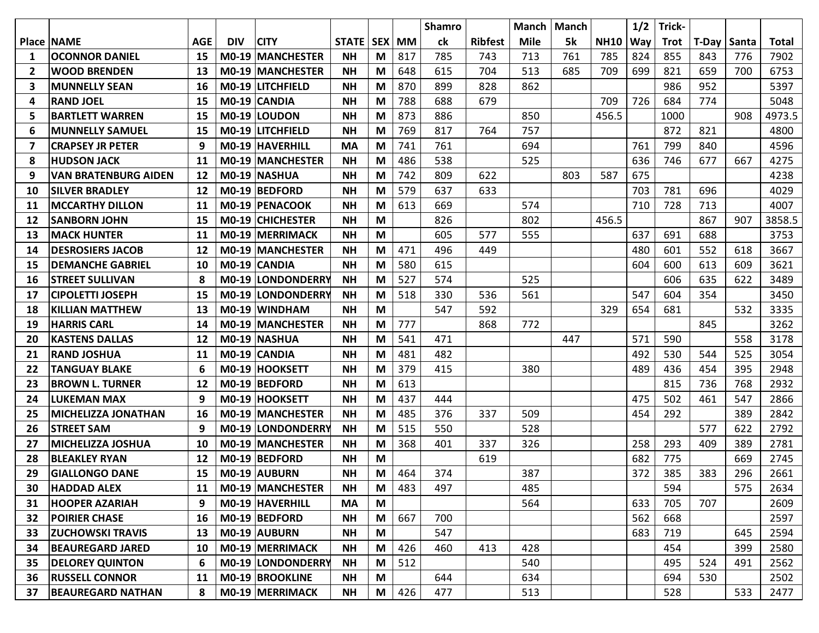|                |                             |            |            |                          |             |   |           | <b>Shamro</b> |                | Manch | Manch |             | 1/2 | Trick-      |       |       |        |
|----------------|-----------------------------|------------|------------|--------------------------|-------------|---|-----------|---------------|----------------|-------|-------|-------------|-----|-------------|-------|-------|--------|
|                | <b>Place INAME</b>          | <b>AGE</b> | <b>DIV</b> | <b>CITY</b>              | STATE   SEX |   | <b>MM</b> | ck            | <b>Ribfest</b> | Mile  | 5k    | <b>NH10</b> | Way | <b>Trot</b> | T-Day | Santa | Total  |
| 1              | <b>OCONNOR DANIEL</b>       | 15         |            | <b>MO-19 MANCHESTER</b>  | <b>NH</b>   | M | 817       | 785           | 743            | 713   | 761   | 785         | 824 | 855         | 843   | 776   | 7902   |
| $\overline{2}$ | <b>WOOD BRENDEN</b>         | 13         |            | M0-19 MANCHESTER         | <b>NH</b>   | M | 648       | 615           | 704            | 513   | 685   | 709         | 699 | 821         | 659   | 700   | 6753   |
| 3              | <b>MUNNELLY SEAN</b>        | 16         |            | M0-19 LITCHFIELD         | <b>NH</b>   | M | 870       | 899           | 828            | 862   |       |             |     | 986         | 952   |       | 5397   |
| 4              | <b>RAND JOEL</b>            | 15         |            | M0-19 CANDIA             | <b>NH</b>   | M | 788       | 688           | 679            |       |       | 709         | 726 | 684         | 774   |       | 5048   |
| 5              | <b>BARTLETT WARREN</b>      | 15         |            | M0-19 LOUDON             | <b>NH</b>   | M | 873       | 886           |                | 850   |       | 456.5       |     | 1000        |       | 908   | 4973.5 |
| 6              | <b>MUNNELLY SAMUEL</b>      | 15         |            | <b>MO-19 LITCHFIELD</b>  | <b>NH</b>   | M | 769       | 817           | 764            | 757   |       |             |     | 872         | 821   |       | 4800   |
| 7              | <b>CRAPSEY JR PETER</b>     | 9          |            | M0-19 HAVERHILL          | <b>MA</b>   | M | 741       | 761           |                | 694   |       |             | 761 | 799         | 840   |       | 4596   |
| 8              | <b>IHUDSON JACK</b>         | 11         |            | <b>M0-19 MANCHESTER</b>  | <b>NH</b>   | M | 486       | 538           |                | 525   |       |             | 636 | 746         | 677   | 667   | 4275   |
| 9              | <b>VAN BRATENBURG AIDEN</b> | 12         |            | M0-19 NASHUA             | <b>NH</b>   | M | 742       | 809           | 622            |       | 803   | 587         | 675 |             |       |       | 4238   |
| 10             | <b>SILVER BRADLEY</b>       | 12         |            | M0-19 BEDFORD            | <b>NH</b>   | M | 579       | 637           | 633            |       |       |             | 703 | 781         | 696   |       | 4029   |
| 11             | <b>MCCARTHY DILLON</b>      | 11         |            | M0-19 PENACOOK           | <b>NH</b>   | M | 613       | 669           |                | 574   |       |             | 710 | 728         | 713   |       | 4007   |
| 12             | <b>SANBORN JOHN</b>         | 15         |            | M0-19 CHICHESTER         | <b>NH</b>   | M |           | 826           |                | 802   |       | 456.5       |     |             | 867   | 907   | 3858.5 |
| 13             | <b>IMACK HUNTER</b>         | 11         |            | M0-19 MERRIMACK          | <b>NH</b>   | M |           | 605           | 577            | 555   |       |             | 637 | 691         | 688   |       | 3753   |
| 14             | <b>DESROSIERS JACOB</b>     | 12         |            | <b>M0-19 MANCHESTER</b>  | <b>NH</b>   | M | 471       | 496           | 449            |       |       |             | 480 | 601         | 552   | 618   | 3667   |
| 15             | <b>DEMANCHE GABRIEL</b>     | 10         |            | M0-19 CANDIA             | <b>NH</b>   | M | 580       | 615           |                |       |       |             | 604 | 600         | 613   | 609   | 3621   |
| 16             | <b>STREET SULLIVAN</b>      | 8          |            | <b>M0-19 LONDONDERRY</b> | <b>NH</b>   | M | 527       | 574           |                | 525   |       |             |     | 606         | 635   | 622   | 3489   |
| 17             | <b>CIPOLETTI JOSEPH</b>     | 15         |            | M0-19 LONDONDERRY        | <b>NH</b>   | M | 518       | 330           | 536            | 561   |       |             | 547 | 604         | 354   |       | 3450   |
| 18             | <b>KILLIAN MATTHEW</b>      | 13         |            | M0-19 WINDHAM            | <b>NH</b>   | M |           | 547           | 592            |       |       | 329         | 654 | 681         |       | 532   | 3335   |
| 19             | HARRIS CARL                 | 14         |            | <b>M0-19 MANCHESTER</b>  | <b>NH</b>   | M | 777       |               | 868            | 772   |       |             |     |             | 845   |       | 3262   |
| 20             | <b>KASTENS DALLAS</b>       | 12         |            | M0-19 NASHUA             | <b>NH</b>   | M | 541       | 471           |                |       | 447   |             | 571 | 590         |       | 558   | 3178   |
| 21             | <b>RAND JOSHUA</b>          | 11         |            | M0-19 CANDIA             | <b>NH</b>   | M | 481       | 482           |                |       |       |             | 492 | 530         | 544   | 525   | 3054   |
| 22             | <b>TANGUAY BLAKE</b>        | 6          |            | M0-19 HOOKSETT           | <b>NH</b>   | M | 379       | 415           |                | 380   |       |             | 489 | 436         | 454   | 395   | 2948   |
| 23             | <b>BROWN L. TURNER</b>      | 12         |            | M0-19 BEDFORD            | <b>NH</b>   | M | 613       |               |                |       |       |             |     | 815         | 736   | 768   | 2932   |
| 24             | <b>LUKEMAN MAX</b>          | q          |            | M0-19 HOOKSETT           | <b>NH</b>   | M | 437       | 444           |                |       |       |             | 475 | 502         | 461   | 547   | 2866   |
| 25             | <b> MICHELIZZA JONATHAN</b> | 16         |            | <b>M0-19 MANCHESTER</b>  | <b>NH</b>   | M | 485       | 376           | 337            | 509   |       |             | 454 | 292         |       | 389   | 2842   |
| 26             | <b>STREET SAM</b>           | 9          |            | <b>M0-19 LONDONDERRY</b> | <b>NH</b>   | M | 515       | 550           |                | 528   |       |             |     |             | 577   | 622   | 2792   |
| 27             | <b>MICHELIZZA JOSHUA</b>    | 10         |            | M0-19 MANCHESTER         | <b>NH</b>   | M | 368       | 401           | 337            | 326   |       |             | 258 | 293         | 409   | 389   | 2781   |
| 28             | <b>BLEAKLEY RYAN</b>        | 12         |            | M0-19 BEDFORD            | <b>NH</b>   | M |           |               | 619            |       |       |             | 682 | 775         |       | 669   | 2745   |
| 29             | <b>GIALLONGO DANE</b>       | 15         |            | M0-19 AUBURN             | <b>NH</b>   | M | 464       | 374           |                | 387   |       |             | 372 | 385         | 383   | 296   | 2661   |
| 30             | <b>HADDAD ALEX</b>          | 11         |            | M0-19 MANCHESTER         | <b>NH</b>   | M | 483       | 497           |                | 485   |       |             |     | 594         |       | 575   | 2634   |
| 31             | <b>HOOPER AZARIAH</b>       | 9          |            | M0-19 HAVERHILL          | <b>MA</b>   | M |           |               |                | 564   |       |             | 633 | 705         | 707   |       | 2609   |
| 32             | <b>POIRIER CHASE</b>        | 16         |            | M0-19 BEDFORD            | <b>NH</b>   | M | 667       | 700           |                |       |       |             | 562 | 668         |       |       | 2597   |
| 33             | <b>ZUCHOWSKI TRAVIS</b>     | 13         |            | M0-19 AUBURN             | <b>NH</b>   | M |           | 547           |                |       |       |             | 683 | 719         |       | 645   | 2594   |
| 34             | <b>BEAUREGARD JARED</b>     | 10         |            | M0-19 MERRIMACK          | <b>NH</b>   | M | 426       | 460           | 413            | 428   |       |             |     | 454         |       | 399   | 2580   |
| 35             | <b>DELOREY QUINTON</b>      | 6          |            | M0-19 LONDONDERRY        | <b>NH</b>   | M | 512       |               |                | 540   |       |             |     | 495         | 524   | 491   | 2562   |
| 36             | <b>RUSSELL CONNOR</b>       | 11         |            | M0-19 BROOKLINE          | <b>NH</b>   | M |           | 644           |                | 634   |       |             |     | 694         | 530   |       | 2502   |
| 37             | <b>BEAUREGARD NATHAN</b>    | 8          |            | M0-19 MERRIMACK          | <b>NH</b>   | M | 426       | 477           |                | 513   |       |             |     | 528         |       | 533   | 2477   |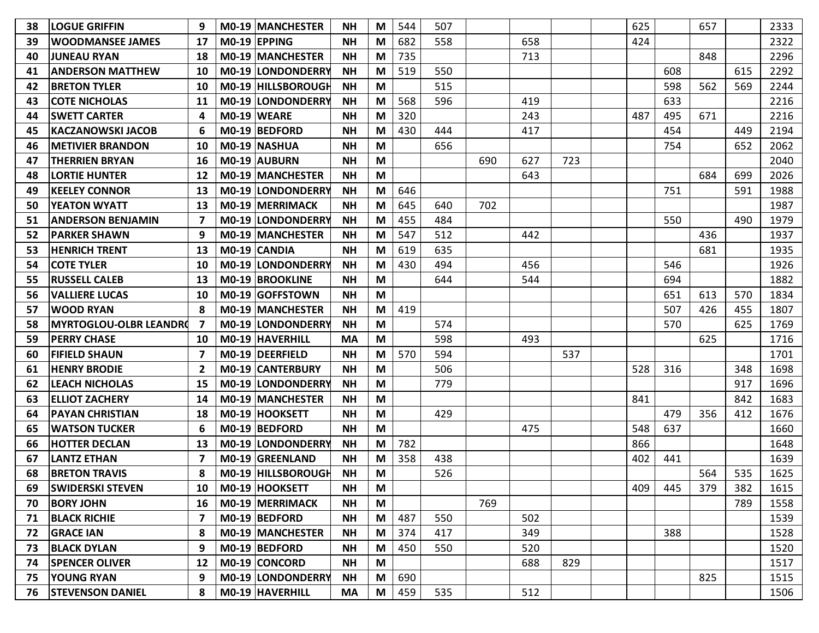| 38 | <b>LOGUE GRIFFIN</b>          | 9                       | <b>M0-19 MANCHESTER</b>  | <b>NH</b> | M | 544 | 507 |     |     |     | 625 |     | 657 |     | 2333 |
|----|-------------------------------|-------------------------|--------------------------|-----------|---|-----|-----|-----|-----|-----|-----|-----|-----|-----|------|
| 39 | <b>WOODMANSEE JAMES</b>       | 17                      | M0-19 EPPING             | <b>NH</b> | M | 682 | 558 |     | 658 |     | 424 |     |     |     | 2322 |
| 40 | <b>JUNEAU RYAN</b>            | 18                      | <b>MO-19 MANCHESTER</b>  | <b>NH</b> | M | 735 |     |     | 713 |     |     |     | 848 |     | 2296 |
| 41 | <b>ANDERSON MATTHEW</b>       | 10                      | M0-19 LONDONDERRY        | <b>NH</b> | M | 519 | 550 |     |     |     |     | 608 |     | 615 | 2292 |
| 42 | <b>BRETON TYLER</b>           | 10                      | M0-19 HILLSBOROUGH       | <b>NH</b> | M |     | 515 |     |     |     |     | 598 | 562 | 569 | 2244 |
| 43 | <b>COTE NICHOLAS</b>          | 11                      | M0-19 LONDONDERRY        | <b>NH</b> | M | 568 | 596 |     | 419 |     |     | 633 |     |     | 2216 |
| 44 | <b>SWETT CARTER</b>           | 4                       | M0-19 WEARE              | <b>NH</b> | M | 320 |     |     | 243 |     | 487 | 495 | 671 |     | 2216 |
| 45 | <b>KACZANOWSKI JACOB</b>      | 6                       | M0-19 BEDFORD            | <b>NH</b> | M | 430 | 444 |     | 417 |     |     | 454 |     | 449 | 2194 |
| 46 | <b>METIVIER BRANDON</b>       | 10                      | M0-19 NASHUA             | <b>NH</b> | M |     | 656 |     |     |     |     | 754 |     | 652 | 2062 |
| 47 | <b>THERRIEN BRYAN</b>         | 16                      | M0-19 AUBURN             | <b>NH</b> | M |     |     | 690 | 627 | 723 |     |     |     |     | 2040 |
| 48 | <b>LORTIE HUNTER</b>          | 12                      | M0-19 MANCHESTER         | <b>NH</b> | M |     |     |     | 643 |     |     |     | 684 | 699 | 2026 |
| 49 | <b>KEELEY CONNOR</b>          | 13                      | M0-19 LONDONDERRY        | <b>NH</b> | M | 646 |     |     |     |     |     | 751 |     | 591 | 1988 |
| 50 | <b>YEATON WYATT</b>           | 13                      | <b>M0-19 MERRIMACK</b>   | <b>NH</b> | M | 645 | 640 | 702 |     |     |     |     |     |     | 1987 |
| 51 | <b>ANDERSON BENJAMIN</b>      | 7                       | M0-19 LONDONDERRY        | <b>NH</b> | M | 455 | 484 |     |     |     |     | 550 |     | 490 | 1979 |
| 52 | <b>PARKER SHAWN</b>           | 9                       | M0-19 MANCHESTER         | <b>NH</b> | M | 547 | 512 |     | 442 |     |     |     | 436 |     | 1937 |
| 53 | <b>HENRICH TRENT</b>          | 13                      | M0-19 CANDIA             | <b>NH</b> | M | 619 | 635 |     |     |     |     |     | 681 |     | 1935 |
| 54 | <b>COTE TYLER</b>             | 10                      | M0-19 LONDONDERRY        | <b>NH</b> | M | 430 | 494 |     | 456 |     |     | 546 |     |     | 1926 |
| 55 | <b>RUSSELL CALEB</b>          | 13                      | <b>M0-19 BROOKLINE</b>   | <b>NH</b> | M |     | 644 |     | 544 |     |     | 694 |     |     | 1882 |
| 56 | <b>VALLIERE LUCAS</b>         | 10                      | M0-19 GOFFSTOWN          | <b>NH</b> | M |     |     |     |     |     |     | 651 | 613 | 570 | 1834 |
| 57 | <b>WOOD RYAN</b>              | 8                       | <b>MO-19 MANCHESTER</b>  | <b>NH</b> | M | 419 |     |     |     |     |     | 507 | 426 | 455 | 1807 |
| 58 | <b>MYRTOGLOU-OLBR LEANDRO</b> | 7                       | M0-19 LONDONDERRY        | <b>NH</b> | M |     | 574 |     |     |     |     | 570 |     | 625 | 1769 |
| 59 | <b>PERRY CHASE</b>            | 10                      | M0-19 HAVERHILL          | <b>MA</b> | M |     | 598 |     | 493 |     |     |     | 625 |     | 1716 |
| 60 | <b>FIFIELD SHAUN</b>          | 7                       | M0-19   DEERFIELD        | <b>NH</b> | M | 570 | 594 |     |     | 537 |     |     |     |     | 1701 |
| 61 | <b>HENRY BRODIE</b>           | $\overline{\mathbf{2}}$ | M0-19 CANTERBURY         | <b>NH</b> | M |     | 506 |     |     |     | 528 | 316 |     | 348 | 1698 |
| 62 | <b>LEACH NICHOLAS</b>         | 15                      | <b>M0-19 LONDONDERRY</b> | <b>NH</b> | M |     | 779 |     |     |     |     |     |     | 917 | 1696 |
| 63 | <b>ELLIOT ZACHERY</b>         | 14                      | M0-19 MANCHESTER         | <b>NH</b> | M |     |     |     |     |     | 841 |     |     | 842 | 1683 |
| 64 | <b>PAYAN CHRISTIAN</b>        | 18                      | M0-19 HOOKSETT           | <b>NH</b> | M |     | 429 |     |     |     |     | 479 | 356 | 412 | 1676 |
| 65 | <b>WATSON TUCKER</b>          | 6                       | M0-19 BEDFORD            | <b>NH</b> | M |     |     |     | 475 |     | 548 | 637 |     |     | 1660 |
| 66 | <b>HOTTER DECLAN</b>          | 13                      | <b>MO-19 LONDONDERRY</b> | <b>NH</b> | M | 782 |     |     |     |     | 866 |     |     |     | 1648 |
| 67 | <b>LANTZ ETHAN</b>            | 7                       | M0-19 GREENLAND          | <b>NH</b> | M | 358 | 438 |     |     |     | 402 | 441 |     |     | 1639 |
| 68 | <b>BRETON TRAVIS</b>          | 8                       | M0-19 HILLSBOROUGH       | <b>NH</b> | M |     | 526 |     |     |     |     |     | 564 | 535 | 1625 |
| 69 | <b>SWIDERSKI STEVEN</b>       |                         | 10   M0-19   HOOKSETT    | <b>NH</b> | M |     |     |     |     |     | 409 | 445 | 379 | 382 | 1615 |
| 70 | <b>BORY JOHN</b>              | 16                      | M0-19 MERRIMACK          | <b>NH</b> | M |     |     | 769 |     |     |     |     |     | 789 | 1558 |
| 71 | <b>BLACK RICHIE</b>           | 7                       | $MO-19$ BEDFORD          | <b>NH</b> | M | 487 | 550 |     | 502 |     |     |     |     |     | 1539 |
| 72 | <b>GRACE IAN</b>              | 8                       | M0-19 MANCHESTER         | <b>NH</b> | M | 374 | 417 |     | 349 |     |     | 388 |     |     | 1528 |
| 73 | <b>BLACK DYLAN</b>            | 9                       | M0-19 BEDFORD            | <b>NH</b> | M | 450 | 550 |     | 520 |     |     |     |     |     | 1520 |
| 74 | <b>SPENCER OLIVER</b>         | 12                      | M0-19 CONCORD            | <b>NH</b> | M |     |     |     | 688 | 829 |     |     |     |     | 1517 |
| 75 | <b>YOUNG RYAN</b>             | 9                       | M0-19 LONDONDERRY        | <b>NH</b> | M | 690 |     |     |     |     |     |     | 825 |     | 1515 |
| 76 | <b>STEVENSON DANIEL</b>       | 8                       | M0-19 HAVERHILL          | <b>MA</b> | M | 459 | 535 |     | 512 |     |     |     |     |     | 1506 |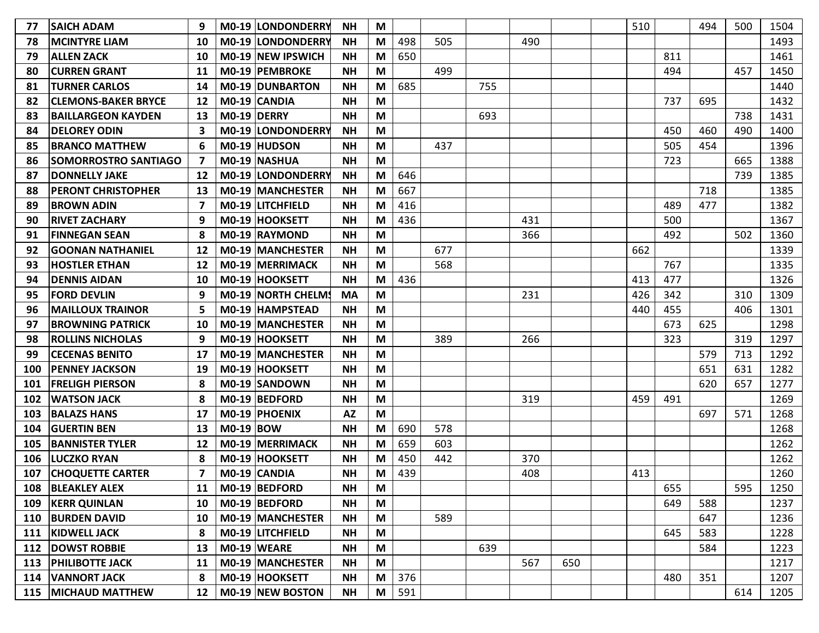| 77  | <b>SAICH ADAM</b>           | 9                 |             | M0-19 LONDONDERRY        | <b>NH</b> | M |     |     |     |     |     | 510 |     | 494 | 500 | 1504 |
|-----|-----------------------------|-------------------|-------------|--------------------------|-----------|---|-----|-----|-----|-----|-----|-----|-----|-----|-----|------|
| 78  | <b>MCINTYRE LIAM</b>        | 10                |             | M0-19 LONDONDERRY        | <b>NH</b> | M | 498 | 505 |     | 490 |     |     |     |     |     | 1493 |
| 79  | <b>ALLEN ZACK</b>           | 10                |             | <b>MO-19 NEW IPSWICH</b> | <b>NH</b> | M | 650 |     |     |     |     |     | 811 |     |     | 1461 |
| 80  | <b>CURREN GRANT</b>         | 11                |             | M0-19 PEMBROKE           | <b>NH</b> | M |     | 499 |     |     |     |     | 494 |     | 457 | 1450 |
| 81  | <b>TURNER CARLOS</b>        | 14                |             | M0-19 DUNBARTON          | <b>NH</b> | M | 685 |     | 755 |     |     |     |     |     |     | 1440 |
| 82  | <b>CLEMONS-BAKER BRYCE</b>  | 12                |             | M0-19 CANDIA             | <b>NH</b> | M |     |     |     |     |     |     | 737 | 695 |     | 1432 |
| 83  | <b>BAILLARGEON KAYDEN</b>   | 13                | M0-19 DERRY |                          | <b>NH</b> | M |     |     | 693 |     |     |     |     |     | 738 | 1431 |
| 84  | <b>DELOREY ODIN</b>         | 3                 |             | M0-19 LONDONDERRY        | <b>NH</b> | M |     |     |     |     |     |     | 450 | 460 | 490 | 1400 |
| 85  | <b>BRANCO MATTHEW</b>       | 6                 |             | M0-19 HUDSON             | <b>NH</b> | M |     | 437 |     |     |     |     | 505 | 454 |     | 1396 |
| 86  | <b>SOMORROSTRO SANTIAGO</b> | 7                 |             | M0-19 NASHUA             | <b>NH</b> | M |     |     |     |     |     |     | 723 |     | 665 | 1388 |
| 87  | <b>DONNELLY JAKE</b>        | 12                |             | M0-19 LONDONDERRY        | <b>NH</b> | M | 646 |     |     |     |     |     |     |     | 739 | 1385 |
| 88  | <b>PERONT CHRISTOPHER</b>   | 13                |             | <b>M0-19 MANCHESTER</b>  | <b>NH</b> | M | 667 |     |     |     |     |     |     | 718 |     | 1385 |
| 89  | <b>BROWN ADIN</b>           | 7                 |             | M0-19 LITCHFIELD         | <b>NH</b> | M | 416 |     |     |     |     |     | 489 | 477 |     | 1382 |
| 90  | <b>RIVET ZACHARY</b>        | 9                 |             | M0-19 HOOKSETT           | <b>NH</b> | M | 436 |     |     | 431 |     |     | 500 |     |     | 1367 |
| 91  | <b>FINNEGAN SEAN</b>        | 8                 |             | M0-19 RAYMOND            | <b>NH</b> | M |     |     |     | 366 |     |     | 492 |     | 502 | 1360 |
| 92  | <b>GOONAN NATHANIEL</b>     | 12                |             | M0-19 MANCHESTER         | <b>NH</b> | M |     | 677 |     |     |     | 662 |     |     |     | 1339 |
| 93  | <b>HOSTLER ETHAN</b>        | 12                |             | <b>M0-19 MERRIMACK</b>   | <b>NH</b> | M |     | 568 |     |     |     |     | 767 |     |     | 1335 |
| 94  | <b>DENNIS AIDAN</b>         | 10                |             | M0-19 HOOKSETT           | <b>NH</b> | M | 436 |     |     |     |     | 413 | 477 |     |     | 1326 |
| 95  | <b>FORD DEVLIN</b>          | 9                 |             | M0-19 NORTH CHELMS       | <b>MA</b> | M |     |     |     | 231 |     | 426 | 342 |     | 310 | 1309 |
| 96  | <b>MAILLOUX TRAINOR</b>     | 5                 |             | M0-19 HAMPSTEAD          | <b>NH</b> | M |     |     |     |     |     | 440 | 455 |     | 406 | 1301 |
| 97  | <b>BROWNING PATRICK</b>     | 10                |             | M0-19 MANCHESTER         | <b>NH</b> | M |     |     |     |     |     |     | 673 | 625 |     | 1298 |
| 98  | <b>ROLLINS NICHOLAS</b>     | 9                 |             | M0-19 HOOKSETT           | <b>NH</b> | M |     | 389 |     | 266 |     |     | 323 |     | 319 | 1297 |
| 99  | <b>CECENAS BENITO</b>       | 17                |             | <b>M0-19 MANCHESTER</b>  | <b>NH</b> | M |     |     |     |     |     |     |     | 579 | 713 | 1292 |
| 100 | <b>PENNEY JACKSON</b>       | 19                |             | M0-19 HOOKSETT           | <b>NH</b> | M |     |     |     |     |     |     |     | 651 | 631 | 1282 |
| 101 | <b>FRELIGH PIERSON</b>      | 8                 |             | M0-19 SANDOWN            | <b>NH</b> | M |     |     |     |     |     |     |     | 620 | 657 | 1277 |
| 102 | <b>WATSON JACK</b>          | 8                 |             | M0-19 BEDFORD            | <b>NH</b> | M |     |     |     | 319 |     | 459 | 491 |     |     | 1269 |
| 103 | <b>BALAZS HANS</b>          | 17                |             | M0-19 PHOENIX            | <b>AZ</b> | M |     |     |     |     |     |     |     | 697 | 571 | 1268 |
| 104 | <b>GUERTIN BEN</b>          | 13                | $MO-19$ BOW |                          | <b>NH</b> | M | 690 | 578 |     |     |     |     |     |     |     | 1268 |
| 105 | <b>BANNISTER TYLER</b>      | 12                |             | M0-19 MERRIMACK          | <b>NH</b> | M | 659 | 603 |     |     |     |     |     |     |     | 1262 |
| 106 | <b>LUCZKO RYAN</b>          | 8                 |             | M0-19 HOOKSETT           | <b>NH</b> | M | 450 | 442 |     | 370 |     |     |     |     |     | 1262 |
| 107 | <b>CHOQUETTE CARTER</b>     | 7                 |             | M0-19 CANDIA             | <b>NH</b> | M | 439 |     |     | 408 |     | 413 |     |     |     | 1260 |
| 108 | <b>BLEAKLEY ALEX</b>        |                   |             | 11   M0-19   BEDFORD     | <b>NH</b> | M |     |     |     |     |     |     | 655 |     | 595 | 1250 |
| 109 | <b>KERR QUINLAN</b>         | 10                |             | M0-19 BEDFORD            | <b>NH</b> | M |     |     |     |     |     |     | 649 | 588 |     | 1237 |
| 110 | <b>BURDEN DAVID</b>         | 10                |             | M0-19 MANCHESTER         | <b>NH</b> | M |     | 589 |     |     |     |     |     | 647 |     | 1236 |
| 111 | <b>KIDWELL JACK</b>         | 8                 |             | M0-19 LITCHFIELD         | <b>NH</b> | M |     |     |     |     |     |     | 645 | 583 |     | 1228 |
| 112 | <b>DOWST ROBBIE</b>         | 13                |             | $MO-19$ WEARE            | <b>NH</b> | M |     |     | 639 |     |     |     |     | 584 |     | 1223 |
|     | 113   PHILIBOTTE JACK       | 11                |             | M0-19 MANCHESTER         | <b>NH</b> | M |     |     |     | 567 | 650 |     |     |     |     | 1217 |
| 114 | <b>VANNORT JACK</b>         | 8                 |             | M0-19 HOOKSETT           | <b>NH</b> | M | 376 |     |     |     |     |     | 480 | 351 |     | 1207 |
|     | 115   MICHAUD MATTHEW       | $12 \overline{ }$ |             | M0-19 NEW BOSTON         | <b>NH</b> | M | 591 |     |     |     |     |     |     |     | 614 | 1205 |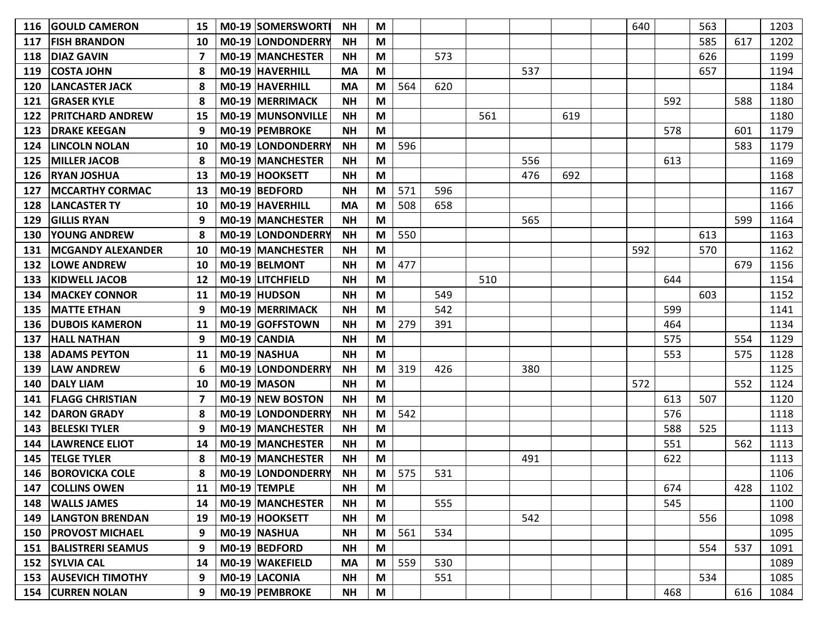| 116 | <b>GOULD CAMERON</b>     | 15 | M0-19 SOMERSWORTI       | ΝH        | M |     |     |     |     |     | 640 |     | 563 |     | 1203 |
|-----|--------------------------|----|-------------------------|-----------|---|-----|-----|-----|-----|-----|-----|-----|-----|-----|------|
| 117 | <b>FISH BRANDON</b>      | 10 | M0-19 LONDONDERRY       | <b>NH</b> | M |     |     |     |     |     |     |     | 585 | 617 | 1202 |
| 118 | <b>DIAZ GAVIN</b>        |    | M0-19 MANCHESTER        | <b>NH</b> | M |     | 573 |     |     |     |     |     | 626 |     | 1199 |
| 119 | <b>COSTA JOHN</b>        | 8  | M0-19 HAVERHILL         | <b>MA</b> | M |     |     |     | 537 |     |     |     | 657 |     | 1194 |
| 120 | <b>LANCASTER JACK</b>    | 8  | M0-19 HAVERHILL         | <b>MA</b> | M | 564 | 620 |     |     |     |     |     |     |     | 1184 |
| 121 | <b>GRASER KYLE</b>       |    | M0-19 MERRIMACK         | <b>NH</b> | M |     |     |     |     |     |     | 592 |     | 588 | 1180 |
| 122 | <b>PRITCHARD ANDREW</b>  | 15 | M0-19 MUNSONVILLE       | <b>NH</b> | M |     |     | 561 |     | 619 |     |     |     |     | 1180 |
| 123 | <b>DRAKE KEEGAN</b>      |    | M0-19 PEMBROKE          | <b>NH</b> | M |     |     |     |     |     |     | 578 |     | 601 | 1179 |
| 124 | <b>LINCOLN NOLAN</b>     | 10 | M0-19 LONDONDERRY       | <b>NH</b> | M | 596 |     |     |     |     |     |     |     | 583 | 1179 |
| 125 | <b>MILLER JACOB</b>      | 8  | M0-19 MANCHESTER        | <b>NH</b> | M |     |     |     | 556 |     |     | 613 |     |     | 1169 |
| 126 | <b>RYAN JOSHUA</b>       | 13 | M0-19 HOOKSETT          | <b>NH</b> | M |     |     |     | 476 | 692 |     |     |     |     | 1168 |
| 127 | <b>MCCARTHY CORMAC</b>   | 13 | M0-19 BEDFORD           | <b>NH</b> | M | 571 | 596 |     |     |     |     |     |     |     | 1167 |
| 128 | <b>LANCASTER TY</b>      | 10 | M0-19 HAVERHILL         | <b>MA</b> | M | 508 | 658 |     |     |     |     |     |     |     | 1166 |
| 129 | <b>GILLIS RYAN</b>       | 9  | M0-19 MANCHESTER        | <b>NH</b> | M |     |     |     | 565 |     |     |     |     | 599 | 1164 |
| 130 | <b>YOUNG ANDREW</b>      |    | M0-19 LONDONDERRY       | <b>NH</b> | M | 550 |     |     |     |     |     |     | 613 |     | 1163 |
| 131 | <b>MCGANDY ALEXANDER</b> | 10 | <b>M0-19 MANCHESTER</b> | <b>NH</b> | M |     |     |     |     |     | 592 |     | 570 |     | 1162 |
| 132 | <b>LOWE ANDREW</b>       | 10 | M0-19 BELMONT           | <b>NH</b> | M | 477 |     |     |     |     |     |     |     | 679 | 1156 |
| 133 | <b>KIDWELL JACOB</b>     | 12 | M0-19 LITCHFIELD        | <b>NH</b> | M |     |     | 510 |     |     |     | 644 |     |     | 1154 |
| 134 | <b>MACKEY CONNOR</b>     | 11 | M0-19 HUDSON            | <b>NH</b> | M |     | 549 |     |     |     |     |     | 603 |     | 1152 |
| 135 | <b>MATTE ETHAN</b>       | 9  | M0-19 MERRIMACK         | <b>NH</b> | M |     | 542 |     |     |     |     | 599 |     |     | 1141 |
| 136 | <b>DUBOIS KAMERON</b>    | 11 | M0-19 GOFFSTOWN         | <b>NH</b> | M | 279 | 391 |     |     |     |     | 464 |     |     | 1134 |
| 137 | <b>HALL NATHAN</b>       | 9  | M0-19 CANDIA            | <b>NH</b> | M |     |     |     |     |     |     | 575 |     | 554 | 1129 |
| 138 | <b>ADAMS PEYTON</b>      | 11 | M0-19 NASHUA            | <b>NH</b> | M |     |     |     |     |     |     | 553 |     | 575 | 1128 |
| 139 | <b>LAW ANDREW</b>        | 6  | M0-19 LONDONDERRY       | <b>NH</b> | M | 319 | 426 |     | 380 |     |     |     |     |     | 1125 |
| 140 | <b>DALY LIAM</b>         | 10 | M0-19 MASON             | <b>NH</b> | M |     |     |     |     |     | 572 |     |     | 552 | 1124 |
| 141 | <b>FLAGG CHRISTIAN</b>   | 7  | M0-19 NEW BOSTON        | <b>NH</b> | M |     |     |     |     |     |     | 613 | 507 |     | 1120 |
| 142 | <b>DARON GRADY</b>       | 8  | M0-19 LONDONDERRY       | <b>NH</b> | M | 542 |     |     |     |     |     | 576 |     |     | 1118 |
| 143 | <b>BELESKI TYLER</b>     | 9  | M0-19 MANCHESTER        | <b>NH</b> | M |     |     |     |     |     |     | 588 | 525 |     | 1113 |
| 144 | <b>LAWRENCE ELIOT</b>    | 14 | M0-19 MANCHESTER        | <b>NH</b> | M |     |     |     |     |     |     | 551 |     | 562 | 1113 |
| 145 | <b>TELGE TYLER</b>       |    | M0-19 MANCHESTER        | <b>NH</b> | M |     |     |     | 491 |     |     | 622 |     |     | 1113 |
| 146 | <b>BOROVICKA COLE</b>    |    | M0-19 LONDONDERRY       | <b>NH</b> | M | 575 | 531 |     |     |     |     |     |     |     | 1106 |
| 147 | <b>COLLINS OWEN</b>      |    | 11   M0-19   TEMPLE     | <b>NH</b> | M |     |     |     |     |     |     | 674 |     | 428 | 1102 |
|     | 148   WALLS JAMES        | 14 | M0-19 MANCHESTER        | <b>NH</b> | M |     | 555 |     |     |     |     | 545 |     |     | 1100 |
|     | 149   LANGTON BRENDAN    | 19 | M0-19 HOOKSETT          | <b>NH</b> | M |     |     |     | 542 |     |     |     | 556 |     | 1098 |
| 150 | <b>PROVOST MICHAEL</b>   | 9  | $MO-19$ NASHUA          | <b>NH</b> | M | 561 | 534 |     |     |     |     |     |     |     | 1095 |
| 151 | <b>BALISTRERI SEAMUS</b> | 9  | M0-19 BEDFORD           | <b>NH</b> | M |     |     |     |     |     |     |     | 554 | 537 | 1091 |
|     | 152 SYLVIA CAL           | 14 | M0-19 WAKEFIELD         | <b>MA</b> | M | 559 | 530 |     |     |     |     |     |     |     | 1089 |
|     | 153 AUSEVICH TIMOTHY     | 9  | M0-19 LACONIA           | <b>NH</b> | M |     | 551 |     |     |     |     |     | 534 |     | 1085 |
|     | 154 CURREN NOLAN         | 9  | M0-19 PEMBROKE          | <b>NH</b> | M |     |     |     |     |     |     | 468 |     | 616 | 1084 |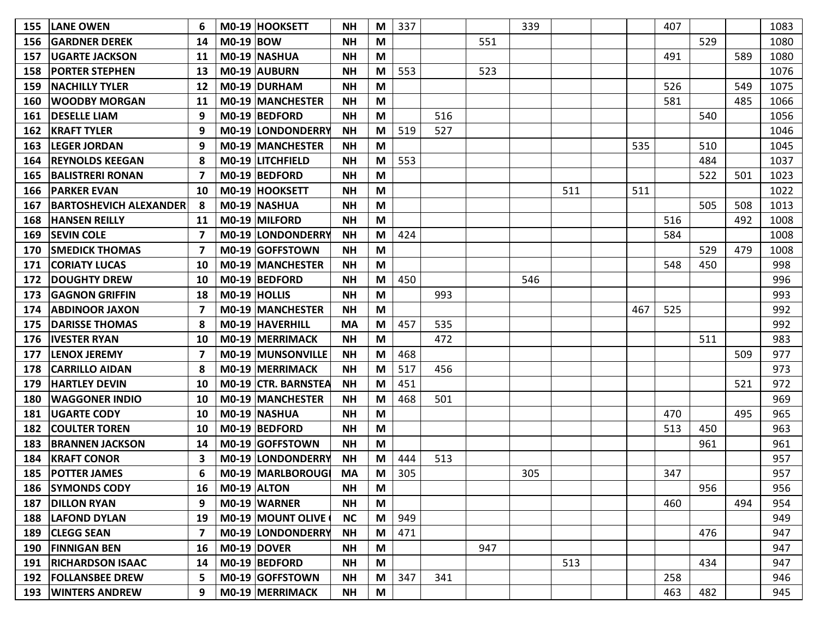| 155 | <b>LANE OWEN</b>              |    |                    | M0-19 HOOKSETT           | <b>NH</b> | M | 337 |     |     | 339 |     |     | 407 |     |     | 1083 |
|-----|-------------------------------|----|--------------------|--------------------------|-----------|---|-----|-----|-----|-----|-----|-----|-----|-----|-----|------|
| 156 | <b>GARDNER DEREK</b>          | 14 | $MO-19$ BOW        |                          | <b>NH</b> | M |     |     | 551 |     |     |     |     | 529 |     | 1080 |
| 157 | <b>UGARTE JACKSON</b>         | 11 |                    | M0-19 NASHUA             | <b>NH</b> | M |     |     |     |     |     |     | 491 |     | 589 | 1080 |
| 158 | <b>PORTER STEPHEN</b>         | 13 |                    | M0-19 AUBURN             | <b>NH</b> | M | 553 |     | 523 |     |     |     |     |     |     | 1076 |
| 159 | <b>NACHILLY TYLER</b>         | 12 |                    | $MO-19$ DURHAM           | <b>NH</b> | M |     |     |     |     |     |     | 526 |     | 549 | 1075 |
| 160 | <b>WOODBY MORGAN</b>          | 11 |                    | M0-19 MANCHESTER         | <b>NH</b> | M |     |     |     |     |     |     | 581 |     | 485 | 1066 |
| 161 | <b>DESELLE LIAM</b>           | 9  |                    | M0-19 BEDFORD            | <b>NH</b> | M |     | 516 |     |     |     |     |     | 540 |     | 1056 |
| 162 | <b>KRAFT TYLER</b>            | 9  |                    | M0-19 LONDONDERRY        | <b>NH</b> | M | 519 | 527 |     |     |     |     |     |     |     | 1046 |
| 163 | <b>LEGER JORDAN</b>           | 9  |                    | M0-19 MANCHESTER         | <b>NH</b> | M |     |     |     |     |     | 535 |     | 510 |     | 1045 |
| 164 | <b>REYNOLDS KEEGAN</b>        |    |                    | M0-19 LITCHFIELD         | <b>NH</b> | M | 553 |     |     |     |     |     |     | 484 |     | 1037 |
| 165 | <b>BALISTRERI RONAN</b>       |    |                    | M0-19 BEDFORD            | <b>NH</b> | M |     |     |     |     |     |     |     | 522 | 501 | 1023 |
| 166 | <b>PARKER EVAN</b>            | 10 |                    | M0-19 HOOKSETT           | <b>NH</b> | M |     |     |     |     | 511 | 511 |     |     |     | 1022 |
| 167 | <b>BARTOSHEVICH ALEXANDER</b> | -8 |                    | M0-19 NASHUA             | <b>NH</b> | M |     |     |     |     |     |     |     | 505 | 508 | 1013 |
| 168 | <b>HANSEN REILLY</b>          | 11 |                    | <b>M0-19 MILFORD</b>     | <b>NH</b> | M |     |     |     |     |     |     | 516 |     | 492 | 1008 |
| 169 | <b>SEVIN COLE</b>             | 7  |                    | M0-19 LONDONDERRY        | <b>NH</b> | M | 424 |     |     |     |     |     | 584 |     |     | 1008 |
| 170 | <b>SMEDICK THOMAS</b>         |    |                    | M0-19 GOFFSTOWN          | <b>NH</b> | M |     |     |     |     |     |     |     | 529 | 479 | 1008 |
| 171 | <b>CORIATY LUCAS</b>          | 10 |                    | <b>M0-19 MANCHESTER</b>  | <b>NH</b> | M |     |     |     |     |     |     | 548 | 450 |     | 998  |
| 172 | <b>DOUGHTY DREW</b>           | 10 |                    | M0-19 BEDFORD            | <b>NH</b> | M | 450 |     |     | 546 |     |     |     |     |     | 996  |
| 173 | <b>GAGNON GRIFFIN</b>         | 18 |                    | MO-19 HOLLIS             | <b>NH</b> | M |     | 993 |     |     |     |     |     |     |     | 993  |
| 174 | <b>ABDINOOR JAXON</b>         | 7  |                    | M0-19 MANCHESTER         | <b>NH</b> | M |     |     |     |     |     | 467 | 525 |     |     | 992  |
| 175 | <b>DARISSE THOMAS</b>         |    |                    | M0-19 HAVERHILL          | <b>MA</b> | M | 457 | 535 |     |     |     |     |     |     |     | 992  |
| 176 | <b>IVESTER RYAN</b>           | 10 |                    | M0-19 MERRIMACK          | <b>NH</b> | M |     | 472 |     |     |     |     |     | 511 |     | 983  |
| 177 | <b>LENOX JEREMY</b>           | 7  |                    | <b>M0-19 MUNSONVILLE</b> | <b>NH</b> | M | 468 |     |     |     |     |     |     |     | 509 | 977  |
| 178 | <b>CARRILLO AIDAN</b>         | 8  |                    | M0-19 MERRIMACK          | <b>NH</b> | M | 517 | 456 |     |     |     |     |     |     |     | 973  |
| 179 | <b>HARTLEY DEVIN</b>          | 10 |                    | M0-19 CTR. BARNSTEA      | <b>NH</b> | M | 451 |     |     |     |     |     |     |     | 521 | 972  |
| 180 | <b>WAGGONER INDIO</b>         | 10 |                    | M0-19 MANCHESTER         | <b>NH</b> | M | 468 | 501 |     |     |     |     |     |     |     | 969  |
| 181 | <b>UGARTE CODY</b>            | 10 |                    | M0-19 NASHUA             | <b>NH</b> | M |     |     |     |     |     |     | 470 |     | 495 | 965  |
| 182 | <b>COULTER TOREN</b>          | 10 |                    | M0-19 BEDFORD            | <b>NH</b> | M |     |     |     |     |     |     | 513 | 450 |     | 963  |
| 183 | <b>BRANNEN JACKSON</b>        | 14 |                    | M0-19 GOFFSTOWN          | <b>NH</b> | M |     |     |     |     |     |     |     | 961 |     | 961  |
| 184 | <b>KRAFT CONOR</b>            | 3  |                    | M0-19 LONDONDERRY        | <b>NH</b> | M | 444 | 513 |     |     |     |     |     |     |     | 957  |
| 185 | <b>POTTER JAMES</b>           |    |                    | M0-19 MARLBOROUGI        | <b>MA</b> | M | 305 |     |     | 305 |     |     | 347 |     |     | 957  |
| 186 | <b>SYMONDS CODY</b>           |    | 16   M0-19   ALTON |                          | <b>NH</b> | M |     |     |     |     |     |     |     | 956 |     | 956  |
| 187 | <b>DILLON RYAN</b>            | 9  |                    | M0-19 WARNER             | <b>NH</b> | M |     |     |     |     |     |     | 460 |     | 494 | 954  |
|     | 188   LAFOND DYLAN            | 19 |                    | M0-19 MOUNT OLIVE        | NC        | M | 949 |     |     |     |     |     |     |     |     | 949  |
| 189 | <b>CLEGG SEAN</b>             | 7  |                    | M0-19 LONDONDERRY        | <b>NH</b> | M | 471 |     |     |     |     |     |     | 476 |     | 947  |
| 190 | <b>FINNIGAN BEN</b>           | 16 |                    | M0-19 DOVER              | <b>NH</b> | M |     |     | 947 |     |     |     |     |     |     | 947  |
| 191 | <b>RICHARDSON ISAAC</b>       | 14 |                    | $MO-19$ BEDFORD          | <b>NH</b> | M |     |     |     |     | 513 |     |     | 434 |     | 947  |
|     | 192   FOLLANSBEE DREW         | 5  |                    | M0-19 GOFFSTOWN          | ΝH        | M | 347 | 341 |     |     |     |     | 258 |     |     | 946  |
|     | 193   WINTERS ANDREW          | 9  |                    | M0-19 MERRIMACK          | <b>NH</b> | M |     |     |     |     |     |     | 463 | 482 |     | 945  |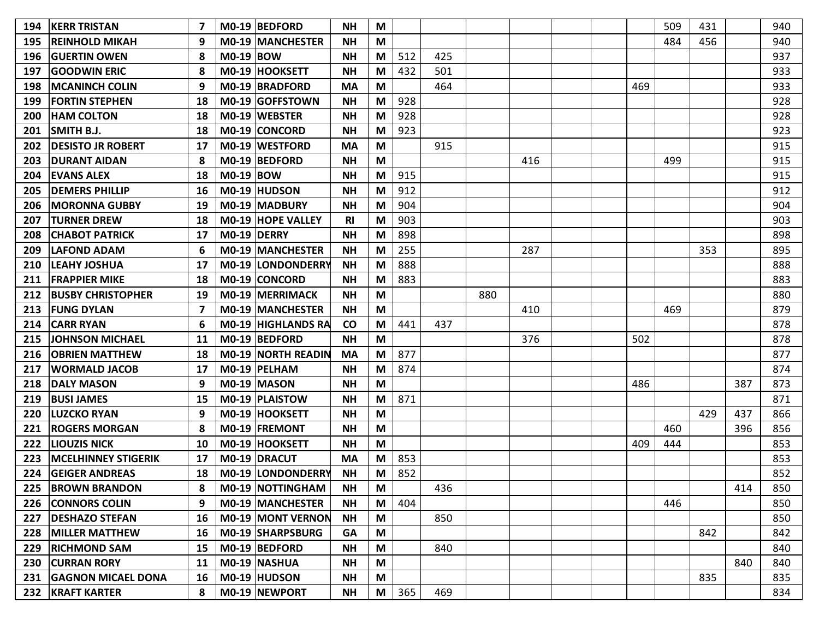| 194 | <b>KERR TRISTAN</b>        |    |                  | M0-19 BEDFORD             | <b>NH</b> | M |     |     |     |     |     | 509 | 431 |     | 940 |
|-----|----------------------------|----|------------------|---------------------------|-----------|---|-----|-----|-----|-----|-----|-----|-----|-----|-----|
| 195 | <b>REINHOLD MIKAH</b>      | 9  |                  | <b>M0-19 MANCHESTER</b>   | <b>NH</b> | M |     |     |     |     |     | 484 | 456 |     | 940 |
| 196 | <b>IGUERTIN OWEN</b>       | 8  | <b>M0-19 BOW</b> |                           | <b>NH</b> | M | 512 | 425 |     |     |     |     |     |     | 937 |
| 197 | <b>GOODWIN ERIC</b>        | 8  |                  | M0-19 HOOKSETT            | <b>NH</b> | M | 432 | 501 |     |     |     |     |     |     | 933 |
| 198 | <b>MCANINCH COLIN</b>      | 9  |                  | M0-19 BRADFORD            | <b>MA</b> | M |     | 464 |     |     | 469 |     |     |     | 933 |
| 199 | <b>FORTIN STEPHEN</b>      | 18 |                  | M0-19 GOFFSTOWN           | <b>NH</b> | M | 928 |     |     |     |     |     |     |     | 928 |
| 200 | <b>HAM COLTON</b>          | 18 |                  | M0-19 WEBSTER             | <b>NH</b> | M | 928 |     |     |     |     |     |     |     | 928 |
| 201 | <b>SMITH B.J.</b>          | 18 |                  | M0-19 CONCORD             | <b>NH</b> | M | 923 |     |     |     |     |     |     |     | 923 |
| 202 | <b>DESISTO JR ROBERT</b>   | 17 |                  | M0-19 WESTFORD            | <b>MA</b> | M |     | 915 |     |     |     |     |     |     | 915 |
| 203 | <b>DURANT AIDAN</b>        | 8  |                  | M0-19 BEDFORD             | <b>NH</b> | M |     |     |     | 416 |     | 499 |     |     | 915 |
| 204 | <b>EVANS ALEX</b>          | 18 | <b>M0-19 BOW</b> |                           | <b>NH</b> | M | 915 |     |     |     |     |     |     |     | 915 |
| 205 | <b>DEMERS PHILLIP</b>      | 16 |                  | M0-19 HUDSON              | <b>NH</b> | M | 912 |     |     |     |     |     |     |     | 912 |
| 206 | <b>MORONNA GUBBY</b>       | 19 |                  | M0-19 MADBURY             | <b>NH</b> | M | 904 |     |     |     |     |     |     |     | 904 |
| 207 | <b>TURNER DREW</b>         | 18 |                  | <b>MO-19 HOPE VALLEY</b>  | <b>RI</b> | M | 903 |     |     |     |     |     |     |     | 903 |
| 208 | <b>CHABOT PATRICK</b>      | 17 | M0-19 DERRY      |                           | <b>NH</b> | M | 898 |     |     |     |     |     |     |     | 898 |
| 209 | <b>LAFOND ADAM</b>         | 6  |                  | <b>M0-19 MANCHESTER</b>   | <b>NH</b> | M | 255 |     |     | 287 |     |     | 353 |     | 895 |
| 210 | <b>LEAHY JOSHUA</b>        | 17 |                  | <b>M0-19 LONDONDERRY</b>  | <b>NH</b> | M | 888 |     |     |     |     |     |     |     | 888 |
| 211 | <b>FRAPPIER MIKE</b>       | 18 |                  | <b>M0-19 CONCORD</b>      | <b>NH</b> | M | 883 |     |     |     |     |     |     |     | 883 |
| 212 | <b>BUSBY CHRISTOPHER</b>   | 19 |                  | <b>M0-19 MERRIMACK</b>    | <b>NH</b> | M |     |     | 880 |     |     |     |     |     | 880 |
| 213 | <b>FUNG DYLAN</b>          | 7  |                  | M0-19 MANCHESTER          | <b>NH</b> | M |     |     |     | 410 |     | 469 |     |     | 879 |
| 214 | <b>CARR RYAN</b>           | 6  |                  | <b>M0-19 HIGHLANDS RA</b> | <b>CO</b> | M | 441 | 437 |     |     |     |     |     |     | 878 |
| 215 | <b>JOHNSON MICHAEL</b>     | 11 |                  | M0-19 BEDFORD             | <b>NH</b> | M |     |     |     | 376 | 502 |     |     |     | 878 |
| 216 | <b>OBRIEN MATTHEW</b>      | 18 |                  | <b>M0-19 NORTH READIN</b> | <b>MA</b> | M | 877 |     |     |     |     |     |     |     | 877 |
| 217 | <b>WORMALD JACOB</b>       | 17 |                  | M0-19 PELHAM              | <b>NH</b> | M | 874 |     |     |     |     |     |     |     | 874 |
| 218 | <b>DALY MASON</b>          | 9  |                  | M0-19 MASON               | <b>NH</b> | M |     |     |     |     | 486 |     |     | 387 | 873 |
| 219 | <b>BUSI JAMES</b>          | 15 |                  | M0-19 PLAISTOW            | <b>NH</b> | M | 871 |     |     |     |     |     |     |     | 871 |
| 220 | ILUZCKO RYAN               | 9  |                  | M0-19 HOOKSETT            | <b>NH</b> | M |     |     |     |     |     |     | 429 | 437 | 866 |
| 221 | <b>ROGERS MORGAN</b>       | -8 |                  | M0-19 FREMONT             | <b>NH</b> | M |     |     |     |     |     | 460 |     | 396 | 856 |
| 222 | <b>LIOUZIS NICK</b>        | 10 |                  | M0-19 HOOKSETT            | <b>NH</b> | M |     |     |     |     | 409 | 444 |     |     | 853 |
| 223 | <b>MCELHINNEY STIGERIK</b> | 17 |                  | M0-19 DRACUT              | MA        | M | 853 |     |     |     |     |     |     |     | 853 |
| 224 | <b>GEIGER ANDREAS</b>      | 18 |                  | M0-19 LONDONDERRY         | <b>NH</b> | M | 852 |     |     |     |     |     |     |     | 852 |
| 225 | <b>BROWN BRANDON</b>       | 8  |                  | M0-19 NOTTINGHAM          | <b>NH</b> | M |     | 436 |     |     |     |     |     | 414 | 850 |
| 226 | <b>CONNORS COLIN</b>       | 9  |                  | <b>M0-19 MANCHESTER</b>   | <b>NH</b> | M | 404 |     |     |     |     | 446 |     |     | 850 |
| 227 | <b>DESHAZO STEFAN</b>      | 16 |                  | M0-19 MONT VERNON         | <b>NH</b> | M |     | 850 |     |     |     |     |     |     | 850 |
| 228 | <b>MILLER MATTHEW</b>      | 16 |                  | M0-19 SHARPSBURG          | GA        | M |     |     |     |     |     |     | 842 |     | 842 |
| 229 | <b>RICHMOND SAM</b>        | 15 |                  | M0-19 BEDFORD             | <b>NH</b> | M |     | 840 |     |     |     |     |     |     | 840 |
| 230 | <b>CURRAN RORY</b>         | 11 |                  | M0-19 NASHUA              | <b>NH</b> | M |     |     |     |     |     |     |     | 840 | 840 |
| 231 | <b>GAGNON MICAEL DONA</b>  | 16 |                  | M0-19 HUDSON              | NΗ        | M |     |     |     |     |     |     | 835 |     | 835 |
|     | 232 KRAFT KARTER           | 8  |                  | M0-19 NEWPORT             | <b>NH</b> | M | 365 | 469 |     |     |     |     |     |     | 834 |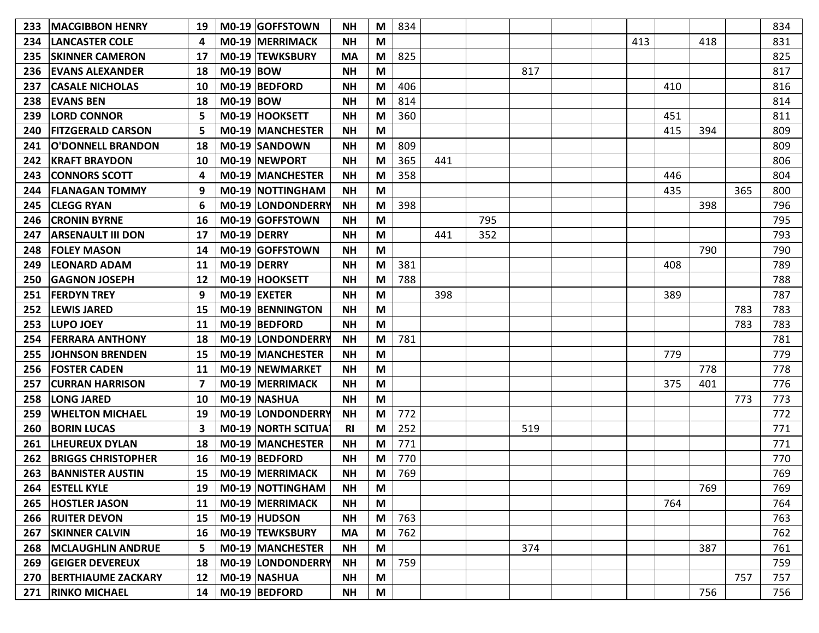| 233 | <b>MACGIBBON HENRY</b>    | 19 | M0-19 GOFFSTOWN          | <b>NH</b> | M | 834 |     |     |     |     |     |     |     | 834 |
|-----|---------------------------|----|--------------------------|-----------|---|-----|-----|-----|-----|-----|-----|-----|-----|-----|
| 234 | <b>ILANCASTER COLE</b>    | 4  | <b>MO-19 MERRIMACK</b>   | <b>NH</b> | M |     |     |     |     | 413 |     | 418 |     | 831 |
| 235 | <b>SKINNER CAMERON</b>    | 17 | M0-19 TEWKSBURY          | <b>MA</b> | M | 825 |     |     |     |     |     |     |     | 825 |
| 236 | <b>EVANS ALEXANDER</b>    | 18 | <b>M0-19 BOW</b>         | <b>NH</b> | M |     |     |     | 817 |     |     |     |     | 817 |
| 237 | <b>CASALE NICHOLAS</b>    | 10 | M0-19 BEDFORD            | <b>NH</b> | M | 406 |     |     |     |     | 410 |     |     | 816 |
| 238 | <b>EVANS BEN</b>          | 18 | <b>M0-19 BOW</b>         | <b>NH</b> | M | 814 |     |     |     |     |     |     |     | 814 |
| 239 | <b>LORD CONNOR</b>        | 5  | M0-19 HOOKSETT           | <b>NH</b> | M | 360 |     |     |     |     | 451 |     |     | 811 |
| 240 | <b>FITZGERALD CARSON</b>  |    | <b>M0-19 MANCHESTER</b>  | <b>NH</b> | M |     |     |     |     |     | 415 | 394 |     | 809 |
| 241 | <b>O'DONNELL BRANDON</b>  | 18 | M0-19 SANDOWN            | <b>NH</b> | M | 809 |     |     |     |     |     |     |     | 809 |
| 242 | <b>KRAFT BRAYDON</b>      | 10 | M0-19 NEWPORT            | <b>NH</b> | M | 365 | 441 |     |     |     |     |     |     | 806 |
| 243 | <b>CONNORS SCOTT</b>      | 4  | <b>MO-19 MANCHESTER</b>  | <b>NH</b> | M | 358 |     |     |     |     | 446 |     |     | 804 |
| 244 | <b>IFLANAGAN TOMMY</b>    | 9  | <b>M0-19 NOTTINGHAM</b>  | <b>NH</b> | M |     |     |     |     |     | 435 |     | 365 | 800 |
| 245 | <b>CLEGG RYAN</b>         | 6  | M0-19 LONDONDERRY        | <b>NH</b> | M | 398 |     |     |     |     |     | 398 |     | 796 |
| 246 | <b>CRONIN BYRNE</b>       | 16 | M0-19 GOFFSTOWN          | <b>NH</b> | M |     |     | 795 |     |     |     |     |     | 795 |
| 247 | <b>ARSENAULT III DON</b>  | 17 | M0-19 DERRY              | <b>NH</b> | M |     | 441 | 352 |     |     |     |     |     | 793 |
| 248 | <b>IFOLEY MASON</b>       | 14 | M0-19 GOFFSTOWN          | <b>NH</b> | M |     |     |     |     |     |     | 790 |     | 790 |
| 249 | <b>ILEONARD ADAM</b>      | 11 | M0-19 DERRY              | <b>NH</b> | M | 381 |     |     |     |     | 408 |     |     | 789 |
| 250 | <b>GAGNON JOSEPH</b>      | 12 | M0-19 HOOKSETT           | <b>NH</b> | M | 788 |     |     |     |     |     |     |     | 788 |
| 251 | <b>FERDYN TREY</b>        | 9  | $MO-19$ EXETER           | <b>NH</b> | M |     | 398 |     |     |     | 389 |     |     | 787 |
| 252 | <b>LEWIS JARED</b>        | 15 | <b>M0-19 BENNINGTON</b>  | <b>NH</b> | M |     |     |     |     |     |     |     | 783 | 783 |
| 253 | <b>LUPO JOEY</b>          | 11 | M0-19 BEDFORD            | <b>NH</b> | M |     |     |     |     |     |     |     | 783 | 783 |
| 254 | <b>FERRARA ANTHONY</b>    | 18 | M0-19 LONDONDERRY        | <b>NH</b> | M | 781 |     |     |     |     |     |     |     | 781 |
| 255 | JOHNSON BRENDEN           | 15 | M0-19 MANCHESTER         | <b>NH</b> | M |     |     |     |     |     | 779 |     |     | 779 |
| 256 | <b>FOSTER CADEN</b>       | 11 | M0-19 NEWMARKET          | <b>NH</b> | M |     |     |     |     |     |     | 778 |     | 778 |
| 257 | <b>CURRAN HARRISON</b>    | 7  | M0-19 MERRIMACK          | <b>NH</b> | M |     |     |     |     |     | 375 | 401 |     | 776 |
| 258 | <b>LONG JARED</b>         | 10 | M0-19 NASHUA             | <b>NH</b> | M |     |     |     |     |     |     |     | 773 | 773 |
| 259 | <b>WHELTON MICHAEL</b>    | 19 | <b>M0-19 LONDONDERRY</b> | <b>NH</b> | M | 772 |     |     |     |     |     |     |     | 772 |
| 260 | <b>BORIN LUCAS</b>        | 3  | M0-19 NORTH SCITUAT      | <b>RI</b> | M | 252 |     |     | 519 |     |     |     |     | 771 |
| 261 | <b>LHEUREUX DYLAN</b>     | 18 | M0-19 MANCHESTER         | <b>NH</b> | M | 771 |     |     |     |     |     |     |     | 771 |
| 262 | <b>BRIGGS CHRISTOPHER</b> | 16 | M0-19 BEDFORD            | <b>NH</b> | M | 770 |     |     |     |     |     |     |     | 770 |
| 263 | <b>BANNISTER AUSTIN</b>   | 15 | M0-19 MERRIMACK          | <b>NH</b> | M | 769 |     |     |     |     |     |     |     | 769 |
|     | 264 ESTELL KYLE           | 19 | M0-19 NOTTINGHAM         | <b>NH</b> | M |     |     |     |     |     |     | 769 |     | 769 |
|     | 265  HOSTLER JASON        | 11 | M0-19 MERRIMACK          | <b>NH</b> | M |     |     |     |     |     | 764 |     |     | 764 |
|     | 266   RUITER DEVON        | 15 | M0-19 HUDSON             | <b>NH</b> | M | 763 |     |     |     |     |     |     |     | 763 |
| 267 | <b>SKINNER CALVIN</b>     | 16 | M0-19 TEWKSBURY          | MA        | M | 762 |     |     |     |     |     |     |     | 762 |
|     | 268   MCLAUGHLIN ANDRUE   | 5  | M0-19 MANCHESTER         | <b>NH</b> | M |     |     |     | 374 |     |     | 387 |     | 761 |
|     | 269 GEIGER DEVEREUX       | 18 | M0-19 LONDONDERRY        | <b>NH</b> | M | 759 |     |     |     |     |     |     |     | 759 |
|     | 270 BERTHIAUME ZACKARY    | 12 | M0-19 NASHUA             | <b>NH</b> | M |     |     |     |     |     |     |     | 757 | 757 |
|     | 271 RINKO MICHAEL         | 14 | M0-19 BEDFORD            | <b>NH</b> | M |     |     |     |     |     |     | 756 |     | 756 |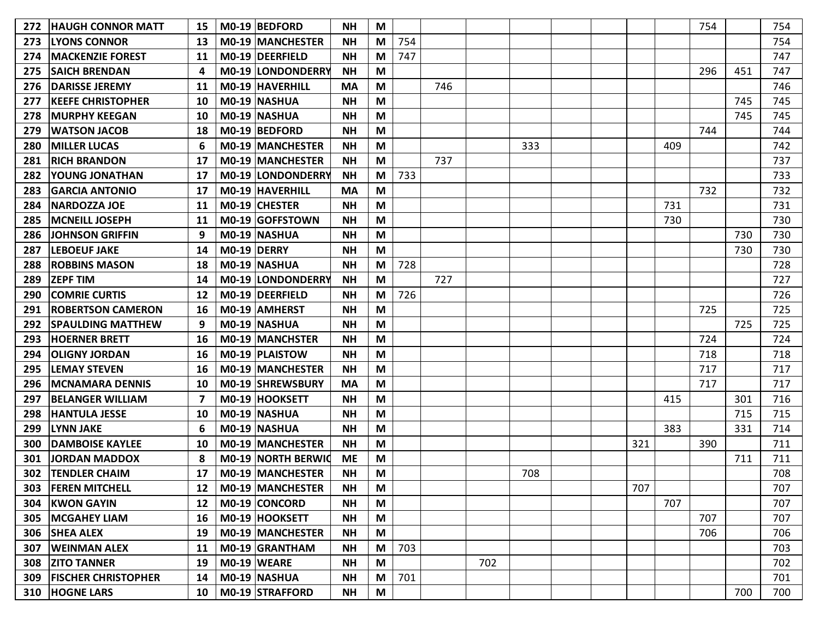| 272 | <b>HAUGH CONNOR MATT</b>         | 15              |             | M0-19 BEDFORD           | <b>NH</b> | M                                                                                     |     |     |     |     |  |     |     | 754 |     | 754 |
|-----|----------------------------------|-----------------|-------------|-------------------------|-----------|---------------------------------------------------------------------------------------|-----|-----|-----|-----|--|-----|-----|-----|-----|-----|
| 273 | <b>LYONS CONNOR</b>              | 13              |             | <b>M0-19 MANCHESTER</b> | <b>NH</b> | M                                                                                     | 754 |     |     |     |  |     |     |     |     | 754 |
| 274 | <b>MACKENZIE FOREST</b>          | 11              |             | M0-19   DEERFIELD       | <b>NH</b> | M                                                                                     | 747 |     |     |     |  |     |     |     |     | 747 |
| 275 | <b>SAICH BRENDAN</b>             | 4               |             | M0-19 LONDONDERRY       | <b>NH</b> | M                                                                                     |     |     |     |     |  |     |     | 296 | 451 | 747 |
| 276 | <b>DARISSE JEREMY</b>            | 11              |             | M0-19 HAVERHILL         | <b>MA</b> | M                                                                                     |     | 746 |     |     |  |     |     |     |     | 746 |
| 277 | <b>KEEFE CHRISTOPHER</b>         | 10              |             | M0-19 NASHUA            | <b>NH</b> | M                                                                                     |     |     |     |     |  |     |     |     | 745 | 745 |
| 278 | <b>MURPHY KEEGAN</b>             | 10              |             | M0-19 NASHUA            | <b>NH</b> | M                                                                                     |     |     |     |     |  |     |     |     | 745 | 745 |
| 279 | <b>WATSON JACOB</b>              | 18              |             | M0-19 BEDFORD           | <b>NH</b> | M                                                                                     |     |     |     |     |  |     |     | 744 |     | 744 |
| 280 | <b>MILLER LUCAS</b>              | 6               |             | M0-19 MANCHESTER        | <b>NH</b> | M                                                                                     |     |     |     | 333 |  |     | 409 |     |     | 742 |
| 281 | <b>RICH BRANDON</b>              | 17              |             | <b>M0-19 MANCHESTER</b> | <b>NH</b> | M                                                                                     |     | 737 |     |     |  |     |     |     |     | 737 |
| 282 | YOUNG JONATHAN                   | 17              |             | M0-19 LONDONDERRY       | <b>NH</b> | M                                                                                     | 733 |     |     |     |  |     |     |     |     | 733 |
| 283 | <b>GARCIA ANTONIO</b>            | 17              |             | M0-19 HAVERHILL         | MA        | M                                                                                     |     |     |     |     |  |     |     | 732 |     | 732 |
| 284 | <b>NARDOZZA JOE</b>              | 11              |             | M0-19 CHESTER           | <b>NH</b> | M                                                                                     |     |     |     |     |  |     | 731 |     |     | 731 |
| 285 | <b>MCNEILL JOSEPH</b>            | 11              |             | M0-19 GOFFSTOWN         | <b>NH</b> | M                                                                                     |     |     |     |     |  |     | 730 |     |     | 730 |
| 286 | <b>JOHNSON GRIFFIN</b>           | 9               |             | M0-19 NASHUA            | <b>NH</b> | M                                                                                     |     |     |     |     |  |     |     |     | 730 | 730 |
| 287 | <b>LEBOEUF JAKE</b>              | 14              | M0-19 DERRY |                         | <b>NH</b> | M                                                                                     |     |     |     |     |  |     |     |     | 730 | 730 |
| 288 | <b>ROBBINS MASON</b>             | 18              |             | M0-19 NASHUA            | <b>NH</b> | M                                                                                     | 728 |     |     |     |  |     |     |     |     | 728 |
| 289 | <b>ZEPF TIM</b>                  | 14              |             | M0-19 LONDONDERRY       | <b>NH</b> | M                                                                                     |     | 727 |     |     |  |     |     |     |     | 727 |
| 290 | <b>COMRIE CURTIS</b>             | 12              |             | M0-19 DEERFIELD         | <b>NH</b> | M                                                                                     | 726 |     |     |     |  |     |     |     |     | 726 |
| 291 | <b>ROBERTSON CAMERON</b>         | 16              |             | M0-19 AMHERST           | <b>NH</b> | M                                                                                     |     |     |     |     |  |     |     | 725 |     | 725 |
| 292 | <b>SPAULDING MATTHEW</b>         | 9               |             | M0-19 NASHUA            | <b>NH</b> | M                                                                                     |     |     |     |     |  |     |     |     | 725 | 725 |
| 293 | <b>HOERNER BRETT</b>             | 16              |             | <b>M0-19 MANCHSTER</b>  | <b>NH</b> | M                                                                                     |     |     |     |     |  |     |     | 724 |     | 724 |
| 294 | <b>OLIGNY JORDAN</b>             | 16              |             | M0-19   PLAISTOW        | <b>NH</b> | M                                                                                     |     |     |     |     |  |     |     | 718 |     | 718 |
| 295 | <b>LEMAY STEVEN</b>              | 16              |             | M0-19 MANCHESTER        | <b>NH</b> | M                                                                                     |     |     |     |     |  |     |     | 717 |     | 717 |
| 296 | <b>MCNAMARA DENNIS</b>           | 10              |             | M0-19 SHREWSBURY        | <b>MA</b> | M                                                                                     |     |     |     |     |  |     |     | 717 |     | 717 |
| 297 | <b>BELANGER WILLIAM</b>          | 7               |             | M0-19 HOOKSETT          | <b>NH</b> | M                                                                                     |     |     |     |     |  |     | 415 |     | 301 | 716 |
| 298 | <b>HANTULA JESSE</b>             | 10              |             | M0-19 NASHUA            | <b>NH</b> | M                                                                                     |     |     |     |     |  |     |     |     | 715 | 715 |
| 299 | <b>LYNN JAKE</b>                 | 6               |             | M0-19 NASHUA            | <b>NH</b> | M                                                                                     |     |     |     |     |  |     | 383 |     | 331 | 714 |
| 300 | <b>DAMBOISE KAYLEE</b>           | 10              |             | M0-19 MANCHESTER        | <b>NH</b> | M                                                                                     |     |     |     |     |  | 321 |     | 390 |     | 711 |
| 301 | <b>JORDAN MADDOX</b>             | 8               |             | M0-19 NORTH BERWIC      | <b>ME</b> | M                                                                                     |     |     |     |     |  |     |     |     | 711 | 711 |
| 302 | <b>TENDLER CHAIM</b>             | 17              |             | M0-19 MANCHESTER        | <b>NH</b> | M                                                                                     |     |     |     | 708 |  |     |     |     |     | 708 |
|     | 303   FEREN MITCHELL             |                 |             | 12   M0-19   MANCHESTER | <b>NH</b> | M                                                                                     |     |     |     |     |  | 707 |     |     |     | 707 |
| 304 | <b>KWON GAYIN</b>                | 12              |             | M0-19 CONCORD           | <b>NH</b> | M                                                                                     |     |     |     |     |  |     | 707 |     |     | 707 |
|     | 305   MCGAHEY LIAM               | 16              |             | M0-19 HOOKSETT          | <b>NH</b> | $\mathsf{M}% _{T}=\mathsf{M}_{T}\!\left( a,b\right) ,\ \mathsf{M}_{T}=\mathsf{M}_{T}$ |     |     |     |     |  |     |     | 707 |     | 707 |
|     | 306 SHEA ALEX                    | 19              |             | M0-19 MANCHESTER        | <b>NH</b> | M                                                                                     |     |     |     |     |  |     |     | 706 |     | 706 |
| 307 | <b>WEINMAN ALEX</b>              | 11              |             | M0-19 GRANTHAM          | <b>NH</b> | M                                                                                     | 703 |     |     |     |  |     |     |     |     | 703 |
|     | 308 ZITO TANNER                  | 19              |             | $MO-19$ WEARE           | <b>NH</b> | M                                                                                     |     |     | 702 |     |  |     |     |     |     | 702 |
|     | <b>309   FISCHER CHRISTOPHER</b> | 14              |             | M0-19 NASHUA            | <b>NH</b> | M                                                                                     | 701 |     |     |     |  |     |     |     |     | 701 |
|     | 310 HOGNE LARS                   | 10 <sup>1</sup> |             | M0-19 STRAFFORD         | <b>NH</b> | $\mathsf{M}% _{T}=\mathsf{M}_{T}\!\left( a,b\right) ,\ \mathsf{M}_{T}=\mathsf{M}_{T}$ |     |     |     |     |  |     |     |     | 700 | 700 |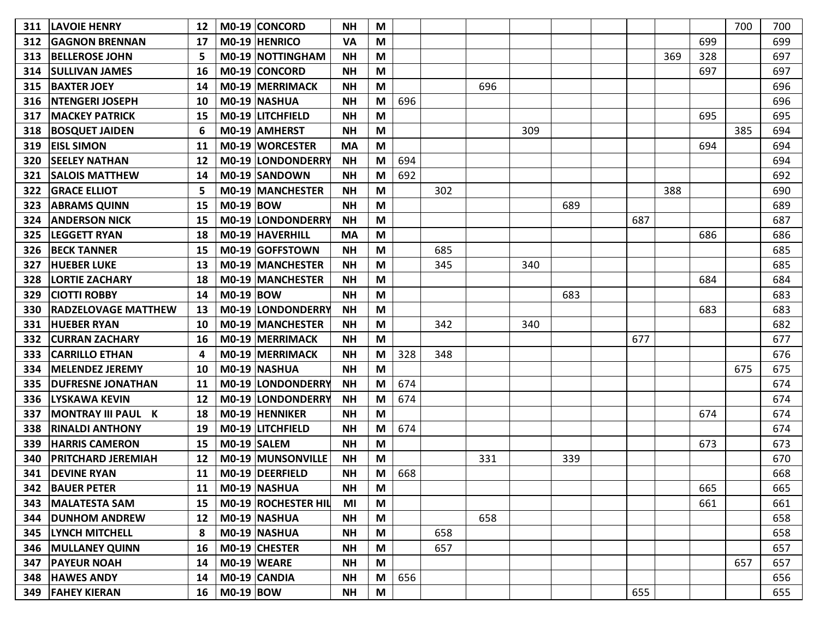| 311 | <b>LAVOIE HENRY</b>        | 12 |             | M0-19 CONCORD            | <b>NH</b> | M |     |     |     |     |     |     |     |     | 700 | 700 |
|-----|----------------------------|----|-------------|--------------------------|-----------|---|-----|-----|-----|-----|-----|-----|-----|-----|-----|-----|
| 312 | <b>GAGNON BRENNAN</b>      | 17 |             | M0-19 HENRICO            | <b>VA</b> | M |     |     |     |     |     |     |     | 699 |     | 699 |
| 313 | <b>BELLEROSE JOHN</b>      | 5  |             | <b>M0-19 NOTTINGHAM</b>  | <b>NH</b> | M |     |     |     |     |     |     | 369 | 328 |     | 697 |
| 314 | <b>SULLIVAN JAMES</b>      | 16 |             | M0-19 CONCORD            | <b>NH</b> | M |     |     |     |     |     |     |     | 697 |     | 697 |
| 315 | <b>BAXTER JOEY</b>         | 14 |             | M0-19 MERRIMACK          | <b>NH</b> | M |     |     | 696 |     |     |     |     |     |     | 696 |
| 316 | <b>NTENGERI JOSEPH</b>     | 10 |             | M0-19 NASHUA             | <b>NH</b> | M | 696 |     |     |     |     |     |     |     |     | 696 |
| 317 | <b>MACKEY PATRICK</b>      | 15 |             | M0-19 LITCHFIELD         | <b>NH</b> | M |     |     |     |     |     |     |     | 695 |     | 695 |
| 318 | <b>BOSQUET JAIDEN</b>      | 6  |             | M0-19 AMHERST            | <b>NH</b> | M |     |     |     | 309 |     |     |     |     | 385 | 694 |
| 319 | <b>EISL SIMON</b>          | 11 |             | M0-19 WORCESTER          | <b>MA</b> | M |     |     |     |     |     |     |     | 694 |     | 694 |
| 320 | <b>SEELEY NATHAN</b>       | 12 |             | M0-19 LONDONDERRY        | <b>NH</b> | M | 694 |     |     |     |     |     |     |     |     | 694 |
| 321 | <b>SALOIS MATTHEW</b>      | 14 |             | M0-19 SANDOWN            | <b>NH</b> | M | 692 |     |     |     |     |     |     |     |     | 692 |
| 322 | <b>GRACE ELLIOT</b>        | 5  |             | M0-19 MANCHESTER         | <b>NH</b> | M |     | 302 |     |     |     |     | 388 |     |     | 690 |
| 323 | <b>ABRAMS QUINN</b>        | 15 | M0-19 BOW   |                          | <b>NH</b> | M |     |     |     |     | 689 |     |     |     |     | 689 |
| 324 | <b>ANDERSON NICK</b>       | 15 |             | <b>M0-19 LONDONDERRY</b> | <b>NH</b> | M |     |     |     |     |     | 687 |     |     |     | 687 |
| 325 | <b>LEGGETT RYAN</b>        | 18 |             | M0-19 HAVERHILL          | <b>MA</b> | M |     |     |     |     |     |     |     | 686 |     | 686 |
| 326 | <b>BECK TANNER</b>         | 15 |             | M0-19 GOFFSTOWN          | <b>NH</b> | M |     | 685 |     |     |     |     |     |     |     | 685 |
| 327 | <b>HUEBER LUKE</b>         | 13 |             | M0-19 MANCHESTER         | <b>NH</b> | M |     | 345 |     | 340 |     |     |     |     |     | 685 |
| 328 | <b>LORTIE ZACHARY</b>      | 18 |             | <b>MO-19 MANCHESTER</b>  | <b>NH</b> | M |     |     |     |     |     |     |     | 684 |     | 684 |
| 329 | <b>CIOTTI ROBBY</b>        | 14 | M0-19 BOW   |                          | <b>NH</b> | M |     |     |     |     | 683 |     |     |     |     | 683 |
| 330 | <b>RADZELOVAGE MATTHEW</b> | 13 |             | M0-19 LONDONDERRY        | <b>NH</b> | M |     |     |     |     |     |     |     | 683 |     | 683 |
| 331 | <b>HUEBER RYAN</b>         | 10 |             | M0-19 MANCHESTER         | <b>NH</b> | M |     | 342 |     | 340 |     |     |     |     |     | 682 |
| 332 | <b>CURRAN ZACHARY</b>      | 16 |             | M0-19 MERRIMACK          | <b>NH</b> | M |     |     |     |     |     | 677 |     |     |     | 677 |
| 333 | <b>CARRILLO ETHAN</b>      | 4  |             | <b>M0-19 MERRIMACK</b>   | <b>NH</b> | M | 328 | 348 |     |     |     |     |     |     |     | 676 |
| 334 | <b>MELENDEZ JEREMY</b>     | 10 |             | M0-19 NASHUA             | <b>NH</b> | M |     |     |     |     |     |     |     |     | 675 | 675 |
| 335 | <b>DUFRESNE JONATHAN</b>   | 11 |             | M0-19 LONDONDERRY        | <b>NH</b> | M | 674 |     |     |     |     |     |     |     |     | 674 |
| 336 | <b>LYSKAWA KEVIN</b>       | 12 |             | <b>M0-19 LONDONDERRY</b> | <b>NH</b> | M | 674 |     |     |     |     |     |     |     |     | 674 |
| 337 | <b>MONTRAY III PAUL K</b>  | 18 |             | M0-19 HENNIKER           | <b>NH</b> | M |     |     |     |     |     |     |     | 674 |     | 674 |
| 338 | <b>RINALDI ANTHONY</b>     | 19 |             | <b>MO-19 LITCHFIELD</b>  | <b>NH</b> | M | 674 |     |     |     |     |     |     |     |     | 674 |
| 339 | <b>HARRIS CAMERON</b>      | 15 |             | M0-19 SALEM              | <b>NH</b> | M |     |     |     |     |     |     |     | 673 |     | 673 |
| 340 | PRITCHARD JEREMIAH         | 12 |             | <b>M0-19 MUNSONVILLE</b> | <b>NH</b> | М |     |     | 331 |     | 339 |     |     |     |     | 670 |
| 341 | <b>DEVINE RYAN</b>         | 11 |             | M0-19 DEERFIELD          | <b>NH</b> | М | 668 |     |     |     |     |     |     |     |     | 668 |
| 342 | <b>BAUER PETER</b>         | 11 |             | M0-19 NASHUA             | <b>NH</b> | M |     |     |     |     |     |     |     | 665 |     | 665 |
| 343 | <b>MALATESTA SAM</b>       | 15 |             | M0-19 ROCHESTER HIL      | MI        | M |     |     |     |     |     |     |     | 661 |     | 661 |
| 344 | <b>DUNHOM ANDREW</b>       | 12 |             | M0-19 NASHUA             | <b>NH</b> | M |     |     | 658 |     |     |     |     |     |     | 658 |
|     | 345  LYNCH MITCHELL        | 8  |             | M0-19 NASHUA             | <b>NH</b> | M |     | 658 |     |     |     |     |     |     |     | 658 |
| 346 | <b>MULLANEY QUINN</b>      | 16 |             | $MO-19$ CHESTER          | <b>NH</b> | M |     | 657 |     |     |     |     |     |     |     | 657 |
| 347 | <b>PAYEUR NOAH</b>         | 14 |             | $MO-19$ WEARE            | <b>NH</b> | M |     |     |     |     |     |     |     |     | 657 | 657 |
|     | 348 HAWES ANDY             | 14 |             | M0-19 CANDIA             | <b>NH</b> | M | 656 |     |     |     |     |     |     |     |     | 656 |
|     | <b>349 FAHEY KIERAN</b>    | 16 | $MO-19$ BOW |                          | <b>NH</b> | M |     |     |     |     |     | 655 |     |     |     | 655 |
|     |                            |    |             |                          |           |   |     |     |     |     |     |     |     |     |     |     |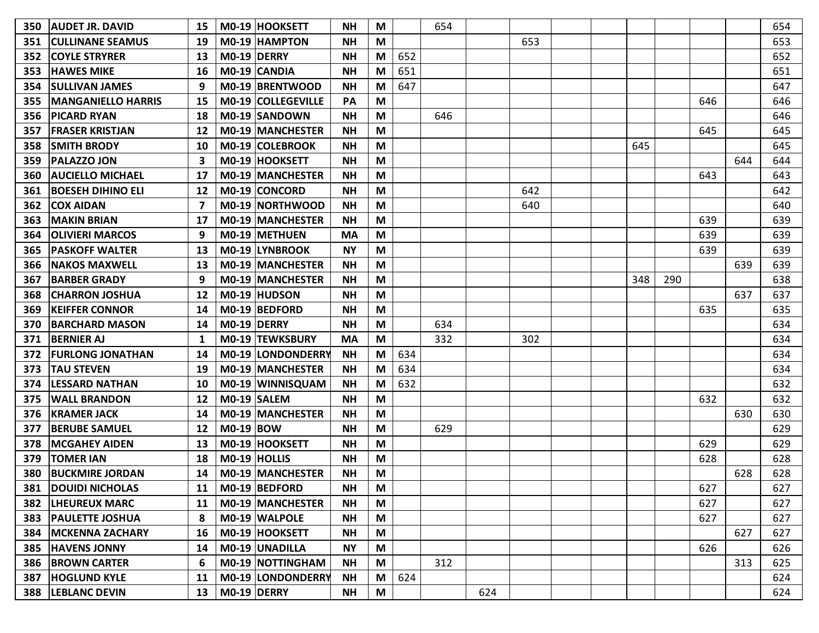| 350 | <b>AUDET JR. DAVID</b>    | 15 | M0-19 HOOKSETT            | <b>NH</b> | M |     | 654 |     |     |     |     |     |     | 654 |
|-----|---------------------------|----|---------------------------|-----------|---|-----|-----|-----|-----|-----|-----|-----|-----|-----|
| 351 | <b>CULLINANE SEAMUS</b>   | 19 | M0-19 HAMPTON             | <b>NH</b> | M |     |     |     | 653 |     |     |     |     | 653 |
| 352 | <b>COYLE STRYRER</b>      | 13 | M0-19 DERRY               | <b>NH</b> | M | 652 |     |     |     |     |     |     |     | 652 |
| 353 | <b>HAWES MIKE</b>         | 16 | M0-19 CANDIA              | <b>NH</b> | M | 651 |     |     |     |     |     |     |     | 651 |
| 354 | <b>SULLIVAN JAMES</b>     | 9  | M0-19 BRENTWOOD           | <b>NH</b> | M | 647 |     |     |     |     |     |     |     | 647 |
| 355 | <b>MANGANIELLO HARRIS</b> | 15 | <b>M0-19 COLLEGEVILLE</b> | PA        | M |     |     |     |     |     |     | 646 |     | 646 |
| 356 | <b>PICARD RYAN</b>        | 18 | M0-19 SANDOWN             | <b>NH</b> | M |     | 646 |     |     |     |     |     |     | 646 |
| 357 | <b>FRASER KRISTJAN</b>    | 12 | <b>MO-19 MANCHESTER</b>   | <b>NH</b> | M |     |     |     |     |     |     | 645 |     | 645 |
| 358 | <b>SMITH BRODY</b>        | 10 | M0-19 COLEBROOK           | <b>NH</b> | M |     |     |     |     | 645 |     |     |     | 645 |
| 359 | <b>PALAZZO JON</b>        | 3  | M0-19 HOOKSETT            | <b>NH</b> | M |     |     |     |     |     |     |     | 644 | 644 |
| 360 | <b>AUCIELLO MICHAEL</b>   | 17 | <b>M0-19 MANCHESTER</b>   | <b>NH</b> | M |     |     |     |     |     |     | 643 |     | 643 |
| 361 | <b>BOESEH DIHINO ELI</b>  | 12 | M0-19 CONCORD             | <b>NH</b> | M |     |     |     | 642 |     |     |     |     | 642 |
| 362 | <b>COX AIDAN</b>          | 7  | <b>M0-19 NORTHWOOD</b>    | <b>NH</b> | M |     |     |     | 640 |     |     |     |     | 640 |
| 363 | <b>MAKIN BRIAN</b>        | 17 | <b>M0-19 MANCHESTER</b>   | <b>NH</b> | M |     |     |     |     |     |     | 639 |     | 639 |
| 364 | <b>OLIVIERI MARCOS</b>    | 9  | M0-19 METHUEN             | <b>MA</b> | M |     |     |     |     |     |     | 639 |     | 639 |
| 365 | <b>PASKOFF WALTER</b>     | 13 | M0-19 LYNBROOK            | <b>NY</b> | M |     |     |     |     |     |     | 639 |     | 639 |
| 366 | <b>NAKOS MAXWELL</b>      | 13 | M0-19 MANCHESTER          | <b>NH</b> | M |     |     |     |     |     |     |     | 639 | 639 |
| 367 | <b>BARBER GRADY</b>       | 9  | <b>M0-19 MANCHESTER</b>   | <b>NH</b> | M |     |     |     |     | 348 | 290 |     |     | 638 |
| 368 | <b>ICHARRON JOSHUA</b>    | 12 | M0-19 HUDSON              | <b>NH</b> | M |     |     |     |     |     |     |     | 637 | 637 |
| 369 | <b>KEIFFER CONNOR</b>     | 14 | M0-19 BEDFORD             | <b>NH</b> | M |     |     |     |     |     |     | 635 |     | 635 |
| 370 | <b>BARCHARD MASON</b>     | 14 | M0-19 DERRY               | <b>NH</b> | M |     | 634 |     |     |     |     |     |     | 634 |
| 371 | <b>BERNIER AJ</b>         | 1  | M0-19 TEWKSBURY           | <b>MA</b> | M |     | 332 |     | 302 |     |     |     |     | 634 |
| 372 | <b>FURLONG JONATHAN</b>   | 14 | <b>M0-19 LONDONDERRY</b>  | <b>NH</b> | M | 634 |     |     |     |     |     |     |     | 634 |
| 373 | <b>TAU STEVEN</b>         | 19 | <b>M0-19 MANCHESTER</b>   | <b>NH</b> | M | 634 |     |     |     |     |     |     |     | 634 |
| 374 | <b>LESSARD NATHAN</b>     | 10 | M0-19 WINNISQUAM          | <b>NH</b> | M | 632 |     |     |     |     |     |     |     | 632 |
| 375 | <b>WALL BRANDON</b>       | 12 | M0-19 SALEM               | <b>NH</b> | M |     |     |     |     |     |     | 632 |     | 632 |
| 376 | <b>KRAMER JACK</b>        | 14 | M0-19 MANCHESTER          | <b>NH</b> | M |     |     |     |     |     |     |     | 630 | 630 |
| 377 | <b>BERUBE SAMUEL</b>      | 12 | <b>M0-19 BOW</b>          | <b>NH</b> | M |     | 629 |     |     |     |     |     |     | 629 |
| 378 | <b>MCGAHEY AIDEN</b>      | 13 | M0-19 HOOKSETT            | <b>NH</b> | M |     |     |     |     |     |     | 629 |     | 629 |
| 379 | <b>TOMER IAN</b>          | 18 | M0-19 HOLLIS              | <b>NH</b> | M |     |     |     |     |     |     | 628 |     | 628 |
| 380 | <b>BUCKMIRE JORDAN</b>    | 14 | <b>M0-19 MANCHESTER</b>   | <b>NH</b> | М |     |     |     |     |     |     |     | 628 | 628 |
| 381 | <b>DOUIDI NICHOLAS</b>    | 11 | M0-19 BEDFORD             | <b>NH</b> | M |     |     |     |     |     |     | 627 |     | 627 |
|     | 382   LHEUREUX MARC       | 11 | M0-19 MANCHESTER          | <b>NH</b> | M |     |     |     |     |     |     | 627 |     | 627 |
| 383 | <b>PAULETTE JOSHUA</b>    | 8  | M0-19 WALPOLE             | <b>NH</b> | M |     |     |     |     |     |     | 627 |     | 627 |
|     | 384   MCKENNA ZACHARY     | 16 | M0-19 HOOKSETT            | <b>NH</b> | M |     |     |     |     |     |     |     | 627 | 627 |
|     | 385 HAVENS JONNY          | 14 | M0-19 UNADILLA            | <b>NY</b> | M |     |     |     |     |     |     | 626 |     | 626 |
|     | 386   BROWN CARTER        | 6  | M0-19 NOTTINGHAM          | <b>NH</b> | M |     | 312 |     |     |     |     |     | 313 | 625 |
|     | 387 HOGLUND KYLE          | 11 | M0-19 LONDONDERRY         | <b>NH</b> | M | 624 |     |     |     |     |     |     |     | 624 |
|     | 388  LEBLANC DEVIN        | 13 | M0-19 DERRY               | <b>NH</b> | M |     |     | 624 |     |     |     |     |     | 624 |
|     |                           |    |                           |           |   |     |     |     |     |     |     |     |     |     |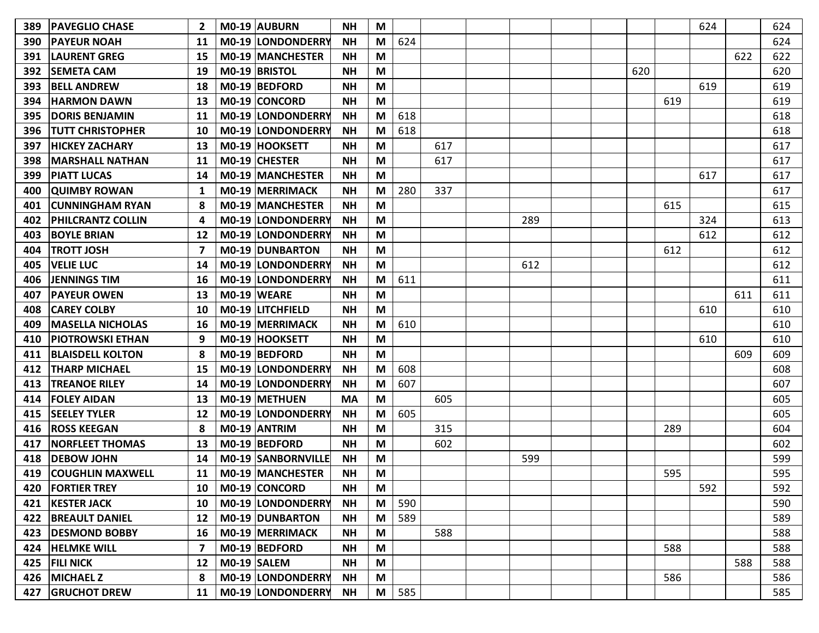| 389 | <b>PAVEGLIO CHASE</b>    |    | M0-19 AUBURN            | <b>NH</b> | M |     |     |     |     |     | 624 |     | 624 |
|-----|--------------------------|----|-------------------------|-----------|---|-----|-----|-----|-----|-----|-----|-----|-----|
| 390 | <b>PAYEUR NOAH</b>       | 11 | M0-19 LONDONDERRY       | <b>NH</b> | M | 624 |     |     |     |     |     |     | 624 |
| 391 | <b>LAURENT GREG</b>      | 15 | <b>MO-19 MANCHESTER</b> | <b>NH</b> | M |     |     |     |     |     |     | 622 | 622 |
| 392 | <b>SEMETA CAM</b>        | 19 | M0-19 BRISTOL           | <b>NH</b> | M |     |     |     | 620 |     |     |     | 620 |
| 393 | <b>BELL ANDREW</b>       | 18 | $MO-19$ BEDFORD         | <b>NH</b> | M |     |     |     |     |     | 619 |     | 619 |
| 394 | <b>HARMON DAWN</b>       | 13 | M0-19 CONCORD           | <b>NH</b> | M |     |     |     |     | 619 |     |     | 619 |
| 395 | <b>DORIS BENJAMIN</b>    | 11 | M0-19 LONDONDERRY       | <b>NH</b> | M | 618 |     |     |     |     |     |     | 618 |
| 396 | <b>TUTT CHRISTOPHER</b>  | 10 | M0-19 LONDONDERRY       | <b>NH</b> | M | 618 |     |     |     |     |     |     | 618 |
| 397 | <b>HICKEY ZACHARY</b>    | 13 | M0-19 HOOKSETT          | <b>NH</b> | M |     | 617 |     |     |     |     |     | 617 |
| 398 | <b>MARSHALL NATHAN</b>   | 11 | M0-19 CHESTER           | <b>NH</b> | M |     | 617 |     |     |     |     |     | 617 |
| 399 | <b>PIATT LUCAS</b>       | 14 | <b>M0-19 MANCHESTER</b> | <b>NH</b> | M |     |     |     |     |     | 617 |     | 617 |
| 400 | <b>QUIMBY ROWAN</b>      | 1  | M0-19 MERRIMACK         | <b>NH</b> | M | 280 | 337 |     |     |     |     |     | 617 |
| 401 | <b>CUNNINGHAM RYAN</b>   | 8  | <b>MO-19 MANCHESTER</b> | <b>NH</b> | M |     |     |     |     | 615 |     |     | 615 |
| 402 | <b>PHILCRANTZ COLLIN</b> | 4  | M0-19 LONDONDERRY       | <b>NH</b> | M |     |     | 289 |     |     | 324 |     | 613 |
| 403 | <b>BOYLE BRIAN</b>       | 12 | M0-19 LONDONDERRY       | <b>NH</b> | M |     |     |     |     |     | 612 |     | 612 |
| 404 | <b>TROTT JOSH</b>        | 7  | M0-19 DUNBARTON         | <b>NH</b> | M |     |     |     |     | 612 |     |     | 612 |
| 405 | <b>VELIE LUC</b>         | 14 | M0-19 LONDONDERRY       | <b>NH</b> | M |     |     | 612 |     |     |     |     | 612 |
| 406 | <b>JENNINGS TIM</b>      | 16 | M0-19 LONDONDERRY       | <b>NH</b> | M | 611 |     |     |     |     |     |     | 611 |
| 407 | <b>PAYEUR OWEN</b>       | 13 | M0-19 WEARE             | <b>NH</b> | M |     |     |     |     |     |     | 611 | 611 |
| 408 | <b>CAREY COLBY</b>       | 10 | M0-19 LITCHFIELD        | <b>NH</b> | M |     |     |     |     |     | 610 |     | 610 |
| 409 | <b>MASELLA NICHOLAS</b>  | 16 | M0-19 MERRIMACK         | <b>NH</b> | M | 610 |     |     |     |     |     |     | 610 |
| 410 | <b>PIOTROWSKI ETHAN</b>  | 9  | M0-19 HOOKSETT          | <b>NH</b> | M |     |     |     |     |     | 610 |     | 610 |
| 411 | <b>BLAISDELL KOLTON</b>  | 8  | M0-19 BEDFORD           | <b>NH</b> | M |     |     |     |     |     |     | 609 | 609 |
| 412 | <b>THARP MICHAEL</b>     | 15 | M0-19 LONDONDERRY       | <b>NH</b> | M | 608 |     |     |     |     |     |     | 608 |
| 413 | <b>TREANOE RILEY</b>     | 14 | M0-19 LONDONDERRY       | <b>NH</b> | M | 607 |     |     |     |     |     |     | 607 |
| 414 | <b>FOLEY AIDAN</b>       | 13 | M0-19 METHUEN           | <b>MA</b> | M |     | 605 |     |     |     |     |     | 605 |
| 415 | <b>SEELEY TYLER</b>      | 12 | M0-19 LONDONDERRY       | <b>NH</b> | M | 605 |     |     |     |     |     |     | 605 |
| 416 | <b>ROSS KEEGAN</b>       | 8  | M0-19 ANTRIM            | <b>NH</b> | M |     | 315 |     |     | 289 |     |     | 604 |
| 417 | <b>NORFLEET THOMAS</b>   | 13 | M0-19 BEDFORD           | <b>NH</b> | M |     | 602 |     |     |     |     |     | 602 |
| 418 | <b>DEBOW JOHN</b>        | 14 | M0-19   SANBORNVILLE    | <b>NH</b> | M |     |     | 599 |     |     |     |     | 599 |
| 419 | <b>COUGHLIN MAXWELL</b>  | 11 | M0-19 MANCHESTER        | <b>NH</b> | M |     |     |     |     | 595 |     |     | 595 |
|     | 420   FORTIER TREY       |    | 10   M0-19   CONCORD    | <b>NH</b> | M |     |     |     |     |     | 592 |     | 592 |
| 421 | <b>KESTER JACK</b>       | 10 | M0-19 LONDONDERRY       | <b>NH</b> | M | 590 |     |     |     |     |     |     | 590 |
|     | 422 BREAULT DANIEL       | 12 | M0-19 DUNBARTON         | <b>NH</b> | M | 589 |     |     |     |     |     |     | 589 |
|     | 423   DESMOND BOBBY      | 16 | M0-19 MERRIMACK         | <b>NH</b> | M |     | 588 |     |     |     |     |     | 588 |
|     | 424 HELMKE WILL          | 7  | M0-19 BEDFORD           | <b>NH</b> | M |     |     |     |     | 588 |     |     | 588 |
|     | 425 FILI NICK            | 12 | M0-19 SALEM             | <b>NH</b> | M |     |     |     |     |     |     | 588 | 588 |
|     | 426 MICHAEL Z            | 8  | M0-19 LONDONDERRY       | <b>NH</b> | M |     |     |     |     | 586 |     |     | 586 |
|     | 427 GRUCHOT DREW         | 11 | M0-19 LONDONDERRY       | <b>NH</b> | M | 585 |     |     |     |     |     |     | 585 |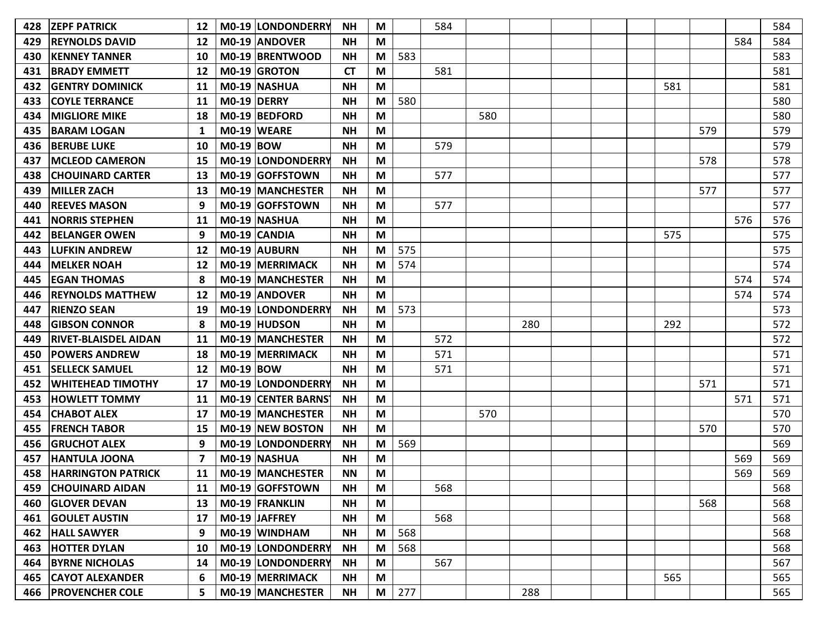| 428 | <b>ZEPF PATRICK</b>         | 12 |             | M0-19 LONDONDERRY        | <b>NH</b> | M |     | 584 |     |     |  |     |     |     | 584 |
|-----|-----------------------------|----|-------------|--------------------------|-----------|---|-----|-----|-----|-----|--|-----|-----|-----|-----|
| 429 | <b>REYNOLDS DAVID</b>       | 12 |             | M0-19 ANDOVER            | <b>NH</b> | M |     |     |     |     |  |     |     | 584 | 584 |
| 430 | <b>KENNEY TANNER</b>        | 10 |             | M0-19 BRENTWOOD          | <b>NH</b> | M | 583 |     |     |     |  |     |     |     | 583 |
| 431 | <b>BRADY EMMETT</b>         | 12 |             | M0-19 GROTON             | <b>CT</b> | M |     | 581 |     |     |  |     |     |     | 581 |
| 432 | <b>GENTRY DOMINICK</b>      | 11 |             | M0-19 NASHUA             | <b>NH</b> | M |     |     |     |     |  | 581 |     |     | 581 |
| 433 | <b>COYLE TERRANCE</b>       | 11 | M0-19 DERRY |                          | <b>NH</b> | M | 580 |     |     |     |  |     |     |     | 580 |
| 434 | <b>MIGLIORE MIKE</b>        | 18 |             | M0-19 BEDFORD            | <b>NH</b> | M |     |     | 580 |     |  |     |     |     | 580 |
| 435 | <b>BARAM LOGAN</b>          | 1  |             | M0-19 WEARE              | <b>NH</b> | M |     |     |     |     |  |     | 579 |     | 579 |
| 436 | <b>BERUBE LUKE</b>          | 10 | $MO-19$ BOW |                          | <b>NH</b> | M |     | 579 |     |     |  |     |     |     | 579 |
| 437 | <b>MCLEOD CAMERON</b>       | 15 |             | M0-19 LONDONDERRY        | <b>NH</b> | M |     |     |     |     |  |     | 578 |     | 578 |
| 438 | <b>CHOUINARD CARTER</b>     | 13 |             | M0-19 GOFFSTOWN          | <b>NH</b> | M |     | 577 |     |     |  |     |     |     | 577 |
| 439 | <b>MILLER ZACH</b>          | 13 |             | M0-19 MANCHESTER         | <b>NH</b> | M |     |     |     |     |  |     | 577 |     | 577 |
| 440 | <b>REEVES MASON</b>         | 9  |             | M0-19 GOFFSTOWN          | <b>NH</b> | M |     | 577 |     |     |  |     |     |     | 577 |
| 441 | <b>NORRIS STEPHEN</b>       | 11 |             | M0-19 NASHUA             | <b>NH</b> | M |     |     |     |     |  |     |     | 576 | 576 |
| 442 | <b>BELANGER OWEN</b>        | 9  |             | M0-19 CANDIA             | <b>NH</b> | M |     |     |     |     |  | 575 |     |     | 575 |
| 443 | <b>LUFKIN ANDREW</b>        | 12 |             | M0-19 AUBURN             | <b>NH</b> | M | 575 |     |     |     |  |     |     |     | 575 |
| 444 | <b>MELKER NOAH</b>          | 12 |             | <b>MO-19 MERRIMACK</b>   | <b>NH</b> | M | 574 |     |     |     |  |     |     |     | 574 |
| 445 | <b>EGAN THOMAS</b>          |    |             | <b>M0-19 MANCHESTER</b>  | <b>NH</b> | M |     |     |     |     |  |     |     | 574 | 574 |
| 446 | <b>REYNOLDS MATTHEW</b>     | 12 |             | M0-19 ANDOVER            | <b>NH</b> | M |     |     |     |     |  |     |     | 574 | 574 |
| 447 | <b>RIENZO SEAN</b>          | 19 |             | <b>M0-19 LONDONDERRY</b> | <b>NH</b> | M | 573 |     |     |     |  |     |     |     | 573 |
| 448 | <b>GIBSON CONNOR</b>        |    |             | M0-19 HUDSON             | <b>NH</b> | M |     |     |     | 280 |  | 292 |     |     | 572 |
| 449 | <b>RIVET-BLAISDEL AIDAN</b> | 11 |             | M0-19 MANCHESTER         | <b>NH</b> | M |     | 572 |     |     |  |     |     |     | 572 |
| 450 | <b>POWERS ANDREW</b>        | 18 |             | M0-19 MERRIMACK          | <b>NH</b> | M |     | 571 |     |     |  |     |     |     | 571 |
| 451 | <b>SELLECK SAMUEL</b>       | 12 | $MO-19$ BOW |                          | <b>NH</b> | M |     | 571 |     |     |  |     |     |     | 571 |
| 452 | <b>WHITEHEAD TIMOTHY</b>    | 17 |             | M0-19 LONDONDERRY        | <b>NH</b> | M |     |     |     |     |  |     | 571 |     | 571 |
| 453 | <b>HOWLETT TOMMY</b>        | 11 |             | MO-19 CENTER BARNS       | <b>NH</b> | M |     |     |     |     |  |     |     | 571 | 571 |
| 454 | <b>CHABOT ALEX</b>          | 17 |             | M0-19 MANCHESTER         | <b>NH</b> | M |     |     | 570 |     |  |     |     |     | 570 |
| 455 | <b>FRENCH TABOR</b>         | 15 |             | M0-19 NEW BOSTON         | <b>NH</b> | M |     |     |     |     |  |     | 570 |     | 570 |
| 456 | <b>GRUCHOT ALEX</b>         | 9  |             | M0-19 LONDONDERRY        | <b>NH</b> | M | 569 |     |     |     |  |     |     |     | 569 |
| 457 | <b>HANTULA JOONA</b>        |    |             | M0-19 NASHUA             | <b>NH</b> | M |     |     |     |     |  |     |     | 569 | 569 |
| 458 | <b>HARRINGTON PATRICK</b>   | 11 |             | M0-19 MANCHESTER         | <b>NN</b> | M |     |     |     |     |  |     |     | 569 | 569 |
|     | 459 CHOUINARD AIDAN         |    |             | 11   M0-19   GOFFSTOWN   | <b>NH</b> | M |     | 568 |     |     |  |     |     |     | 568 |
|     | 460 GLOVER DEVAN            | 13 |             | M0-19 FRANKLIN           | <b>NH</b> | M |     |     |     |     |  |     | 568 |     | 568 |
|     | 461 GOULET AUSTIN           | 17 |             | M0-19 JAFFREY            | <b>NH</b> | M |     | 568 |     |     |  |     |     |     | 568 |
| 462 | <b>HALL SAWYER</b>          | 9  |             | M0-19 WINDHAM            | <b>NH</b> | M | 568 |     |     |     |  |     |     |     | 568 |
| 463 | <b>HOTTER DYLAN</b>         | 10 |             | M0-19 LONDONDERRY        | <b>NH</b> | M | 568 |     |     |     |  |     |     |     | 568 |
|     | 464 BYRNE NICHOLAS          | 14 |             | M0-19 LONDONDERRY        | <b>NH</b> | M |     | 567 |     |     |  |     |     |     | 567 |
|     | 465   CAYOT ALEXANDER       | 6  |             | M0-19 MERRIMACK          | <b>NH</b> | M |     |     |     |     |  | 565 |     |     | 565 |
|     | 466 PROVENCHER COLE         | 5  |             | M0-19 MANCHESTER         | <b>NH</b> | M | 277 |     |     | 288 |  |     |     |     | 565 |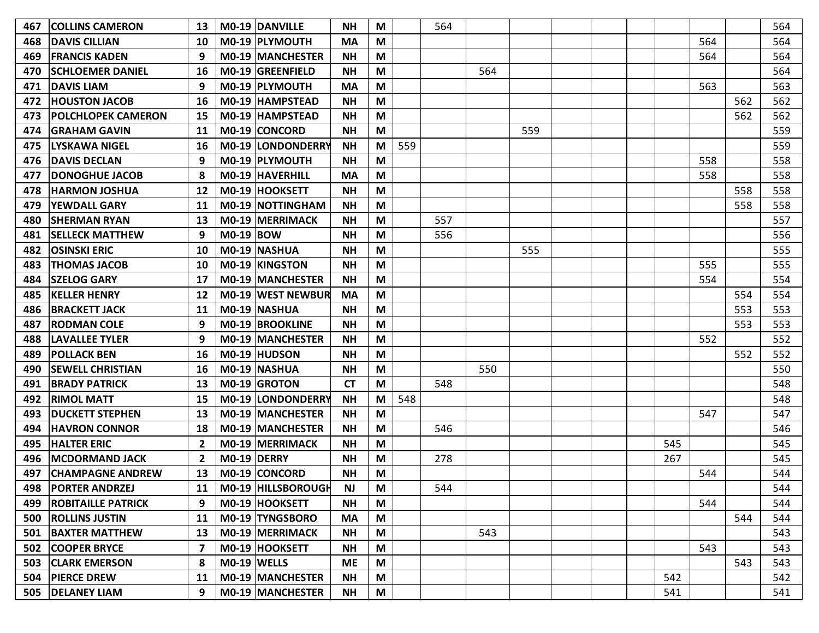| 467 | <b>COLLINS CAMERON</b>    | 13             |             | M0-19 DANVILLE            | <b>NH</b> | M |     | 564 |     |     |  |     |     |     | 564 |
|-----|---------------------------|----------------|-------------|---------------------------|-----------|---|-----|-----|-----|-----|--|-----|-----|-----|-----|
| 468 | <b>DAVIS CILLIAN</b>      | 10             |             | M0-19 PLYMOUTH            | <b>MA</b> | M |     |     |     |     |  |     | 564 |     | 564 |
| 469 | <b>FRANCIS KADEN</b>      | 9              |             | <b>M0-19 MANCHESTER</b>   | <b>NH</b> | M |     |     |     |     |  |     | 564 |     | 564 |
| 470 | <b>SCHLOEMER DANIEL</b>   | 16             |             | M0-19 GREENFIELD          | <b>NH</b> | M |     |     | 564 |     |  |     |     |     | 564 |
| 471 | <b>DAVIS LIAM</b>         | 9              |             | M0-19 PLYMOUTH            | <b>MA</b> | M |     |     |     |     |  |     | 563 |     | 563 |
| 472 | <b>HOUSTON JACOB</b>      | 16             |             | M0-19 HAMPSTEAD           | <b>NH</b> | M |     |     |     |     |  |     |     | 562 | 562 |
| 473 | <b>POLCHLOPEK CAMERON</b> | 15             |             | M0-19 HAMPSTEAD           | <b>NH</b> | M |     |     |     |     |  |     |     | 562 | 562 |
| 474 | <b>GRAHAM GAVIN</b>       | 11             |             | M0-19 CONCORD             | <b>NH</b> | M |     |     |     | 559 |  |     |     |     | 559 |
| 475 | <b>LYSKAWA NIGEL</b>      | 16             |             | M0-19 LONDONDERRY         | <b>NH</b> | M | 559 |     |     |     |  |     |     |     | 559 |
| 476 | <b>DAVIS DECLAN</b>       | 9              |             | M0-19 PLYMOUTH            | <b>NH</b> | M |     |     |     |     |  |     | 558 |     | 558 |
| 477 | <b>DONOGHUE JACOB</b>     |                |             | M0-19 HAVERHILL           | <b>MA</b> | M |     |     |     |     |  |     | 558 |     | 558 |
| 478 | <b>HARMON JOSHUA</b>      | 12             |             | M0-19 HOOKSETT            | <b>NH</b> | M |     |     |     |     |  |     |     | 558 | 558 |
| 479 | <b>YEWDALL GARY</b>       | 11             |             | M0-19 NOTTINGHAM          | <b>NH</b> | M |     |     |     |     |  |     |     | 558 | 558 |
| 480 | <b>SHERMAN RYAN</b>       | 13             |             | M0-19 MERRIMACK           | <b>NH</b> | M |     | 557 |     |     |  |     |     |     | 557 |
| 481 | <b>SELLECK MATTHEW</b>    | 9              | $MO-19$ BOW |                           | <b>NH</b> | M |     | 556 |     |     |  |     |     |     | 556 |
| 482 | <b>OSINSKI ERIC</b>       | 10             |             | M0-19 NASHUA              | <b>NH</b> | M |     |     |     | 555 |  |     |     |     | 555 |
| 483 | <b>THOMAS JACOB</b>       | 10             |             | <b>MO-19 KINGSTON</b>     | <b>NH</b> | M |     |     |     |     |  |     | 555 |     | 555 |
| 484 | <b>SZELOG GARY</b>        | 17             |             | <b>MO-19 MANCHESTER</b>   | <b>NH</b> | M |     |     |     |     |  |     | 554 |     | 554 |
| 485 | <b>KELLER HENRY</b>       | 12             |             | M0-19 WEST NEWBUR         | <b>MA</b> | M |     |     |     |     |  |     |     | 554 | 554 |
| 486 | <b>BRACKETT JACK</b>      | 11             |             | M0-19 NASHUA              | <b>NH</b> | M |     |     |     |     |  |     |     | 553 | 553 |
| 487 | <b>RODMAN COLE</b>        | 9              |             | M0-19 BROOKLINE           | <b>NH</b> | M |     |     |     |     |  |     |     | 553 | 553 |
| 488 | <b>LAVALLEE TYLER</b>     | 9              |             | <b>M0-19 MANCHESTER</b>   | <b>NH</b> | M |     |     |     |     |  |     | 552 |     | 552 |
| 489 | <b>POLLACK BEN</b>        | 16             |             | M0-19 HUDSON              | <b>NH</b> | M |     |     |     |     |  |     |     | 552 | 552 |
| 490 | <b>SEWELL CHRISTIAN</b>   | 16             |             | M0-19 NASHUA              | <b>NH</b> | M |     |     | 550 |     |  |     |     |     | 550 |
| 491 | <b>BRADY PATRICK</b>      | 13             |             | M0-19 GROTON              | <b>CT</b> | M |     | 548 |     |     |  |     |     |     | 548 |
| 492 | <b>RIMOL MATT</b>         | 15             |             | M0-19 LONDONDERRY         | <b>NH</b> | M | 548 |     |     |     |  |     |     |     | 548 |
| 493 | <b>IDUCKETT STEPHEN</b>   | 13             |             | <b>M0-19 MANCHESTER</b>   | <b>NH</b> | M |     |     |     |     |  |     | 547 |     | 547 |
| 494 | <b>HAVRON CONNOR</b>      | 18             |             | <b>M0-19 MANCHESTER</b>   | <b>NH</b> | M |     | 546 |     |     |  |     |     |     | 546 |
| 495 | <b>HALTER ERIC</b>        | $\overline{2}$ |             | M0-19 MERRIMACK           | <b>NH</b> | M |     |     |     |     |  | 545 |     |     | 545 |
| 496 | <b>MCDORMAND JACK</b>     | 2              | M0-19 DERRY |                           | <b>NH</b> | M |     | 278 |     |     |  | 267 |     |     | 545 |
| 497 | <b>CHAMPAGNE ANDREW</b>   | 13             |             | M0-19 CONCORD             | <b>NH</b> | M |     |     |     |     |  |     | 544 |     | 544 |
|     | 498   PORTER ANDRZEJ      |                |             | 11   M0-19   HILLSBOROUGH | <b>NJ</b> | M |     | 544 |     |     |  |     |     |     | 544 |
| 499 | <b>ROBITAILLE PATRICK</b> | 9              |             | M0-19 HOOKSETT            | <b>NH</b> | M |     |     |     |     |  |     | 544 |     | 544 |
|     | 500   ROLLINS JUSTIN      | 11             |             | M0-19 TYNGSBORO           | <b>MA</b> | M |     |     |     |     |  |     |     | 544 | 544 |
| 501 | <b>BAXTER MATTHEW</b>     | 13             |             | M0-19 MERRIMACK           | <b>NH</b> | M |     |     | 543 |     |  |     |     |     | 543 |
| 502 | <b>COOPER BRYCE</b>       | 7              |             | M0-19 HOOKSETT            | <b>NH</b> | M |     |     |     |     |  |     | 543 |     | 543 |
| 503 | <b>CLARK EMERSON</b>      | 8              |             | $MO-19$ WELLS             | <b>ME</b> | M |     |     |     |     |  |     |     | 543 | 543 |
|     | 504   PIERCE DREW         | 11             |             | M0-19 MANCHESTER          | ΝH        | M |     |     |     |     |  | 542 |     |     | 542 |
|     | 505   DELANEY LIAM        | 9              |             | M0-19 MANCHESTER          | <b>NH</b> | M |     |     |     |     |  | 541 |     |     | 541 |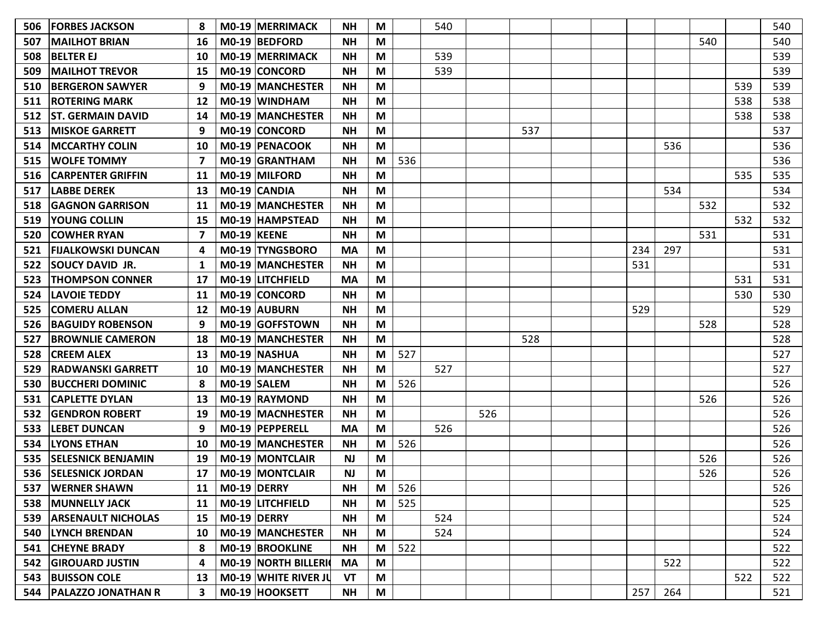| 506 | <b>FORBES JACKSON</b>     |                         |                    | M0-19 MERRIMACK         | <b>NH</b> | M |     | 540 |     |     |     |     |     |     | 540 |
|-----|---------------------------|-------------------------|--------------------|-------------------------|-----------|---|-----|-----|-----|-----|-----|-----|-----|-----|-----|
| 507 | <b>MAILHOT BRIAN</b>      | 16                      |                    | $MO-19$ BEDFORD         | <b>NH</b> | M |     |     |     |     |     |     | 540 |     | 540 |
| 508 | <b>BELTER EJ</b>          | 10                      |                    | M0-19 MERRIMACK         | <b>NH</b> | M |     | 539 |     |     |     |     |     |     | 539 |
| 509 | <b>MAILHOT TREVOR</b>     | 15                      |                    | M0-19 CONCORD           | <b>NH</b> | M |     | 539 |     |     |     |     |     |     | 539 |
| 510 | <b>BERGERON SAWYER</b>    | 9                       |                    | M0-19 MANCHESTER        | <b>NH</b> | M |     |     |     |     |     |     |     | 539 | 539 |
| 511 | <b>ROTERING MARK</b>      | 12                      |                    | M0-19 WINDHAM           | <b>NH</b> | M |     |     |     |     |     |     |     | 538 | 538 |
| 512 | <b>ST. GERMAIN DAVID</b>  | 14                      |                    | M0-19 MANCHESTER        | <b>NH</b> | M |     |     |     |     |     |     |     | 538 | 538 |
| 513 | <b>MISKOE GARRETT</b>     | 9                       |                    | M0-19 CONCORD           | <b>NH</b> | M |     |     |     | 537 |     |     |     |     | 537 |
|     | 514   MCCARTHY COLIN      | 10                      |                    | M0-19 PENACOOK          | <b>NH</b> | M |     |     |     |     |     | 536 |     |     | 536 |
| 515 | <b>WOLFE TOMMY</b>        | 7                       |                    | M0-19 GRANTHAM          | <b>NH</b> | M | 536 |     |     |     |     |     |     |     | 536 |
| 516 | <b>CARPENTER GRIFFIN</b>  | 11                      |                    | M0-19 MILFORD           | <b>NH</b> | M |     |     |     |     |     |     |     | 535 | 535 |
| 517 | <b>LABBE DEREK</b>        | 13                      |                    | M0-19 CANDIA            | <b>NH</b> | M |     |     |     |     |     | 534 |     |     | 534 |
| 518 | <b>GAGNON GARRISON</b>    | 11                      |                    | <b>M0-19 MANCHESTER</b> | <b>NH</b> | M |     |     |     |     |     |     | 532 |     | 532 |
| 519 | <b>YOUNG COLLIN</b>       | 15                      |                    | M0-19 HAMPSTEAD         | <b>NH</b> | M |     |     |     |     |     |     |     | 532 | 532 |
| 520 | <b>COWHER RYAN</b>        |                         | MO-19 KEENE        |                         | <b>NH</b> | M |     |     |     |     |     |     | 531 |     | 531 |
| 521 | <b>FIJALKOWSKI DUNCAN</b> |                         |                    | M0-19 TYNGSBORO         | <b>MA</b> | M |     |     |     |     | 234 | 297 |     |     | 531 |
| 522 | <b>SOUCY DAVID JR.</b>    |                         |                    | M0-19 MANCHESTER        | <b>NH</b> | M |     |     |     |     | 531 |     |     |     | 531 |
| 523 | <b>THOMPSON CONNER</b>    | 17                      |                    | M0-19 LITCHFIELD        | <b>MA</b> | M |     |     |     |     |     |     |     | 531 | 531 |
| 524 | <b>LAVOIE TEDDY</b>       | 11                      |                    | M0-19 CONCORD           | <b>NH</b> | M |     |     |     |     |     |     |     | 530 | 530 |
| 525 | <b>COMERU ALLAN</b>       | 12                      |                    | M0-19 AUBURN            | <b>NH</b> | M |     |     |     |     | 529 |     |     |     | 529 |
| 526 | <b>BAGUIDY ROBENSON</b>   | 9                       |                    | M0-19 GOFFSTOWN         | <b>NH</b> | M |     |     |     |     |     |     | 528 |     | 528 |
| 527 | <b>BROWNLIE CAMERON</b>   | 18                      |                    | M0-19 MANCHESTER        | <b>NH</b> | M |     |     |     | 528 |     |     |     |     | 528 |
| 528 | <b>CREEM ALEX</b>         | 13                      |                    | M0-19 NASHUA            | <b>NH</b> | M | 527 |     |     |     |     |     |     |     | 527 |
| 529 | <b>RADWANSKI GARRETT</b>  | 10                      |                    | M0-19 MANCHESTER        | <b>NH</b> | M |     | 527 |     |     |     |     |     |     | 527 |
| 530 | <b>BUCCHERI DOMINIC</b>   | 8                       |                    | M0-19 SALEM             | <b>NH</b> | M | 526 |     |     |     |     |     |     |     | 526 |
| 531 | <b>CAPLETTE DYLAN</b>     | 13                      |                    | M0-19 RAYMOND           | <b>NH</b> | M |     |     |     |     |     |     | 526 |     | 526 |
| 532 | <b>GENDRON ROBERT</b>     | 19                      |                    | M0-19 MACNHESTER        | <b>NH</b> | M |     |     | 526 |     |     |     |     |     | 526 |
| 533 | <b>LEBET DUNCAN</b>       | 9                       |                    | M0-19 PEPPERELL         | MA        | M |     | 526 |     |     |     |     |     |     | 526 |
| 534 | <b>LYONS ETHAN</b>        | 10                      |                    | M0-19 MANCHESTER        | <b>NH</b> | M | 526 |     |     |     |     |     |     |     | 526 |
| 535 | <b>SELESNICK BENJAMIN</b> | 19                      |                    | <b>M0-19 MONTCLAIR</b>  | <b>NJ</b> | M |     |     |     |     |     |     | 526 |     | 526 |
| 536 | <b>SELESNICK JORDAN</b>   | 17                      |                    | M0-19 MONTCLAIR         | <b>NJ</b> | M |     |     |     |     |     |     | 526 |     | 526 |
|     | 537   WERNER SHAWN        |                         | 11   M0-19   DERRY |                         | <b>NH</b> | M | 526 |     |     |     |     |     |     |     | 526 |
|     | 538   MUNNELLY JACK       | 11                      |                    | M0-19 LITCHFIELD        | <b>NH</b> | M | 525 |     |     |     |     |     |     |     | 525 |
|     | 539 ARSENAULT NICHOLAS    | 15                      | M0-19 DERRY        |                         | <b>NH</b> | M |     | 524 |     |     |     |     |     |     | 524 |
| 540 | <b>LYNCH BRENDAN</b>      | 10                      |                    | M0-19 MANCHESTER        | <b>NH</b> | M |     | 524 |     |     |     |     |     |     | 524 |
| 541 | <b>CHEYNE BRADY</b>       | 8                       |                    | M0-19 BROOKLINE         | <b>NH</b> | M | 522 |     |     |     |     |     |     |     | 522 |
|     | 542 GIROUARD JUSTIN       | 4                       |                    | M0-19 NORTH BILLERI     | <b>MA</b> | M |     |     |     |     |     | 522 |     |     | 522 |
|     | 543 BUISSON COLE          | 13                      |                    | M0-19 WHITE RIVER JU    | VT        | M |     |     |     |     |     |     |     | 522 | 522 |
|     | 544   PALAZZO JONATHAN R  | $\overline{\mathbf{3}}$ |                    | M0-19 HOOKSETT          | <b>NH</b> | M |     |     |     |     | 257 | 264 |     |     | 521 |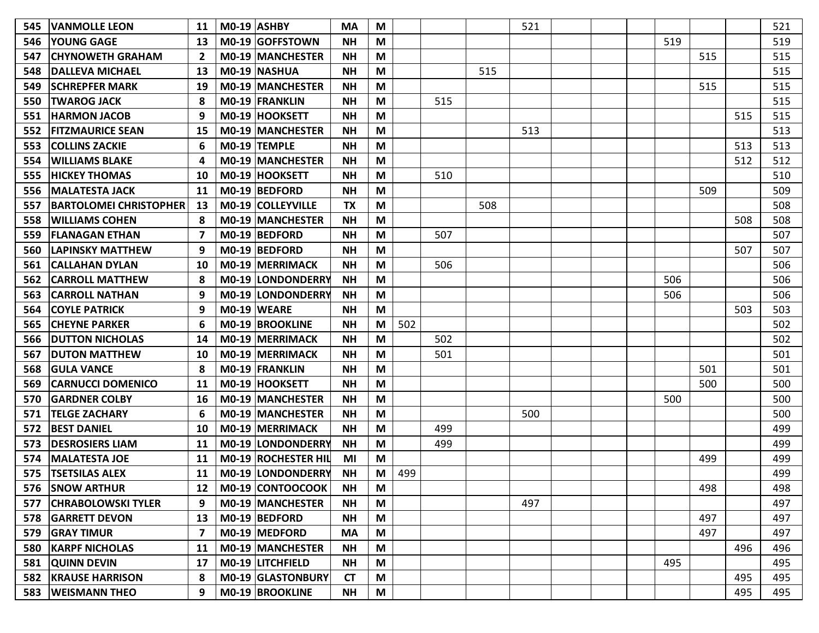| 545 | <b>VANMOLLE LEON</b>          | 11 | $MO-19$ $ASHBY$          | <b>MA</b> | M |     |     |     | 521 |  |     |     |     | 521 |
|-----|-------------------------------|----|--------------------------|-----------|---|-----|-----|-----|-----|--|-----|-----|-----|-----|
| 546 | <b>YOUNG GAGE</b>             | 13 | M0-19 GOFFSTOWN          | <b>NH</b> | M |     |     |     |     |  | 519 |     |     | 519 |
| 547 | <b>CHYNOWETH GRAHAM</b>       | 2  | M0-19 MANCHESTER         | ΝH        | M |     |     |     |     |  |     | 515 |     | 515 |
| 548 | DALLEVA MICHAEL               | 13 | M0-19 NASHUA             | <b>NH</b> | M |     |     | 515 |     |  |     |     |     | 515 |
| 549 | <b>SCHREPFER MARK</b>         | 19 | M0-19 MANCHESTER         | <b>NH</b> | M |     |     |     |     |  |     | 515 |     | 515 |
| 550 | <b>TWAROG JACK</b>            | 8  | M0-19 FRANKLIN           | <b>NH</b> | M |     | 515 |     |     |  |     |     |     | 515 |
| 551 | <b>HARMON JACOB</b>           | 9  | M0-19 HOOKSETT           | <b>NH</b> | M |     |     |     |     |  |     |     | 515 | 515 |
| 552 | <b>FITZMAURICE SEAN</b>       | 15 | <b>M0-19 MANCHESTER</b>  | <b>NH</b> | M |     |     |     | 513 |  |     |     |     | 513 |
| 553 | <b>COLLINS ZACKIE</b>         | 6  | M0-19 TEMPLE             | <b>NH</b> | M |     |     |     |     |  |     |     | 513 | 513 |
| 554 | <b>WILLIAMS BLAKE</b>         | Δ  | M0-19 MANCHESTER         | <b>NH</b> | M |     |     |     |     |  |     |     | 512 | 512 |
| 555 | <b>HICKEY THOMAS</b>          | 10 | M0-19 HOOKSETT           | <b>NH</b> | M |     | 510 |     |     |  |     |     |     | 510 |
| 556 | <b>MALATESTA JACK</b>         | 11 | M0-19 BEDFORD            | <b>NH</b> | M |     |     |     |     |  |     | 509 |     | 509 |
| 557 | <b>BARTOLOMEI CHRISTOPHER</b> | 13 | M0-19 COLLEYVILLE        | <b>TX</b> | M |     |     | 508 |     |  |     |     |     | 508 |
| 558 | <b>WILLIAMS COHEN</b>         | 8  | M0-19 MANCHESTER         | <b>NH</b> | M |     |     |     |     |  |     |     | 508 | 508 |
| 559 | <b>FLANAGAN ETHAN</b>         | 7  | M0-19 BEDFORD            | <b>NH</b> | M |     | 507 |     |     |  |     |     |     | 507 |
| 560 | <b>LAPINSKY MATTHEW</b>       | 9  | M0-19 BEDFORD            | <b>NH</b> | M |     |     |     |     |  |     |     | 507 | 507 |
| 561 | CALLAHAN DYLAN                | 10 | <b>M0-19 MERRIMACK</b>   | <b>NH</b> | M |     | 506 |     |     |  |     |     |     | 506 |
| 562 | <b>CARROLL MATTHEW</b>        | 8  | M0-19 LONDONDERRY        | <b>NH</b> | M |     |     |     |     |  | 506 |     |     | 506 |
| 563 | <b>CARROLL NATHAN</b>         | 9  | M0-19 LONDONDERRY        | <b>NH</b> | M |     |     |     |     |  | 506 |     |     | 506 |
| 564 | <b>COYLE PATRICK</b>          | 9  | $MO-19$ WEARE            | <b>NH</b> | M |     |     |     |     |  |     |     | 503 | 503 |
| 565 | <b>CHEYNE PARKER</b>          | 6  | M0-19 BROOKLINE          | <b>NH</b> | M | 502 |     |     |     |  |     |     |     | 502 |
| 566 | <b>DUTTON NICHOLAS</b>        | 14 | <b>M0-19 MERRIMACK</b>   | <b>NH</b> | M |     | 502 |     |     |  |     |     |     | 502 |
| 567 | <b>DUTON MATTHEW</b>          | 10 | M0-19 MERRIMACK          | <b>NH</b> | M |     | 501 |     |     |  |     |     |     | 501 |
| 568 | <b>GULA VANCE</b>             | 8  | M0-19 FRANKLIN           | <b>NH</b> | M |     |     |     |     |  |     | 501 |     | 501 |
| 569 | <b>CARNUCCI DOMENICO</b>      | 11 | M0-19 HOOKSETT           | <b>NH</b> | M |     |     |     |     |  |     | 500 |     | 500 |
| 570 | <b>GARDNER COLBY</b>          | 16 | M0-19 MANCHESTER         | <b>NH</b> | M |     |     |     |     |  | 500 |     |     | 500 |
| 571 | <b>TELGE ZACHARY</b>          | 6  | M0-19 MANCHESTER         | <b>NH</b> | M |     |     |     | 500 |  |     |     |     | 500 |
| 572 | <b>BEST DANIEL</b>            | 10 | M0-19 MERRIMACK          | <b>NH</b> | M |     | 499 |     |     |  |     |     |     | 499 |
| 573 | <b>DESROSIERS LIAM</b>        | 11 | <b>M0-19 LONDONDERRY</b> | <b>NH</b> | M |     | 499 |     |     |  |     |     |     | 499 |
| 574 | <b>MALATESTA JOE</b>          | 11 | M0-19 ROCHESTER HIL      | ΜI        | M |     |     |     |     |  |     | 499 |     | 499 |
| 575 | <b>TSETSILAS ALEX</b>         | 11 | M0-19 LONDONDERRY        | <b>NH</b> | M | 499 |     |     |     |  |     |     |     | 499 |
|     | 576 SNOW ARTHUR               |    | 12   M0-19   CONTOOCOOK  | <b>NH</b> | M |     |     |     |     |  |     | 498 |     | 498 |
| 577 | <b>CHRABOLOWSKI TYLER</b>     | 9  | <b>MO-19 MANCHESTER</b>  | <b>NH</b> | M |     |     |     | 497 |  |     |     |     | 497 |
|     | 578 GARRETT DEVON             | 13 | $MO-19$ BEDFORD          | <b>NH</b> | M |     |     |     |     |  |     | 497 |     | 497 |
| 579 | <b>GRAY TIMUR</b>             | 7  | M0-19 MEDFORD            | <b>MA</b> | M |     |     |     |     |  |     | 497 |     | 497 |
| 580 | <b>KARPF NICHOLAS</b>         | 11 | M0-19 MANCHESTER         | <b>NH</b> | M |     |     |     |     |  |     |     | 496 | 496 |
|     | 581 QUINN DEVIN               | 17 | M0-19 LITCHFIELD         | <b>NH</b> | M |     |     |     |     |  | 495 |     |     | 495 |
|     | <b>582 KRAUSE HARRISON</b>    | 8  | M0-19 GLASTONBURY        | <b>CT</b> | M |     |     |     |     |  |     |     | 495 | 495 |
|     | 583   WEISMANN THEO           | 9  | M0-19 BROOKLINE          | <b>NH</b> | M |     |     |     |     |  |     |     | 495 | 495 |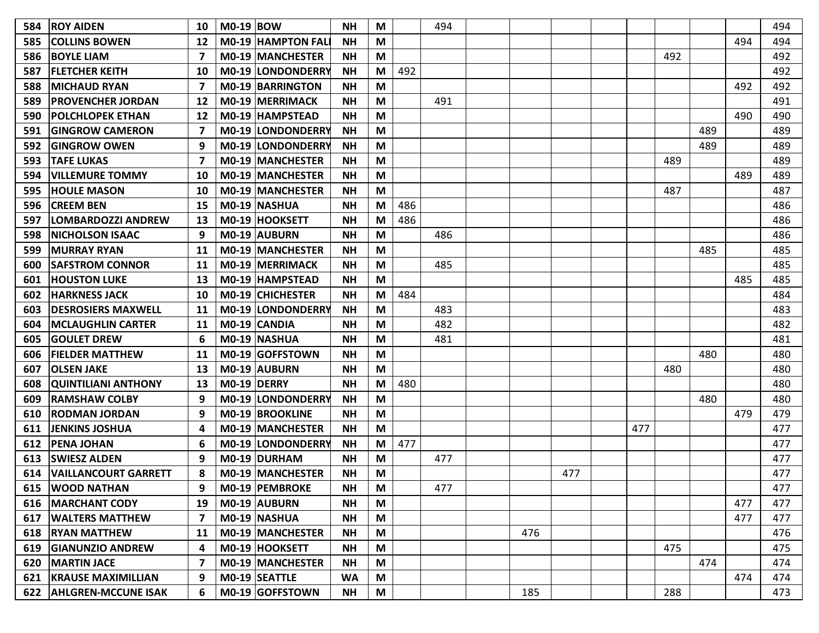|                             |                                                                                                                                                                                                                     |    |                                                                                                                                                                                                                                                                                                                                                                                                                                                                                                                                                                                                                                                                                                                                                                                                                                                                            |           |        |     |     |     |     |     |     |     |     | 494 |
|-----------------------------|---------------------------------------------------------------------------------------------------------------------------------------------------------------------------------------------------------------------|----|----------------------------------------------------------------------------------------------------------------------------------------------------------------------------------------------------------------------------------------------------------------------------------------------------------------------------------------------------------------------------------------------------------------------------------------------------------------------------------------------------------------------------------------------------------------------------------------------------------------------------------------------------------------------------------------------------------------------------------------------------------------------------------------------------------------------------------------------------------------------------|-----------|--------|-----|-----|-----|-----|-----|-----|-----|-----|-----|
| <b>COLLINS BOWEN</b>        | 12                                                                                                                                                                                                                  |    | <b>NH</b>                                                                                                                                                                                                                                                                                                                                                                                                                                                                                                                                                                                                                                                                                                                                                                                                                                                                  |           |        |     |     |     |     |     |     |     | 494 | 494 |
| <b>BOYLE LIAM</b>           | 7                                                                                                                                                                                                                   |    | <b>NH</b>                                                                                                                                                                                                                                                                                                                                                                                                                                                                                                                                                                                                                                                                                                                                                                                                                                                                  | M         |        |     |     |     |     |     | 492 |     |     | 492 |
| <b> FLETCHER KEITH</b>      | 10                                                                                                                                                                                                                  |    | <b>NH</b>                                                                                                                                                                                                                                                                                                                                                                                                                                                                                                                                                                                                                                                                                                                                                                                                                                                                  | M         | 492    |     |     |     |     |     |     |     |     | 492 |
| <b>MICHAUD RYAN</b>         | 7                                                                                                                                                                                                                   |    | <b>NH</b>                                                                                                                                                                                                                                                                                                                                                                                                                                                                                                                                                                                                                                                                                                                                                                                                                                                                  | M         |        |     |     |     |     |     |     |     | 492 | 492 |
| <b>PROVENCHER JORDAN</b>    | 12                                                                                                                                                                                                                  |    | <b>NH</b>                                                                                                                                                                                                                                                                                                                                                                                                                                                                                                                                                                                                                                                                                                                                                                                                                                                                  | M         |        | 491 |     |     |     |     |     |     |     | 491 |
| <b>POLCHLOPEK ETHAN</b>     | 12                                                                                                                                                                                                                  |    | <b>NH</b>                                                                                                                                                                                                                                                                                                                                                                                                                                                                                                                                                                                                                                                                                                                                                                                                                                                                  | M         |        |     |     |     |     |     |     |     | 490 | 490 |
| <b>GINGROW CAMERON</b>      | 7                                                                                                                                                                                                                   |    | <b>NH</b>                                                                                                                                                                                                                                                                                                                                                                                                                                                                                                                                                                                                                                                                                                                                                                                                                                                                  | M         |        |     |     |     |     |     |     | 489 |     | 489 |
| <b>IGINGROW OWEN</b>        | 9                                                                                                                                                                                                                   |    | <b>NH</b>                                                                                                                                                                                                                                                                                                                                                                                                                                                                                                                                                                                                                                                                                                                                                                                                                                                                  | M         |        |     |     |     |     |     |     | 489 |     | 489 |
| <b>TAFE LUKAS</b>           | 7                                                                                                                                                                                                                   |    | <b>NH</b>                                                                                                                                                                                                                                                                                                                                                                                                                                                                                                                                                                                                                                                                                                                                                                                                                                                                  | M         |        |     |     |     |     |     | 489 |     |     | 489 |
| <b>VILLEMURE TOMMY</b>      | 10                                                                                                                                                                                                                  |    | <b>NH</b>                                                                                                                                                                                                                                                                                                                                                                                                                                                                                                                                                                                                                                                                                                                                                                                                                                                                  | M         |        |     |     |     |     |     |     |     | 489 | 489 |
| <b>HOULE MASON</b>          | 10                                                                                                                                                                                                                  |    | <b>NH</b>                                                                                                                                                                                                                                                                                                                                                                                                                                                                                                                                                                                                                                                                                                                                                                                                                                                                  | M         |        |     |     |     |     |     | 487 |     |     | 487 |
| <b>CREEM BEN</b>            | 15                                                                                                                                                                                                                  |    | <b>NH</b>                                                                                                                                                                                                                                                                                                                                                                                                                                                                                                                                                                                                                                                                                                                                                                                                                                                                  | M         | 486    |     |     |     |     |     |     |     |     | 486 |
| LOMBARDOZZI ANDREW          | 13                                                                                                                                                                                                                  |    | <b>NH</b>                                                                                                                                                                                                                                                                                                                                                                                                                                                                                                                                                                                                                                                                                                                                                                                                                                                                  | M         | 486    |     |     |     |     |     |     |     |     | 486 |
| <b>INICHOLSON ISAAC</b>     | 9                                                                                                                                                                                                                   |    | <b>NH</b>                                                                                                                                                                                                                                                                                                                                                                                                                                                                                                                                                                                                                                                                                                                                                                                                                                                                  | M         |        | 486 |     |     |     |     |     |     |     | 486 |
| <b>MURRAY RYAN</b>          | 11                                                                                                                                                                                                                  |    | <b>NH</b>                                                                                                                                                                                                                                                                                                                                                                                                                                                                                                                                                                                                                                                                                                                                                                                                                                                                  | М         |        |     |     |     |     |     |     | 485 |     | 485 |
| <b>SAFSTROM CONNOR</b>      | 11                                                                                                                                                                                                                  |    | <b>NH</b>                                                                                                                                                                                                                                                                                                                                                                                                                                                                                                                                                                                                                                                                                                                                                                                                                                                                  | M         |        | 485 |     |     |     |     |     |     |     | 485 |
| <b>HOUSTON LUKE</b>         | 13                                                                                                                                                                                                                  |    | <b>NH</b>                                                                                                                                                                                                                                                                                                                                                                                                                                                                                                                                                                                                                                                                                                                                                                                                                                                                  | M         |        |     |     |     |     |     |     |     | 485 | 485 |
| <b>HARKNESS JACK</b>        | 10                                                                                                                                                                                                                  |    | <b>NH</b>                                                                                                                                                                                                                                                                                                                                                                                                                                                                                                                                                                                                                                                                                                                                                                                                                                                                  | M         | 484    |     |     |     |     |     |     |     |     | 484 |
| <b>DESROSIERS MAXWELL</b>   | 11                                                                                                                                                                                                                  |    | <b>NH</b>                                                                                                                                                                                                                                                                                                                                                                                                                                                                                                                                                                                                                                                                                                                                                                                                                                                                  | M         |        | 483 |     |     |     |     |     |     |     | 483 |
| <b>MCLAUGHLIN CARTER</b>    | 11                                                                                                                                                                                                                  |    | <b>NH</b>                                                                                                                                                                                                                                                                                                                                                                                                                                                                                                                                                                                                                                                                                                                                                                                                                                                                  | M         |        | 482 |     |     |     |     |     |     |     | 482 |
| <b>GOULET DREW</b>          | 6                                                                                                                                                                                                                   |    | <b>NH</b>                                                                                                                                                                                                                                                                                                                                                                                                                                                                                                                                                                                                                                                                                                                                                                                                                                                                  | M         |        | 481 |     |     |     |     |     |     |     | 481 |
| <b>IFIELDER MATTHEW</b>     | 11                                                                                                                                                                                                                  |    | <b>NH</b>                                                                                                                                                                                                                                                                                                                                                                                                                                                                                                                                                                                                                                                                                                                                                                                                                                                                  | M         |        |     |     |     |     |     |     | 480 |     | 480 |
| <b>OLSEN JAKE</b>           | 13                                                                                                                                                                                                                  |    | <b>NH</b>                                                                                                                                                                                                                                                                                                                                                                                                                                                                                                                                                                                                                                                                                                                                                                                                                                                                  | M         |        |     |     |     |     |     | 480 |     |     | 480 |
| <b>QUINTILIANI ANTHONY</b>  | 13                                                                                                                                                                                                                  |    | <b>NH</b>                                                                                                                                                                                                                                                                                                                                                                                                                                                                                                                                                                                                                                                                                                                                                                                                                                                                  | M         | 480    |     |     |     |     |     |     |     |     | 480 |
| <b>RAMSHAW COLBY</b>        | 9                                                                                                                                                                                                                   |    | <b>NH</b>                                                                                                                                                                                                                                                                                                                                                                                                                                                                                                                                                                                                                                                                                                                                                                                                                                                                  | M         |        |     |     |     |     |     |     | 480 |     | 480 |
| <b>RODMAN JORDAN</b>        | 9                                                                                                                                                                                                                   |    | <b>NH</b>                                                                                                                                                                                                                                                                                                                                                                                                                                                                                                                                                                                                                                                                                                                                                                                                                                                                  | M         |        |     |     |     |     |     |     |     | 479 | 479 |
| <b>JENKINS JOSHUA</b>       | 4                                                                                                                                                                                                                   |    | <b>NH</b>                                                                                                                                                                                                                                                                                                                                                                                                                                                                                                                                                                                                                                                                                                                                                                                                                                                                  | M         |        |     |     |     |     | 477 |     |     |     | 477 |
| <b>PENA JOHAN</b>           | 6                                                                                                                                                                                                                   |    | <b>NH</b>                                                                                                                                                                                                                                                                                                                                                                                                                                                                                                                                                                                                                                                                                                                                                                                                                                                                  | M         | 477    |     |     |     |     |     |     |     |     | 477 |
| <b>SWIESZ ALDEN</b>         | 9                                                                                                                                                                                                                   |    | <b>NH</b>                                                                                                                                                                                                                                                                                                                                                                                                                                                                                                                                                                                                                                                                                                                                                                                                                                                                  | M         |        | 477 |     |     |     |     |     |     |     | 477 |
| <b>VAILLANCOURT GARRETT</b> | 8                                                                                                                                                                                                                   |    | <b>NH</b>                                                                                                                                                                                                                                                                                                                                                                                                                                                                                                                                                                                                                                                                                                                                                                                                                                                                  | M         |        |     |     |     | 477 |     |     |     |     | 477 |
|                             | 9                                                                                                                                                                                                                   |    | <b>NH</b>                                                                                                                                                                                                                                                                                                                                                                                                                                                                                                                                                                                                                                                                                                                                                                                                                                                                  | M         |        | 477 |     |     |     |     |     |     |     | 477 |
|                             | 19                                                                                                                                                                                                                  |    | <b>NH</b>                                                                                                                                                                                                                                                                                                                                                                                                                                                                                                                                                                                                                                                                                                                                                                                                                                                                  | M         |        |     |     |     |     |     |     |     | 477 | 477 |
|                             | 7                                                                                                                                                                                                                   |    | <b>NH</b>                                                                                                                                                                                                                                                                                                                                                                                                                                                                                                                                                                                                                                                                                                                                                                                                                                                                  | M         |        |     |     |     |     |     |     |     | 477 | 477 |
|                             | 11                                                                                                                                                                                                                  |    | <b>NH</b>                                                                                                                                                                                                                                                                                                                                                                                                                                                                                                                                                                                                                                                                                                                                                                                                                                                                  | M         |        |     |     | 476 |     |     |     |     |     | 476 |
|                             | 4                                                                                                                                                                                                                   |    | <b>NH</b>                                                                                                                                                                                                                                                                                                                                                                                                                                                                                                                                                                                                                                                                                                                                                                                                                                                                  | M         |        |     |     |     |     |     | 475 |     |     | 475 |
|                             | 7                                                                                                                                                                                                                   |    | <b>NH</b>                                                                                                                                                                                                                                                                                                                                                                                                                                                                                                                                                                                                                                                                                                                                                                                                                                                                  | M         |        |     |     |     |     |     |     | 474 |     | 474 |
|                             | 9                                                                                                                                                                                                                   |    | <b>WA</b>                                                                                                                                                                                                                                                                                                                                                                                                                                                                                                                                                                                                                                                                                                                                                                                                                                                                  | M         |        |     |     |     |     |     |     |     | 474 | 474 |
|                             | 6                                                                                                                                                                                                                   |    | <b>NH</b>                                                                                                                                                                                                                                                                                                                                                                                                                                                                                                                                                                                                                                                                                                                                                                                                                                                                  | M         |        |     |     | 185 |     |     | 288 |     |     | 473 |
|                             | <b>ROY AIDEN</b><br>615   WOOD NATHAN<br>616   MARCHANT CODY<br><b>WALTERS MATTHEW</b><br>618   RYAN MATTHEW<br>619 GIANUNZIO ANDREW<br>620   MARTIN JACE<br><b>KRAUSE MAXIMILLIAN</b><br>622   AHLGREN-MCCUNE ISAK | 10 | <b>M0-19 BOW</b><br><b>M0-19 HAMPTON FAL</b><br><b>M0-19 MANCHESTER</b><br><b>M0-19 LONDONDERRY</b><br><b>M0-19 BARRINGTON</b><br>M0-19 MERRIMACK<br><b>M0-19 HAMPSTEAD</b><br>M0-19 LONDONDERRY<br><b>M0-19 LONDONDERRY</b><br><b>MO-19 MANCHESTER</b><br><b>M0-19 MANCHESTER</b><br><b>M0-19 MANCHESTER</b><br>M0-19 NASHUA<br>M0-19 HOOKSETT<br>M0-19 AUBURN<br><b>M0-19 MANCHESTER</b><br>M0-19 MERRIMACK<br>M0-19 HAMPSTEAD<br><b>MO-19 CHICHESTER</b><br><b>M0-19 LONDONDERRY</b><br>M0-19 CANDIA<br>M0-19 NASHUA<br>M0-19 GOFFSTOWN<br>M0-19 AUBURN<br><b>M0-19 DERRY</b><br><b>M0-19 LONDONDERRY</b><br>M0-19 BROOKLINE<br><b>M0-19 MANCHESTER</b><br><b>M0-19 LONDONDERRY</b><br>M0-19 DURHAM<br>M0-19 MANCHESTER<br>M0-19 PEMBROKE<br>M0-19 AUBURN<br>M0-19 NASHUA<br>M0-19 MANCHESTER<br>M0-19 HOOKSETT<br>M0-19 MANCHESTER<br>M0-19 SEATTLE<br>M0-19 GOFFSTOWN | <b>NH</b> | M<br>M |     | 494 |     |     |     |     |     |     |     |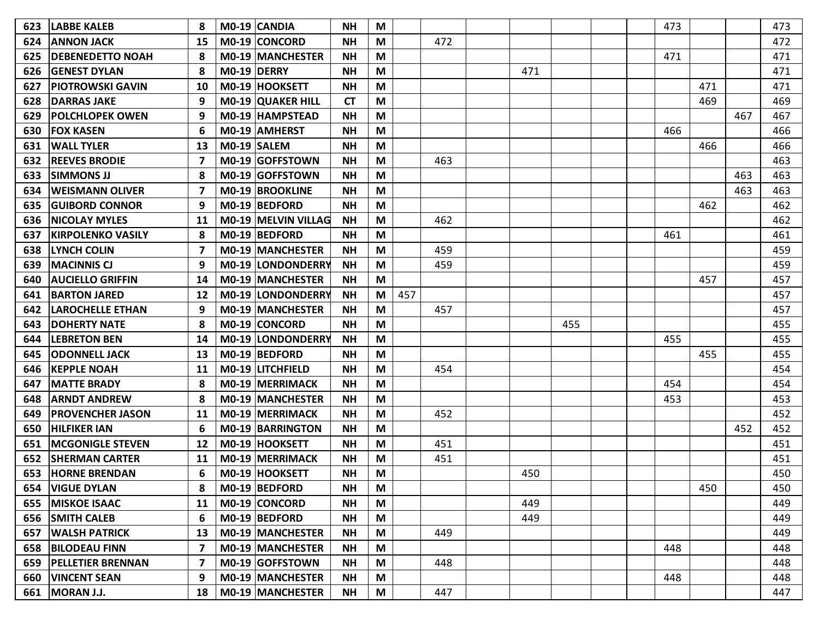| 623 | <b>LABBE KALEB</b>       | 8  | <b>MO-19 CANDIA</b>     | <b>NH</b> | M                                                                                     |     |     |     |     |  | 473 |     |     | 473 |
|-----|--------------------------|----|-------------------------|-----------|---------------------------------------------------------------------------------------|-----|-----|-----|-----|--|-----|-----|-----|-----|
| 624 | <b>ANNON JACK</b>        | 15 | M0-19 CONCORD           | <b>NH</b> | M                                                                                     |     | 472 |     |     |  |     |     |     | 472 |
| 625 | <b>DEBENEDETTO NOAH</b>  | 8  | <b>M0-19 MANCHESTER</b> | <b>NH</b> | M                                                                                     |     |     |     |     |  | 471 |     |     | 471 |
| 626 | <b>GENEST DYLAN</b>      | 8  | M0-19 DERRY             | <b>NH</b> | M                                                                                     |     |     | 471 |     |  |     |     |     | 471 |
| 627 | <b>PIOTROWSKI GAVIN</b>  | 10 | M0-19 HOOKSETT          | <b>NH</b> | M                                                                                     |     |     |     |     |  |     | 471 |     | 471 |
| 628 | <b>DARRAS JAKE</b>       | 9  | M0-19 QUAKER HILL       | <b>CT</b> | M                                                                                     |     |     |     |     |  |     | 469 |     | 469 |
| 629 | <b>POLCHLOPEK OWEN</b>   | 9  | <b>M0-19 HAMPSTEAD</b>  | <b>NH</b> | M                                                                                     |     |     |     |     |  |     |     | 467 | 467 |
| 630 | <b>FOX KASEN</b>         | 6  | M0-19 AMHERST           | <b>NH</b> | M                                                                                     |     |     |     |     |  | 466 |     |     | 466 |
| 631 | <b>WALL TYLER</b>        | 13 | M0-19 SALEM             | <b>NH</b> | M                                                                                     |     |     |     |     |  |     | 466 |     | 466 |
| 632 | <b>REEVES BRODIE</b>     | 7  | M0-19 GOFFSTOWN         | <b>NH</b> | M                                                                                     |     | 463 |     |     |  |     |     |     | 463 |
| 633 | <b>SIMMONS JJ</b>        | 8  | M0-19 GOFFSTOWN         | <b>NH</b> | M                                                                                     |     |     |     |     |  |     |     | 463 | 463 |
| 634 | <b>WEISMANN OLIVER</b>   | 7  | <b>M0-19 BROOKLINE</b>  | <b>NH</b> | M                                                                                     |     |     |     |     |  |     |     | 463 | 463 |
| 635 | <b>IGUIBORD CONNOR</b>   | 9  | M0-19 BEDFORD           | <b>NH</b> | M                                                                                     |     |     |     |     |  |     | 462 |     | 462 |
| 636 | <b>NICOLAY MYLES</b>     | 11 | M0-19 MELVIN VILLAG     | <b>NH</b> | M                                                                                     |     | 462 |     |     |  |     |     |     | 462 |
| 637 | <b>KIRPOLENKO VASILY</b> | 8  | M0-19 BEDFORD           | <b>NH</b> | M                                                                                     |     |     |     |     |  | 461 |     |     | 461 |
| 638 | <b>LYNCH COLIN</b>       | 7  | M0-19 MANCHESTER        | <b>NH</b> | M                                                                                     |     | 459 |     |     |  |     |     |     | 459 |
| 639 | <b>MACINNIS CJ</b>       | 9  | M0-19 LONDONDERRY       | <b>NH</b> | M                                                                                     |     | 459 |     |     |  |     |     |     | 459 |
| 640 | <b>AUCIELLO GRIFFIN</b>  | 14 | <b>M0-19 MANCHESTER</b> | <b>NH</b> | M                                                                                     |     |     |     |     |  |     | 457 |     | 457 |
| 641 | <b>BARTON JARED</b>      | 12 | M0-19 LONDONDERRY       | <b>NH</b> | M                                                                                     | 457 |     |     |     |  |     |     |     | 457 |
| 642 | <b>LAROCHELLE ETHAN</b>  | 9  | M0-19 MANCHESTER        | <b>NH</b> | M                                                                                     |     | 457 |     |     |  |     |     |     | 457 |
| 643 | <b>DOHERTY NATE</b>      | 8  | M0-19 CONCORD           | <b>NH</b> | M                                                                                     |     |     |     | 455 |  |     |     |     | 455 |
| 644 | <b>LEBRETON BEN</b>      | 14 | M0-19 LONDONDERRY       | <b>NH</b> | M                                                                                     |     |     |     |     |  | 455 |     |     | 455 |
| 645 | <b>ODONNELL JACK</b>     | 13 | M0-19 BEDFORD           | <b>NH</b> | M                                                                                     |     |     |     |     |  |     | 455 |     | 455 |
| 646 | <b>KEPPLE NOAH</b>       | 11 | M0-19 LITCHFIELD        | <b>NH</b> | M                                                                                     |     | 454 |     |     |  |     |     |     | 454 |
| 647 | <b>MATTE BRADY</b>       | 8  | <b>M0-19 MERRIMACK</b>  | <b>NH</b> | M                                                                                     |     |     |     |     |  | 454 |     |     | 454 |
| 648 | <b>ARNDT ANDREW</b>      | 8  | M0-19 MANCHESTER        | <b>NH</b> | M                                                                                     |     |     |     |     |  | 453 |     |     | 453 |
| 649 | <b>PROVENCHER JASON</b>  | 11 | <b>M0-19 MERRIMACK</b>  | <b>NH</b> | M                                                                                     |     | 452 |     |     |  |     |     |     | 452 |
| 650 | <b>HILFIKER IAN</b>      | 6  | <b>M0-19 BARRINGTON</b> | <b>NH</b> | M                                                                                     |     |     |     |     |  |     |     | 452 | 452 |
| 651 | <b>MCGONIGLE STEVEN</b>  | 12 | M0-19 HOOKSETT          | <b>NH</b> | M                                                                                     |     | 451 |     |     |  |     |     |     | 451 |
| 652 | <b>SHERMAN CARTER</b>    | 11 | M0-19 MERRIMACK         | <b>NH</b> | M                                                                                     |     | 451 |     |     |  |     |     |     | 451 |
| 653 | <b>HORNE BRENDAN</b>     | 6  | M0-19 HOOKSETT          | <b>NH</b> | M                                                                                     |     |     | 450 |     |  |     |     |     | 450 |
| 654 | <b>VIGUE DYLAN</b>       |    | M0-19 BEDFORD           | <b>NH</b> | M                                                                                     |     |     |     |     |  |     | 450 |     | 450 |
|     | 655   MISKOE ISAAC       | 11 | M0-19 CONCORD           | <b>NH</b> | M                                                                                     |     |     | 449 |     |  |     |     |     | 449 |
|     | 656 SMITH CALEB          | 6  | M0-19 BEDFORD           | <b>NH</b> | $\mathsf{M}% _{T}=\mathsf{M}_{T}\!\left( a,b\right) ,\ \mathsf{M}_{T}=\mathsf{M}_{T}$ |     |     | 449 |     |  |     |     |     | 449 |
| 657 | <b>WALSH PATRICK</b>     | 13 | M0-19 MANCHESTER        | <b>NH</b> | M                                                                                     |     | 449 |     |     |  |     |     |     | 449 |
| 658 | <b>BILODEAU FINN</b>     | 7  | M0-19 MANCHESTER        | <b>NH</b> | M                                                                                     |     |     |     |     |  | 448 |     |     | 448 |
|     | 659 PELLETIER BRENNAN    | 7  | M0-19 GOFFSTOWN         | <b>NH</b> | M                                                                                     |     | 448 |     |     |  |     |     |     | 448 |
|     | 660   VINCENT SEAN       | 9  | <b>M0-19 MANCHESTER</b> | <b>NH</b> | M                                                                                     |     |     |     |     |  | 448 |     |     | 448 |
|     | 661   MORAN J.J.         | 18 | M0-19 MANCHESTER        | <b>NH</b> | M                                                                                     |     | 447 |     |     |  |     |     |     | 447 |
|     |                          |    |                         |           |                                                                                       |     |     |     |     |  |     |     |     |     |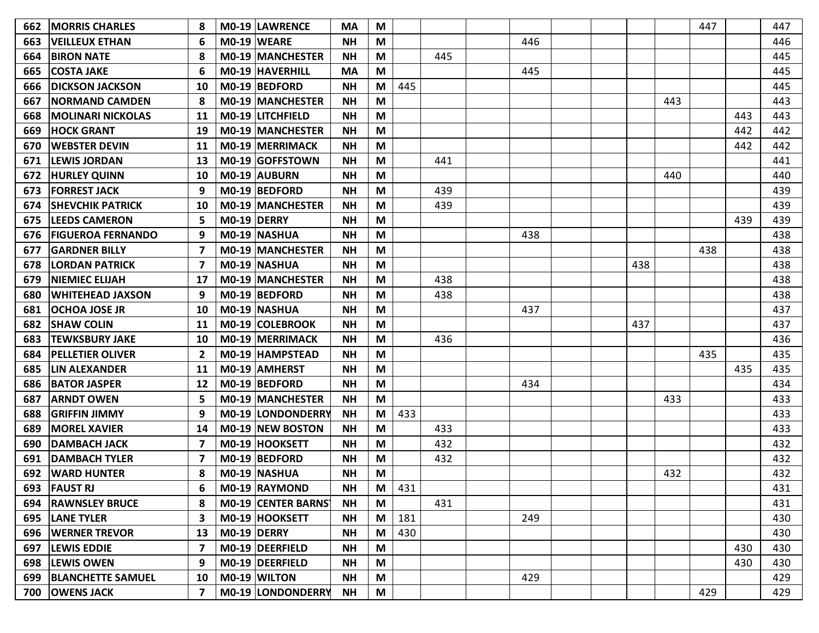| 662 | <b>MORRIS CHARLES</b>    |                |             | M0-19 LAWRENCE          | <b>MA</b> | M |              |     |     |  |     |     | 447 |     | 447 |
|-----|--------------------------|----------------|-------------|-------------------------|-----------|---|--------------|-----|-----|--|-----|-----|-----|-----|-----|
| 663 | <b>VEILLEUX ETHAN</b>    | 6              |             | M0-19 WEARE             | <b>NH</b> | M |              |     | 446 |  |     |     |     |     | 446 |
| 664 | <b>BIRON NATE</b>        | 8              |             | M0-19 MANCHESTER        | <b>NH</b> | M |              | 445 |     |  |     |     |     |     | 445 |
| 665 | <b>COSTA JAKE</b>        | 6              |             | M0-19 HAVERHILL         | <b>MA</b> | M |              |     | 445 |  |     |     |     |     | 445 |
| 666 | <b>DICKSON JACKSON</b>   | 10             |             | M0-19 BEDFORD           | <b>NH</b> | M | 445          |     |     |  |     |     |     |     | 445 |
| 667 | <b> NORMAND CAMDEN</b>   | 8              |             | M0-19 MANCHESTER        | <b>NH</b> | M |              |     |     |  |     | 443 |     |     | 443 |
| 668 | <b>MOLINARI NICKOLAS</b> | 11             |             | M0-19 LITCHFIELD        | <b>NH</b> | M |              |     |     |  |     |     |     | 443 | 443 |
| 669 | <b>HOCK GRANT</b>        | 19             |             | <b>M0-19 MANCHESTER</b> | <b>NH</b> | M |              |     |     |  |     |     |     | 442 | 442 |
| 670 | <b>WEBSTER DEVIN</b>     | 11             |             | M0-19 MERRIMACK         | <b>NH</b> | M |              |     |     |  |     |     |     | 442 | 442 |
| 671 | <b>LEWIS JORDAN</b>      | 13             |             | M0-19 GOFFSTOWN         | <b>NH</b> | M |              | 441 |     |  |     |     |     |     | 441 |
| 672 | <b>HURLEY QUINN</b>      | 10             |             | M0-19 AUBURN            | <b>NH</b> | M |              |     |     |  |     | 440 |     |     | 440 |
| 673 | <b>FORREST JACK</b>      | 9              |             | M0-19 BEDFORD           | <b>NH</b> | M |              | 439 |     |  |     |     |     |     | 439 |
| 674 | <b>SHEVCHIK PATRICK</b>  | 10             |             | M0-19 MANCHESTER        | <b>NH</b> | M |              | 439 |     |  |     |     |     |     | 439 |
| 675 | <b>LEEDS CAMERON</b>     | 5              | M0-19 DERRY |                         | <b>NH</b> | M |              |     |     |  |     |     |     | 439 | 439 |
| 676 | <b>FIGUEROA FERNANDO</b> | 9              |             | M0-19 NASHUA            | <b>NH</b> | M |              |     | 438 |  |     |     |     |     | 438 |
| 677 | <b>GARDNER BILLY</b>     | 7              |             | M0-19 MANCHESTER        | <b>NH</b> | M |              |     |     |  |     |     | 438 |     | 438 |
| 678 | <b>LORDAN PATRICK</b>    | 7              |             | M0-19 NASHUA            | <b>NH</b> | M |              |     |     |  | 438 |     |     |     | 438 |
| 679 | <b>INIEMIEC ELIJAH</b>   | 17             |             | M0-19 MANCHESTER        | <b>NH</b> | M |              | 438 |     |  |     |     |     |     | 438 |
| 680 | <b>WHITEHEAD JAXSON</b>  | 9              |             | M0-19 BEDFORD           | <b>NH</b> | M |              | 438 |     |  |     |     |     |     | 438 |
| 681 | <b>OCHOA JOSE JR</b>     | 10             |             | M0-19 NASHUA            | <b>NH</b> | M |              |     | 437 |  |     |     |     |     | 437 |
| 682 | <b>SHAW COLIN</b>        | 11             |             | M0-19 COLEBROOK         | <b>NH</b> | M |              |     |     |  | 437 |     |     |     | 437 |
| 683 | <b>TEWKSBURY JAKE</b>    | 10             |             | M0-19 MERRIMACK         | <b>NH</b> | M |              | 436 |     |  |     |     |     |     | 436 |
| 684 | <b>PELLETIER OLIVER</b>  | 2              |             | M0-19 HAMPSTEAD         | <b>NH</b> | M |              |     |     |  |     |     | 435 |     | 435 |
| 685 | <b>LIN ALEXANDER</b>     | 11             |             | M0-19 AMHERST           | <b>NH</b> | M |              |     |     |  |     |     |     | 435 | 435 |
| 686 | <b>BATOR JASPER</b>      | 12             |             | M0-19 BEDFORD           | <b>NH</b> | M |              |     | 434 |  |     |     |     |     | 434 |
| 687 | <b>ARNDT OWEN</b>        | 5              |             | M0-19 MANCHESTER        | <b>NH</b> | M |              |     |     |  |     | 433 |     |     | 433 |
| 688 | GRIFFIN JIMMY            | 9              |             | M0-19 LONDONDERRY       | <b>NH</b> | M | 433          |     |     |  |     |     |     |     | 433 |
| 689 | <b>MOREL XAVIER</b>      | 14             |             | M0-19 NEW BOSTON        | <b>NH</b> | M |              | 433 |     |  |     |     |     |     | 433 |
| 690 | <b>DAMBACH JACK</b>      | 7              |             | M0-19 HOOKSETT          | <b>NH</b> | M |              | 432 |     |  |     |     |     |     | 432 |
| 691 | <b>DAMBACH TYLER</b>     | 7              |             | M0-19 BEDFORD           | <b>NH</b> | M |              | 432 |     |  |     |     |     |     | 432 |
| 692 | <b>WARD HUNTER</b>       |                |             | M0-19 NASHUA            | <b>NH</b> | M |              |     |     |  |     | 432 |     |     | 432 |
|     | 693   FAUST RJ           | 6              |             | M0-19 RAYMOND           | <b>NH</b> |   | $M \mid 431$ |     |     |  |     |     |     |     | 431 |
|     | 694   RAWNSLEY BRUCE     | 8              |             | MO-19 CENTER BARNS      | <b>NH</b> | M |              | 431 |     |  |     |     |     |     | 431 |
|     | 695   LANE TYLER         | 3              |             | M0-19 HOOKSETT          | <b>NH</b> | M | 181          |     | 249 |  |     |     |     |     | 430 |
| 696 | <b>WERNER TREVOR</b>     | 13             |             | $MO-19$ DERRY           | <b>NH</b> | M | 430          |     |     |  |     |     |     |     | 430 |
| 697 | <b>LEWIS EDDIE</b>       | 7              |             | M0-19 DEERFIELD         | <b>NH</b> | M |              |     |     |  |     |     |     | 430 | 430 |
|     | 698 LEWIS OWEN           | 9              |             | M0-19 DEERFIELD         | <b>NH</b> | M |              |     |     |  |     |     |     | 430 | 430 |
|     | 699   BLANCHETTE SAMUEL  | 10             |             | M0-19 WILTON            | <b>NH</b> | M |              |     | 429 |  |     |     |     |     | 429 |
|     | 700 OWENS JACK           | $\overline{7}$ |             | M0-19 LONDONDERRY       | <b>NH</b> | M |              |     |     |  |     |     | 429 |     | 429 |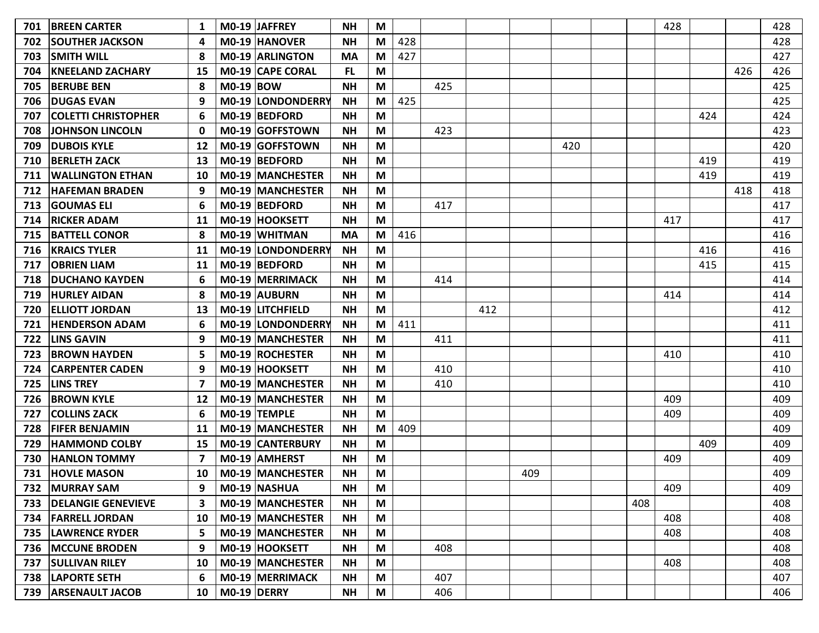| 701 | <b>BREEN CARTER</b>      | 1  |                  | MO-19 JAFFREY            | <b>NH</b> | M                                                                                     |     |     |     |     |     |     | 428 |     |     | 428 |
|-----|--------------------------|----|------------------|--------------------------|-----------|---------------------------------------------------------------------------------------|-----|-----|-----|-----|-----|-----|-----|-----|-----|-----|
| 702 | <b>SOUTHER JACKSON</b>   | 4  |                  | <b>M0-19 HANOVER</b>     | <b>NH</b> | M                                                                                     | 428 |     |     |     |     |     |     |     |     | 428 |
| 703 | <b>SMITH WILL</b>        | -8 |                  | M0-19 ARLINGTON          | <b>MA</b> | M                                                                                     | 427 |     |     |     |     |     |     |     |     | 427 |
| 704 | <b>KNEELAND ZACHARY</b>  | 15 |                  | M0-19 CAPE CORAL         | <b>FL</b> | M                                                                                     |     |     |     |     |     |     |     |     | 426 | 426 |
| 705 | <b>BERUBE BEN</b>        | 8  | <b>M0-19 BOW</b> |                          | <b>NH</b> | M                                                                                     |     | 425 |     |     |     |     |     |     |     | 425 |
| 706 | <b>DUGAS EVAN</b>        | 9  |                  | M0-19 LONDONDERRY        | <b>NH</b> | M                                                                                     | 425 |     |     |     |     |     |     |     |     | 425 |
| 707 | COLETTI CHRISTOPHER      | 6  |                  | M0-19 BEDFORD            | <b>NH</b> | M                                                                                     |     |     |     |     |     |     |     | 424 |     | 424 |
| 708 | <b>JOHNSON LINCOLN</b>   | 0  |                  | M0-19 GOFFSTOWN          | <b>NH</b> | M                                                                                     |     | 423 |     |     |     |     |     |     |     | 423 |
| 709 | <b>DUBOIS KYLE</b>       | 12 |                  | M0-19 GOFFSTOWN          | <b>NH</b> | M                                                                                     |     |     |     |     | 420 |     |     |     |     | 420 |
| 710 | <b>BERLETH ZACK</b>      | 13 |                  | M0-19 BEDFORD            | <b>NH</b> | M                                                                                     |     |     |     |     |     |     |     | 419 |     | 419 |
| 711 | <b>WALLINGTON ETHAN</b>  | 10 |                  | <b>M0-19 MANCHESTER</b>  | <b>NH</b> | M                                                                                     |     |     |     |     |     |     |     | 419 |     | 419 |
| 712 | <b>HAFEMAN BRADEN</b>    | 9  |                  | <b>M0-19 MANCHESTER</b>  | <b>NH</b> | M                                                                                     |     |     |     |     |     |     |     |     | 418 | 418 |
| 713 | <b>GOUMAS ELI</b>        | 6  |                  | M0-19 BEDFORD            | <b>NH</b> | M                                                                                     |     | 417 |     |     |     |     |     |     |     | 417 |
| 714 | <b>RICKER ADAM</b>       | 11 |                  | M0-19 HOOKSETT           | <b>NH</b> | M                                                                                     |     |     |     |     |     |     | 417 |     |     | 417 |
| 715 | <b>BATTELL CONOR</b>     | 8  |                  | M0-19 WHITMAN            | <b>MA</b> | M                                                                                     | 416 |     |     |     |     |     |     |     |     | 416 |
| 716 | <b>KRAICS TYLER</b>      | 11 |                  | M0-19 LONDONDERRY        | <b>NH</b> | M                                                                                     |     |     |     |     |     |     |     | 416 |     | 416 |
| 717 | <b>IOBRIEN LIAM</b>      | 11 |                  | M0-19 BEDFORD            | <b>NH</b> | M                                                                                     |     |     |     |     |     |     |     | 415 |     | 415 |
| 718 | <b>DUCHANO KAYDEN</b>    | 6  |                  | M0-19 MERRIMACK          | <b>NH</b> | M                                                                                     |     | 414 |     |     |     |     |     |     |     | 414 |
| 719 | <b>HURLEY AIDAN</b>      | 8  |                  | <b>M0-19 AUBURN</b>      | <b>NH</b> | M                                                                                     |     |     |     |     |     |     | 414 |     |     | 414 |
| 720 | <b>ELLIOTT JORDAN</b>    | 13 |                  | M0-19 LITCHFIELD         | <b>NH</b> | M                                                                                     |     |     | 412 |     |     |     |     |     |     | 412 |
| 721 | <b>HENDERSON ADAM</b>    | 6  |                  | <b>M0-19 LONDONDERRY</b> | <b>NH</b> | M                                                                                     | 411 |     |     |     |     |     |     |     |     | 411 |
| 722 | <b>LINS GAVIN</b>        | 9  |                  | <b>M0-19 MANCHESTER</b>  | <b>NH</b> | M                                                                                     |     | 411 |     |     |     |     |     |     |     | 411 |
| 723 | <b>BROWN HAYDEN</b>      | 5  |                  | M0-19 ROCHESTER          | <b>NH</b> | M                                                                                     |     |     |     |     |     |     | 410 |     |     | 410 |
| 724 | <b>CARPENTER CADEN</b>   | 9  |                  | M0-19 HOOKSETT           | <b>NH</b> | M                                                                                     |     | 410 |     |     |     |     |     |     |     | 410 |
| 725 | <b>LINS TREY</b>         | 7  |                  | <b>M0-19 MANCHESTER</b>  | <b>NH</b> | M                                                                                     |     | 410 |     |     |     |     |     |     |     | 410 |
| 726 | <b>BROWN KYLE</b>        | 12 |                  | <b>M0-19 MANCHESTER</b>  | <b>NH</b> | M                                                                                     |     |     |     |     |     |     | 409 |     |     | 409 |
| 727 | <b>COLLINS ZACK</b>      | 6  |                  | M0-19 TEMPLE             | <b>NH</b> | M                                                                                     |     |     |     |     |     |     | 409 |     |     | 409 |
| 728 | <b>FIFER BENJAMIN</b>    | 11 |                  | M0-19 MANCHESTER         | <b>NH</b> | M                                                                                     | 409 |     |     |     |     |     |     |     |     | 409 |
| 729 | <b>HAMMOND COLBY</b>     | 15 |                  | M0-19 CANTERBURY         | <b>NH</b> | M                                                                                     |     |     |     |     |     |     |     | 409 |     | 409 |
| 730 | <b>HANLON TOMMY</b>      | 7  |                  | M0-19 AMHERST            | <b>NH</b> | M                                                                                     |     |     |     |     |     |     | 409 |     |     | 409 |
| 731 | <b>HOVLE MASON</b>       | 10 |                  | <b>M0-19 MANCHESTER</b>  | <b>NH</b> | M                                                                                     |     |     |     | 409 |     |     |     |     |     | 409 |
| 732 | <b>MURRAY SAM</b>        | 9  |                  | M0-19 NASHUA             | <b>NH</b> | M                                                                                     |     |     |     |     |     |     | 409 |     |     | 409 |
|     | 733   DELANGIE GENEVIEVE | З  |                  | M0-19 MANCHESTER         | <b>NH</b> | M                                                                                     |     |     |     |     |     | 408 |     |     |     | 408 |
|     | 734   FARRELL JORDAN     | 10 |                  | M0-19 MANCHESTER         | <b>NH</b> | M                                                                                     |     |     |     |     |     |     | 408 |     |     | 408 |
| 735 | <b>LAWRENCE RYDER</b>    | 5  |                  | M0-19 MANCHESTER         | <b>NH</b> | M                                                                                     |     |     |     |     |     |     | 408 |     |     | 408 |
| 736 | <b>MCCUNE BRODEN</b>     | 9  |                  | M0-19 HOOKSETT           | <b>NH</b> | $\mathsf{M}% _{T}=\mathsf{M}_{T}\!\left( a,b\right) ,\ \mathsf{M}_{T}=\mathsf{M}_{T}$ |     | 408 |     |     |     |     |     |     |     | 408 |
| 737 | <b>SULLIVAN RILEY</b>    | 10 |                  | <b>MO-19 MANCHESTER</b>  | <b>NH</b> | M                                                                                     |     |     |     |     |     |     | 408 |     |     | 408 |
|     | 738   LAPORTE SETH       | 6  |                  | M0-19 MERRIMACK          | <b>NH</b> | M                                                                                     |     | 407 |     |     |     |     |     |     |     | 407 |
|     | 739   ARSENAULT JACOB    | 10 | $MO-19$ DERRY    |                          | <b>NH</b> | M                                                                                     |     | 406 |     |     |     |     |     |     |     | 406 |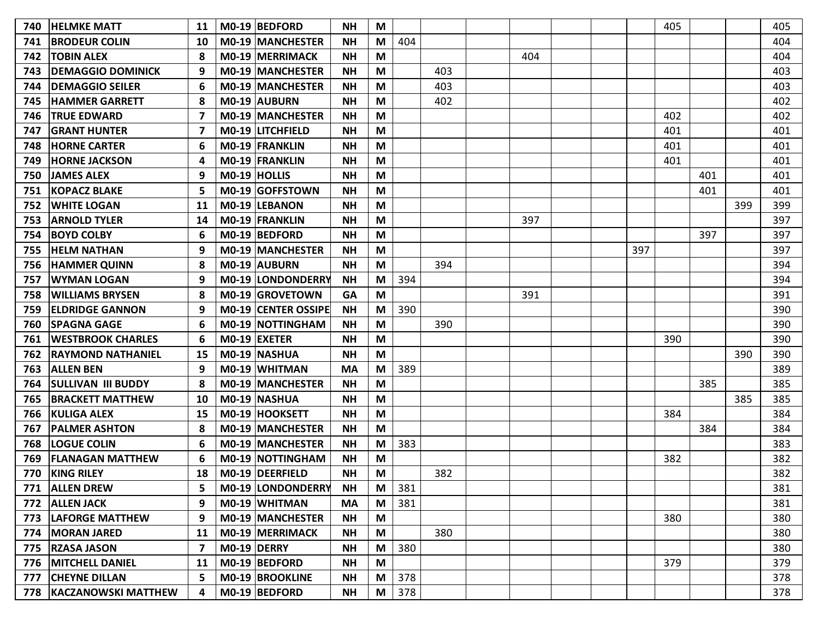| 740 | <b>HELMKE MATT</b>        | 11             | M0-19 BEDFORD           | <b>NH</b> | M                                                                                     |     |     |     |     | 405 |     |     | 405 |
|-----|---------------------------|----------------|-------------------------|-----------|---------------------------------------------------------------------------------------|-----|-----|-----|-----|-----|-----|-----|-----|
| 741 | <b>BRODEUR COLIN</b>      | 10             | <b>M0-19 MANCHESTER</b> | <b>NH</b> | M                                                                                     | 404 |     |     |     |     |     |     | 404 |
| 742 | <b>TOBIN ALEX</b>         | 8              | M0-19 MERRIMACK         | <b>NH</b> | M                                                                                     |     |     | 404 |     |     |     |     | 404 |
| 743 | <b>DEMAGGIO DOMINICK</b>  | 9              | M0-19 MANCHESTER        | <b>NH</b> | M                                                                                     |     | 403 |     |     |     |     |     | 403 |
| 744 | <b>DEMAGGIO SEILER</b>    |                | M0-19 MANCHESTER        | <b>NH</b> | M                                                                                     |     | 403 |     |     |     |     |     | 403 |
| 745 | <b>HAMMER GARRETT</b>     | 8              | M0-19 AUBURN            | <b>NH</b> | M                                                                                     |     | 402 |     |     |     |     |     | 402 |
| 746 | <b>TRUE EDWARD</b>        | 7              | M0-19 MANCHESTER        | <b>NH</b> | M                                                                                     |     |     |     |     | 402 |     |     | 402 |
| 747 | <b>GRANT HUNTER</b>       | 7              | M0-19 LITCHFIELD        | <b>NH</b> | M                                                                                     |     |     |     |     | 401 |     |     | 401 |
| 748 | <b>HORNE CARTER</b>       | 6              | M0-19 FRANKLIN          | <b>NH</b> | M                                                                                     |     |     |     |     | 401 |     |     | 401 |
| 749 | <b>HORNE JACKSON</b>      | Δ              | M0-19 FRANKLIN          | <b>NH</b> | M                                                                                     |     |     |     |     | 401 |     |     | 401 |
| 750 | <b>JAMES ALEX</b>         | 9              | M0-19 HOLLIS            | <b>NH</b> | M                                                                                     |     |     |     |     |     | 401 |     | 401 |
| 751 | <b>KOPACZ BLAKE</b>       | 5              | M0-19 GOFFSTOWN         | <b>NH</b> | M                                                                                     |     |     |     |     |     | 401 |     | 401 |
| 752 | <b>WHITE LOGAN</b>        | 11             | M0-19 LEBANON           | <b>NH</b> | M                                                                                     |     |     |     |     |     |     | 399 | 399 |
| 753 | <b>ARNOLD TYLER</b>       | 14             | M0-19 FRANKLIN          | <b>NH</b> | M                                                                                     |     |     | 397 |     |     |     |     | 397 |
| 754 | <b>BOYD COLBY</b>         | 6              | M0-19 BEDFORD           | <b>NH</b> | M                                                                                     |     |     |     |     |     | 397 |     | 397 |
| 755 | <b>HELM NATHAN</b>        | 9              | M0-19 MANCHESTER        | <b>NH</b> | M                                                                                     |     |     |     | 397 |     |     |     | 397 |
| 756 | <b>HAMMER QUINN</b>       | 8              | M0-19 AUBURN            | <b>NH</b> | M                                                                                     |     | 394 |     |     |     |     |     | 394 |
| 757 | <b>WYMAN LOGAN</b>        | 9              | M0-19 LONDONDERRY       | <b>NH</b> | M                                                                                     | 394 |     |     |     |     |     |     | 394 |
| 758 | <b>WILLIAMS BRYSEN</b>    | 8              | M0-19 GROVETOWN         | GA        | M                                                                                     |     |     | 391 |     |     |     |     | 391 |
| 759 | <b>ELDRIDGE GANNON</b>    | 9              | M0-19 CENTER OSSIPE     | <b>NH</b> | M                                                                                     | 390 |     |     |     |     |     |     | 390 |
| 760 | <b>SPAGNA GAGE</b>        | 6              | M0-19 NOTTINGHAM        | <b>NH</b> | M                                                                                     |     | 390 |     |     |     |     |     | 390 |
| 761 | <b>WESTBROOK CHARLES</b>  | 6              | $MO-19$ EXETER          | <b>NH</b> | M                                                                                     |     |     |     |     | 390 |     |     | 390 |
| 762 | <b>RAYMOND NATHANIEL</b>  | 15             | M0-19 NASHUA            | <b>NH</b> | M                                                                                     |     |     |     |     |     |     | 390 | 390 |
| 763 | <b>ALLEN BEN</b>          | 9              | M0-19 WHITMAN           | <b>MA</b> | M                                                                                     | 389 |     |     |     |     |     |     | 389 |
| 764 | <b>SULLIVAN III BUDDY</b> | 8              | M0-19 MANCHESTER        | <b>NH</b> | M                                                                                     |     |     |     |     |     | 385 |     | 385 |
| 765 | <b>BRACKETT MATTHEW</b>   | 10             | M0-19 NASHUA            | <b>NH</b> | M                                                                                     |     |     |     |     |     |     | 385 | 385 |
| 766 | <b>KULIGA ALEX</b>        | 15             | M0-19 HOOKSETT          | <b>NH</b> | M                                                                                     |     |     |     |     | 384 |     |     | 384 |
| 767 | <b>PALMER ASHTON</b>      | 8              | M0-19 MANCHESTER        | <b>NH</b> | M                                                                                     |     |     |     |     |     | 384 |     | 384 |
| 768 | <b>LOGUE COLIN</b>        | 6              | M0-19 MANCHESTER        | <b>NH</b> | M                                                                                     | 383 |     |     |     |     |     |     | 383 |
| 769 | <b>FLANAGAN MATTHEW</b>   | 6              | M0-19 NOTTINGHAM        | <b>NH</b> | M                                                                                     |     |     |     |     | 382 |     |     | 382 |
| 770 | <b>KING RILEY</b>         | 18             | M0-19 DEERFIELD         | <b>NH</b> | M                                                                                     |     | 382 |     |     |     |     |     | 382 |
|     | 771   ALLEN DREW          | 5              | M0-19 LONDONDERRY       | <b>NH</b> | M                                                                                     | 381 |     |     |     |     |     |     | 381 |
| 772 | <b>ALLEN JACK</b>         | 9              | M0-19 WHITMAN           | <b>MA</b> | M                                                                                     | 381 |     |     |     |     |     |     | 381 |
|     | 773   LAFORGE MATTHEW     | 9              | M0-19 MANCHESTER        | <b>NH</b> | M                                                                                     |     |     |     |     | 380 |     |     | 380 |
| 774 | <b>MORAN JARED</b>        | 11             | M0-19 MERRIMACK         | <b>NH</b> | M                                                                                     |     | 380 |     |     |     |     |     | 380 |
| 775 | <b>RZASA JASON</b>        | $\overline{ }$ | M0-19 DERRY             | <b>NH</b> | M                                                                                     | 380 |     |     |     |     |     |     | 380 |
| 776 | <b>MITCHELL DANIEL</b>    | 11             | M0-19 BEDFORD           | <b>NH</b> | M                                                                                     |     |     |     |     | 379 |     |     | 379 |
| 777 | <b>CHEYNE DILLAN</b>      | 5              | M0-19 BROOKLINE         | ΝH        | M                                                                                     | 378 |     |     |     |     |     |     | 378 |
|     | 778   KACZANOWSKI MATTHEW | 4              | M0-19 BEDFORD           | <b>NH</b> | $\mathsf{M}% _{T}=\mathsf{M}_{T}\!\left( a,b\right) ,\ \mathsf{M}_{T}=\mathsf{M}_{T}$ | 378 |     |     |     |     |     |     | 378 |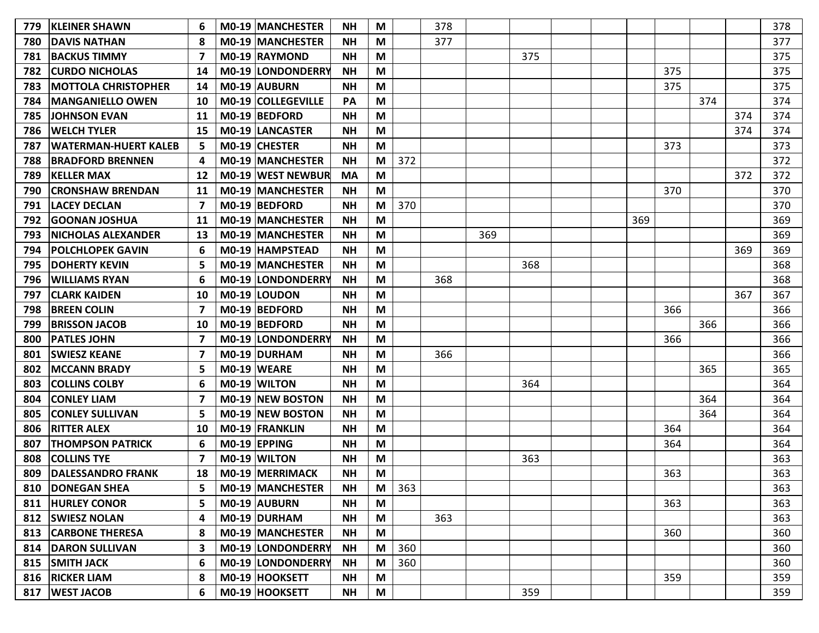|                        |                                                                                                                                                                                                                                                                                                                                                                                                                                                                                                                                                                                                                                                                                                                                                                                                                                               |                                           |                                                                                                                                                                                                                                                                                                                                                                                                                                                                                                                                                                                                                                                                                                                                                                                    |                                                                                                                                      |                                                     |     |            |     |     |     |     |                   |     | 378               |
|------------------------|-----------------------------------------------------------------------------------------------------------------------------------------------------------------------------------------------------------------------------------------------------------------------------------------------------------------------------------------------------------------------------------------------------------------------------------------------------------------------------------------------------------------------------------------------------------------------------------------------------------------------------------------------------------------------------------------------------------------------------------------------------------------------------------------------------------------------------------------------|-------------------------------------------|------------------------------------------------------------------------------------------------------------------------------------------------------------------------------------------------------------------------------------------------------------------------------------------------------------------------------------------------------------------------------------------------------------------------------------------------------------------------------------------------------------------------------------------------------------------------------------------------------------------------------------------------------------------------------------------------------------------------------------------------------------------------------------|--------------------------------------------------------------------------------------------------------------------------------------|-----------------------------------------------------|-----|------------|-----|-----|-----|-----|-------------------|-----|-------------------|
|                        |                                                                                                                                                                                                                                                                                                                                                                                                                                                                                                                                                                                                                                                                                                                                                                                                                                               |                                           |                                                                                                                                                                                                                                                                                                                                                                                                                                                                                                                                                                                                                                                                                                                                                                                    |                                                                                                                                      |                                                     |     |            |     |     |     |     |                   |     | 377<br>375        |
|                        |                                                                                                                                                                                                                                                                                                                                                                                                                                                                                                                                                                                                                                                                                                                                                                                                                                               |                                           |                                                                                                                                                                                                                                                                                                                                                                                                                                                                                                                                                                                                                                                                                                                                                                                    |                                                                                                                                      |                                                     |     |            |     |     |     |     |                   |     |                   |
|                        |                                                                                                                                                                                                                                                                                                                                                                                                                                                                                                                                                                                                                                                                                                                                                                                                                                               |                                           |                                                                                                                                                                                                                                                                                                                                                                                                                                                                                                                                                                                                                                                                                                                                                                                    |                                                                                                                                      |                                                     |     |            |     |     |     |     |                   |     | 375               |
|                        |                                                                                                                                                                                                                                                                                                                                                                                                                                                                                                                                                                                                                                                                                                                                                                                                                                               |                                           |                                                                                                                                                                                                                                                                                                                                                                                                                                                                                                                                                                                                                                                                                                                                                                                    |                                                                                                                                      |                                                     |     |            |     |     |     |     |                   |     | 375               |
|                        |                                                                                                                                                                                                                                                                                                                                                                                                                                                                                                                                                                                                                                                                                                                                                                                                                                               |                                           |                                                                                                                                                                                                                                                                                                                                                                                                                                                                                                                                                                                                                                                                                                                                                                                    |                                                                                                                                      |                                                     |     |            |     |     |     |     |                   |     | 374               |
|                        |                                                                                                                                                                                                                                                                                                                                                                                                                                                                                                                                                                                                                                                                                                                                                                                                                                               |                                           |                                                                                                                                                                                                                                                                                                                                                                                                                                                                                                                                                                                                                                                                                                                                                                                    |                                                                                                                                      |                                                     |     |            |     |     |     |     |                   |     | 374               |
|                        |                                                                                                                                                                                                                                                                                                                                                                                                                                                                                                                                                                                                                                                                                                                                                                                                                                               |                                           |                                                                                                                                                                                                                                                                                                                                                                                                                                                                                                                                                                                                                                                                                                                                                                                    |                                                                                                                                      |                                                     |     |            |     |     |     |     |                   |     | 374               |
|                        |                                                                                                                                                                                                                                                                                                                                                                                                                                                                                                                                                                                                                                                                                                                                                                                                                                               |                                           |                                                                                                                                                                                                                                                                                                                                                                                                                                                                                                                                                                                                                                                                                                                                                                                    |                                                                                                                                      |                                                     |     |            |     |     |     |     |                   |     | 373               |
|                        |                                                                                                                                                                                                                                                                                                                                                                                                                                                                                                                                                                                                                                                                                                                                                                                                                                               |                                           |                                                                                                                                                                                                                                                                                                                                                                                                                                                                                                                                                                                                                                                                                                                                                                                    |                                                                                                                                      |                                                     |     |            |     |     |     |     |                   |     | 372               |
|                        | 12                                                                                                                                                                                                                                                                                                                                                                                                                                                                                                                                                                                                                                                                                                                                                                                                                                            |                                           |                                                                                                                                                                                                                                                                                                                                                                                                                                                                                                                                                                                                                                                                                                                                                                                    |                                                                                                                                      |                                                     |     |            |     |     |     |     |                   |     | 372               |
|                        | 11                                                                                                                                                                                                                                                                                                                                                                                                                                                                                                                                                                                                                                                                                                                                                                                                                                            |                                           | <b>NH</b>                                                                                                                                                                                                                                                                                                                                                                                                                                                                                                                                                                                                                                                                                                                                                                          | M                                                                                                                                    |                                                     |     |            |     |     |     | 370 |                   |     | 370               |
|                        |                                                                                                                                                                                                                                                                                                                                                                                                                                                                                                                                                                                                                                                                                                                                                                                                                                               |                                           | <b>NH</b>                                                                                                                                                                                                                                                                                                                                                                                                                                                                                                                                                                                                                                                                                                                                                                          | M                                                                                                                                    | 370                                                 |     |            |     |     |     |     |                   |     | 370               |
|                        | 11                                                                                                                                                                                                                                                                                                                                                                                                                                                                                                                                                                                                                                                                                                                                                                                                                                            |                                           | <b>NH</b>                                                                                                                                                                                                                                                                                                                                                                                                                                                                                                                                                                                                                                                                                                                                                                          | M                                                                                                                                    |                                                     |     |            |     |     | 369 |     |                   |     | 369               |
|                        | 13                                                                                                                                                                                                                                                                                                                                                                                                                                                                                                                                                                                                                                                                                                                                                                                                                                            |                                           | <b>NH</b>                                                                                                                                                                                                                                                                                                                                                                                                                                                                                                                                                                                                                                                                                                                                                                          | M                                                                                                                                    |                                                     |     | 369        |     |     |     |     |                   |     | 369               |
|                        | 6                                                                                                                                                                                                                                                                                                                                                                                                                                                                                                                                                                                                                                                                                                                                                                                                                                             |                                           | <b>NH</b>                                                                                                                                                                                                                                                                                                                                                                                                                                                                                                                                                                                                                                                                                                                                                                          | M                                                                                                                                    |                                                     |     |            |     |     |     |     |                   | 369 | 369               |
|                        | 5                                                                                                                                                                                                                                                                                                                                                                                                                                                                                                                                                                                                                                                                                                                                                                                                                                             |                                           | <b>NH</b>                                                                                                                                                                                                                                                                                                                                                                                                                                                                                                                                                                                                                                                                                                                                                                          | M                                                                                                                                    |                                                     |     |            | 368 |     |     |     |                   |     | 368               |
| WILLIAMS RYAN          | 6                                                                                                                                                                                                                                                                                                                                                                                                                                                                                                                                                                                                                                                                                                                                                                                                                                             |                                           | <b>NH</b>                                                                                                                                                                                                                                                                                                                                                                                                                                                                                                                                                                                                                                                                                                                                                                          | M                                                                                                                                    |                                                     | 368 |            |     |     |     |     |                   |     | 368               |
|                        | 10                                                                                                                                                                                                                                                                                                                                                                                                                                                                                                                                                                                                                                                                                                                                                                                                                                            |                                           | <b>NH</b>                                                                                                                                                                                                                                                                                                                                                                                                                                                                                                                                                                                                                                                                                                                                                                          | M                                                                                                                                    |                                                     |     |            |     |     |     |     |                   | 367 | 367               |
| <b>BREEN COLIN</b>     | 7                                                                                                                                                                                                                                                                                                                                                                                                                                                                                                                                                                                                                                                                                                                                                                                                                                             |                                           | <b>NH</b>                                                                                                                                                                                                                                                                                                                                                                                                                                                                                                                                                                                                                                                                                                                                                                          | M                                                                                                                                    |                                                     |     |            |     |     |     | 366 |                   |     | 366               |
|                        | 10                                                                                                                                                                                                                                                                                                                                                                                                                                                                                                                                                                                                                                                                                                                                                                                                                                            |                                           | <b>NH</b>                                                                                                                                                                                                                                                                                                                                                                                                                                                                                                                                                                                                                                                                                                                                                                          | M                                                                                                                                    |                                                     |     |            |     |     |     |     | 366               |     | 366               |
|                        | 7                                                                                                                                                                                                                                                                                                                                                                                                                                                                                                                                                                                                                                                                                                                                                                                                                                             |                                           | <b>NH</b>                                                                                                                                                                                                                                                                                                                                                                                                                                                                                                                                                                                                                                                                                                                                                                          | M                                                                                                                                    |                                                     |     |            |     |     |     | 366 |                   |     | 366               |
|                        |                                                                                                                                                                                                                                                                                                                                                                                                                                                                                                                                                                                                                                                                                                                                                                                                                                               |                                           | <b>NH</b>                                                                                                                                                                                                                                                                                                                                                                                                                                                                                                                                                                                                                                                                                                                                                                          | M                                                                                                                                    |                                                     | 366 |            |     |     |     |     |                   |     | 366               |
|                        | 5                                                                                                                                                                                                                                                                                                                                                                                                                                                                                                                                                                                                                                                                                                                                                                                                                                             |                                           | <b>NH</b>                                                                                                                                                                                                                                                                                                                                                                                                                                                                                                                                                                                                                                                                                                                                                                          | M                                                                                                                                    |                                                     |     |            |     |     |     |     | 365               |     | 365               |
|                        | 6                                                                                                                                                                                                                                                                                                                                                                                                                                                                                                                                                                                                                                                                                                                                                                                                                                             |                                           | <b>NH</b>                                                                                                                                                                                                                                                                                                                                                                                                                                                                                                                                                                                                                                                                                                                                                                          | M                                                                                                                                    |                                                     |     |            | 364 |     |     |     |                   |     | 364               |
| <b>CONLEY LIAM</b>     | 7                                                                                                                                                                                                                                                                                                                                                                                                                                                                                                                                                                                                                                                                                                                                                                                                                                             |                                           | <b>NH</b>                                                                                                                                                                                                                                                                                                                                                                                                                                                                                                                                                                                                                                                                                                                                                                          | M                                                                                                                                    |                                                     |     |            |     |     |     |     | 364               |     | 364               |
| <b>CONLEY SULLIVAN</b> | 5                                                                                                                                                                                                                                                                                                                                                                                                                                                                                                                                                                                                                                                                                                                                                                                                                                             |                                           | <b>NH</b>                                                                                                                                                                                                                                                                                                                                                                                                                                                                                                                                                                                                                                                                                                                                                                          | M                                                                                                                                    |                                                     |     |            |     |     |     |     | 364               |     | 364               |
|                        | 10                                                                                                                                                                                                                                                                                                                                                                                                                                                                                                                                                                                                                                                                                                                                                                                                                                            |                                           | <b>NH</b>                                                                                                                                                                                                                                                                                                                                                                                                                                                                                                                                                                                                                                                                                                                                                                          | M                                                                                                                                    |                                                     |     |            |     |     |     | 364 |                   |     | 364               |
|                        | 6                                                                                                                                                                                                                                                                                                                                                                                                                                                                                                                                                                                                                                                                                                                                                                                                                                             |                                           | <b>NH</b>                                                                                                                                                                                                                                                                                                                                                                                                                                                                                                                                                                                                                                                                                                                                                                          | M                                                                                                                                    |                                                     |     |            |     |     |     | 364 |                   |     | 364               |
| <b>COLLINS TYE</b>     |                                                                                                                                                                                                                                                                                                                                                                                                                                                                                                                                                                                                                                                                                                                                                                                                                                               |                                           | <b>NH</b>                                                                                                                                                                                                                                                                                                                                                                                                                                                                                                                                                                                                                                                                                                                                                                          | M                                                                                                                                    |                                                     |     |            | 363 |     |     |     |                   |     | 363               |
|                        | 18                                                                                                                                                                                                                                                                                                                                                                                                                                                                                                                                                                                                                                                                                                                                                                                                                                            |                                           | <b>NH</b>                                                                                                                                                                                                                                                                                                                                                                                                                                                                                                                                                                                                                                                                                                                                                                          | M                                                                                                                                    |                                                     |     |            |     |     |     | 363 |                   |     | 363               |
|                        | 5                                                                                                                                                                                                                                                                                                                                                                                                                                                                                                                                                                                                                                                                                                                                                                                                                                             |                                           | <b>NH</b>                                                                                                                                                                                                                                                                                                                                                                                                                                                                                                                                                                                                                                                                                                                                                                          | M                                                                                                                                    | 363                                                 |     |            |     |     |     |     |                   |     | 363               |
|                        | 5                                                                                                                                                                                                                                                                                                                                                                                                                                                                                                                                                                                                                                                                                                                                                                                                                                             |                                           | <b>NH</b>                                                                                                                                                                                                                                                                                                                                                                                                                                                                                                                                                                                                                                                                                                                                                                          | M                                                                                                                                    |                                                     |     |            |     |     |     | 363 |                   |     | 363               |
|                        | 4                                                                                                                                                                                                                                                                                                                                                                                                                                                                                                                                                                                                                                                                                                                                                                                                                                             |                                           | <b>NH</b>                                                                                                                                                                                                                                                                                                                                                                                                                                                                                                                                                                                                                                                                                                                                                                          | M                                                                                                                                    |                                                     | 363 |            |     |     |     |     |                   |     | 363               |
|                        | 8                                                                                                                                                                                                                                                                                                                                                                                                                                                                                                                                                                                                                                                                                                                                                                                                                                             |                                           | <b>NH</b>                                                                                                                                                                                                                                                                                                                                                                                                                                                                                                                                                                                                                                                                                                                                                                          | M                                                                                                                                    |                                                     |     |            |     |     |     | 360 |                   |     | 360               |
|                        | 3                                                                                                                                                                                                                                                                                                                                                                                                                                                                                                                                                                                                                                                                                                                                                                                                                                             |                                           | <b>NH</b>                                                                                                                                                                                                                                                                                                                                                                                                                                                                                                                                                                                                                                                                                                                                                                          | M                                                                                                                                    | 360                                                 |     |            |     |     |     |     |                   |     | 360               |
|                        | 6                                                                                                                                                                                                                                                                                                                                                                                                                                                                                                                                                                                                                                                                                                                                                                                                                                             |                                           | <b>NH</b>                                                                                                                                                                                                                                                                                                                                                                                                                                                                                                                                                                                                                                                                                                                                                                          | M                                                                                                                                    | 360                                                 |     |            |     |     |     |     |                   |     | 360               |
|                        | 8                                                                                                                                                                                                                                                                                                                                                                                                                                                                                                                                                                                                                                                                                                                                                                                                                                             |                                           | <b>NH</b>                                                                                                                                                                                                                                                                                                                                                                                                                                                                                                                                                                                                                                                                                                                                                                          | M                                                                                                                                    |                                                     |     |            |     |     |     | 359 |                   |     | 359               |
|                        | 6                                                                                                                                                                                                                                                                                                                                                                                                                                                                                                                                                                                                                                                                                                                                                                                                                                             |                                           | ΝH                                                                                                                                                                                                                                                                                                                                                                                                                                                                                                                                                                                                                                                                                                                                                                                 | M                                                                                                                                    |                                                     |     |            | 359 |     |     |     |                   |     | 359               |
|                        | <b>KLEINER SHAWN</b><br><b>IDAVIS NATHAN</b><br><b>BACKUS TIMMY</b><br><b>CURDO NICHOLAS</b><br><b>MOTTOLA CHRISTOPHER</b><br><b>MANGANIELLO OWEN</b><br><b>JOHNSON EVAN</b><br><b>WELCH TYLER</b><br><b>WATERMAN-HUERT KALEB</b><br><b>BRADFORD BRENNEN</b><br><b>KELLER MAX</b><br><b>CRONSHAW BRENDAN</b><br><b>LACEY DECLAN</b><br><b>GOONAN JOSHUA</b><br><b>NICHOLAS ALEXANDER</b><br><b>POLCHLOPEK GAVIN</b><br><b>DOHERTY KEVIN</b><br><b>CLARK KAIDEN</b><br><b>BRISSON JACOB</b><br><b>PATLES JOHN</b><br><b>SWIESZ KEANE</b><br><b>MCCANN BRADY</b><br><b>COLLINS COLBY</b><br><b>RITTER ALEX</b><br><b>THOMPSON PATRICK</b><br><b>DALESSANDRO FRANK</b><br>810 DONEGAN SHEA<br>811 HURLEY CONOR<br>812   SWIESZ NOLAN<br>813 CARBONE THERESA<br>814   DARON SULLIVAN<br>815   SMITH JACK<br>816   RICKER LIAM<br>817   WEST JACOB | 6<br>8<br>14<br>14<br>10<br>11<br>15<br>5 | M0-19 MANCHESTER<br><b>M0-19 MANCHESTER</b><br>M0-19 RAYMOND<br>M0-19 LONDONDERRY<br>M0-19 AUBURN<br>M0-19 COLLEGEVILLE<br>$MO-19$ BEDFORD<br>M0-19 LANCASTER<br>MO-19 CHESTER<br>M0-19 MANCHESTER<br>M0-19 WEST NEWBUR<br>M0-19 MANCHESTER<br>M0-19 BEDFORD<br><b>M0-19 MANCHESTER</b><br><b>M0-19 MANCHESTER</b><br>M0-19 HAMPSTEAD<br><b>M0-19 MANCHESTER</b><br>M0-19 LONDONDERRY<br>M0-19 LOUDON<br>M0-19 BEDFORD<br>$MO-19$ BEDFORD<br>M0-19 LONDONDERRY<br>M0-19 DURHAM<br>M0-19 WEARE<br>M0-19 WILTON<br>M0-19 NEW BOSTON<br>M0-19 NEW BOSTON<br>M0-19 FRANKLIN<br>$MO-19$ EPPING<br>M0-19 WILTON<br>M0-19 MERRIMACK<br>M0-19 MANCHESTER<br>M0-19 AUBURN<br>M0-19 DURHAM<br>M0-19 MANCHESTER<br>M0-19 LONDONDERRY<br>M0-19 LONDONDERRY<br>M0-19 HOOKSETT<br>M0-19 HOOKSETT | <b>NH</b><br><b>NH</b><br><b>NH</b><br><b>NH</b><br><b>NH</b><br>PA<br><b>NH</b><br><b>NH</b><br><b>NH</b><br><b>NH</b><br><b>MA</b> | M<br>M<br>M<br>M<br>M<br>M<br>M<br>M<br>M<br>M<br>M | 372 | 378<br>377 |     | 375 |     |     | 375<br>375<br>373 | 374 | 374<br>374<br>372 |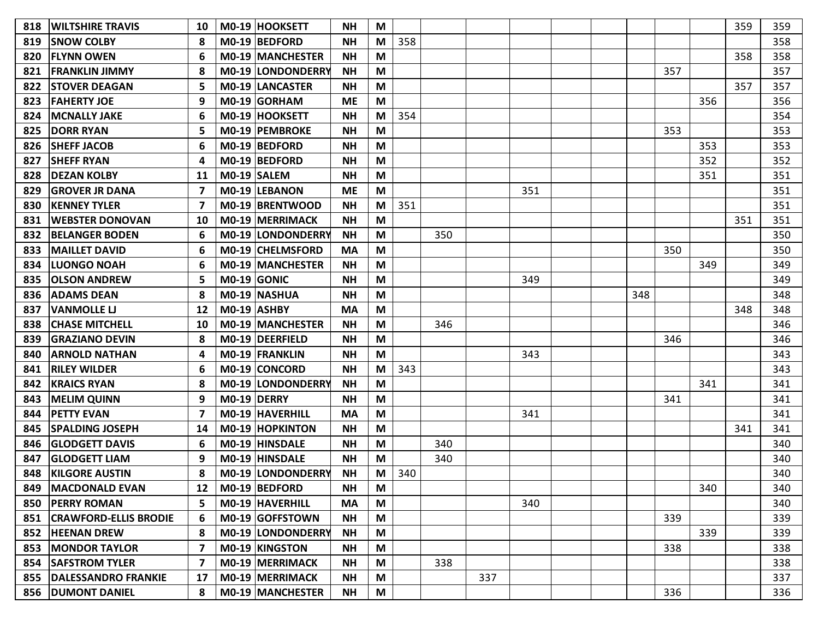| 818 | <b>WILTSHIRE TRAVIS</b>      | 10 |             | M0-19 HOOKSETT          | <b>NH</b> | M                                                                                     |     |     |     |     |  |     |     |     | 359 | 359 |
|-----|------------------------------|----|-------------|-------------------------|-----------|---------------------------------------------------------------------------------------|-----|-----|-----|-----|--|-----|-----|-----|-----|-----|
| 819 | <b>SNOW COLBY</b>            | 8  |             | M0-19 BEDFORD           | <b>NH</b> | M                                                                                     | 358 |     |     |     |  |     |     |     |     | 358 |
| 820 | <b>FLYNN OWEN</b>            | 6  |             | M0-19 MANCHESTER        | <b>NH</b> | M                                                                                     |     |     |     |     |  |     |     |     | 358 | 358 |
| 821 | <b>FRANKLIN JIMMY</b>        | 8  |             | M0-19 LONDONDERRY       | <b>NH</b> | M                                                                                     |     |     |     |     |  |     | 357 |     |     | 357 |
| 822 | <b>ISTOVER DEAGAN</b>        | 5  |             | <b>MO-19 LANCASTER</b>  | <b>NH</b> | M                                                                                     |     |     |     |     |  |     |     |     | 357 | 357 |
| 823 | <b>FAHERTY JOE</b>           | 9  |             | M0-19 GORHAM            | <b>ME</b> | M                                                                                     |     |     |     |     |  |     |     | 356 |     | 356 |
| 824 | <b>MCNALLY JAKE</b>          | 6  |             | M0-19 HOOKSETT          | <b>NH</b> | M                                                                                     | 354 |     |     |     |  |     |     |     |     | 354 |
| 825 | <b>DORR RYAN</b>             | 5  |             | M0-19 PEMBROKE          | <b>NH</b> | M                                                                                     |     |     |     |     |  |     | 353 |     |     | 353 |
| 826 | <b>SHEFF JACOB</b>           | 6  |             | M0-19 BEDFORD           | <b>NH</b> | M                                                                                     |     |     |     |     |  |     |     | 353 |     | 353 |
| 827 | <b>SHEFF RYAN</b>            | Δ  |             | M0-19 BEDFORD           | <b>NH</b> | M                                                                                     |     |     |     |     |  |     |     | 352 |     | 352 |
| 828 | <b>DEZAN KOLBY</b>           | 11 |             | M0-19 SALEM             | <b>NH</b> | M                                                                                     |     |     |     |     |  |     |     | 351 |     | 351 |
| 829 | <b>GROVER JR DANA</b>        | 7  |             | M0-19 LEBANON           | <b>ME</b> | M                                                                                     |     |     |     | 351 |  |     |     |     |     | 351 |
| 830 | <b>KENNEY TYLER</b>          |    |             | M0-19 BRENTWOOD         | <b>NH</b> | M                                                                                     | 351 |     |     |     |  |     |     |     |     | 351 |
| 831 | <b>WEBSTER DONOVAN</b>       | 10 |             | M0-19 MERRIMACK         | <b>NH</b> | M                                                                                     |     |     |     |     |  |     |     |     | 351 | 351 |
| 832 | <b>BELANGER BODEN</b>        | 6  |             | M0-19 LONDONDERRY       | <b>NH</b> | M                                                                                     |     | 350 |     |     |  |     |     |     |     | 350 |
| 833 | <b>MAILLET DAVID</b>         | 6  |             | <b>M0-19 CHELMSFORD</b> | <b>MA</b> | M                                                                                     |     |     |     |     |  |     | 350 |     |     | 350 |
| 834 | <b>LUONGO NOAH</b>           | 6  |             | <b>MO-19 MANCHESTER</b> | <b>NH</b> | M                                                                                     |     |     |     |     |  |     |     | 349 |     | 349 |
| 835 | <b>OLSON ANDREW</b>          | 5  |             | $MO-19$ GONIC           | <b>NH</b> | M                                                                                     |     |     |     | 349 |  |     |     |     |     | 349 |
| 836 | <b>ADAMS DEAN</b>            | 8  |             | M0-19 NASHUA            | <b>NH</b> | M                                                                                     |     |     |     |     |  | 348 |     |     |     | 348 |
| 837 | <b>VANMOLLE LJ</b>           | 12 |             | M0-19 ASHBY             | <b>MA</b> | M                                                                                     |     |     |     |     |  |     |     |     | 348 | 348 |
| 838 | <b>CHASE MITCHELL</b>        | 10 |             | <b>M0-19 MANCHESTER</b> | <b>NH</b> | M                                                                                     |     | 346 |     |     |  |     |     |     |     | 346 |
| 839 | <b>GRAZIANO DEVIN</b>        | 8  |             | M0-19 DEERFIELD         | <b>NH</b> | M                                                                                     |     |     |     |     |  |     | 346 |     |     | 346 |
| 840 | <b>ARNOLD NATHAN</b>         | 4  |             | M0-19 FRANKLIN          | <b>NH</b> | M                                                                                     |     |     |     | 343 |  |     |     |     |     | 343 |
| 841 | <b>RILEY WILDER</b>          | 6  |             | M0-19 CONCORD           | <b>NH</b> | M                                                                                     | 343 |     |     |     |  |     |     |     |     | 343 |
| 842 | <b>KRAICS RYAN</b>           | 8  |             | M0-19 LONDONDERRY       | <b>NH</b> | M                                                                                     |     |     |     |     |  |     |     | 341 |     | 341 |
| 843 | <b>MELIM QUINN</b>           | 9  | M0-19 DERRY |                         | <b>NH</b> | M                                                                                     |     |     |     |     |  |     | 341 |     |     | 341 |
| 844 | <b>PETTY EVAN</b>            | 7  |             | M0-19 HAVERHILL         | <b>MA</b> | M                                                                                     |     |     |     | 341 |  |     |     |     |     | 341 |
| 845 | <b>SPALDING JOSEPH</b>       | 14 |             | <b>M0-19 HOPKINTON</b>  | <b>NH</b> | M                                                                                     |     |     |     |     |  |     |     |     | 341 | 341 |
| 846 | <b>GLODGETT DAVIS</b>        | 6  |             | M0-19 HINSDALE          | <b>NH</b> | M                                                                                     |     | 340 |     |     |  |     |     |     |     | 340 |
| 847 | <b>GLODGETT LIAM</b>         | 9  |             | M0-19 HINSDALE          | <b>NH</b> | M                                                                                     |     | 340 |     |     |  |     |     |     |     | 340 |
| 848 | <b>KILGORE AUSTIN</b>        |    |             | M0-19 LONDONDERRY       | <b>NH</b> | M                                                                                     | 340 |     |     |     |  |     |     |     |     | 340 |
|     | 849   MACDONALD EVAN         |    |             | 12   M0-19   BEDFORD    | <b>NH</b> | M                                                                                     |     |     |     |     |  |     |     | 340 |     | 340 |
| 850 | <b>PERRY ROMAN</b>           | 5  |             | M0-19 HAVERHILL         | <b>MA</b> | M                                                                                     |     |     |     | 340 |  |     |     |     |     | 340 |
| 851 | <b>CRAWFORD-ELLIS BRODIE</b> | 6  |             | M0-19 GOFFSTOWN         | <b>NH</b> | M                                                                                     |     |     |     |     |  |     | 339 |     |     | 339 |
| 852 | <b>HEENAN DREW</b>           | 8  |             | M0-19 LONDONDERRY       | <b>NH</b> | M                                                                                     |     |     |     |     |  |     |     | 339 |     | 339 |
| 853 | <b>MONDOR TAYLOR</b>         | 7  |             | M0-19 KINGSTON          | <b>NH</b> | M                                                                                     |     |     |     |     |  |     | 338 |     |     | 338 |
|     | 854   SAFSTROM TYLER         | 7  |             | M0-19 MERRIMACK         | ΝH        | M                                                                                     |     | 338 |     |     |  |     |     |     |     | 338 |
|     | 855   DALESSANDRO FRANKIE    | 17 |             | M0-19 MERRIMACK         | <b>NH</b> | M                                                                                     |     |     | 337 |     |  |     |     |     |     | 337 |
|     | 856   DUMONT DANIEL          | 8  |             | M0-19 MANCHESTER        | <b>NH</b> | $\mathsf{M}% _{T}=\mathsf{M}_{T}\!\left( a,b\right) ,\ \mathsf{M}_{T}=\mathsf{M}_{T}$ |     |     |     |     |  |     | 336 |     |     | 336 |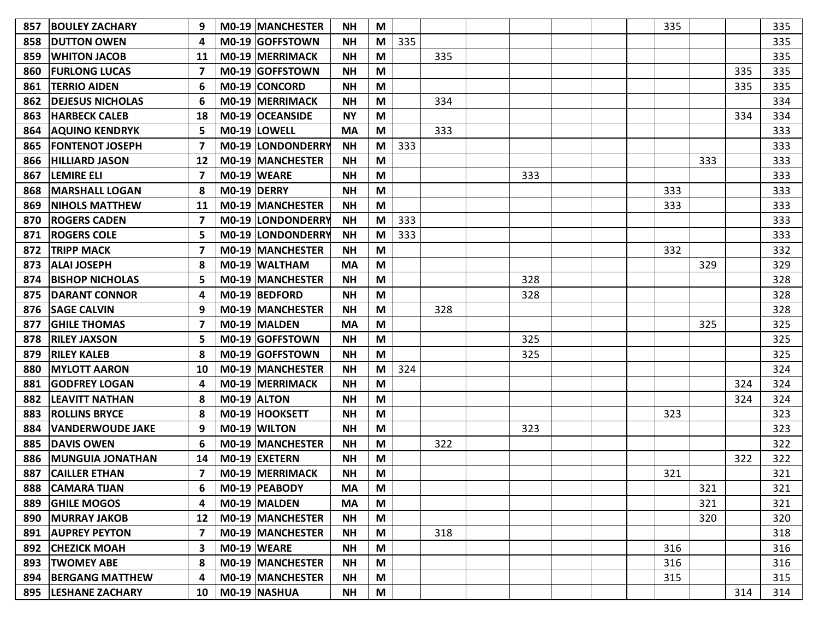| 857 | <b>BOULEY ZACHARY</b>   | 9  | <b>M0-19 MANCHESTER</b> | NΗ        | M |     |     |     |  | 335 |     |     | 335 |
|-----|-------------------------|----|-------------------------|-----------|---|-----|-----|-----|--|-----|-----|-----|-----|
| 858 | <b>DUTTON OWEN</b>      | 4  | M0-19 GOFFSTOWN         | <b>NH</b> | M | 335 |     |     |  |     |     |     | 335 |
| 859 | <b>WHITON JACOB</b>     | 11 | M0-19 MERRIMACK         | <b>NH</b> | M |     | 335 |     |  |     |     |     | 335 |
| 860 | <b>FURLONG LUCAS</b>    | 7  | M0-19 GOFFSTOWN         | <b>NH</b> | M |     |     |     |  |     |     | 335 | 335 |
| 861 | <b>TERRIO AIDEN</b>     | 6  | <b>M0-19 CONCORD</b>    | <b>NH</b> | M |     |     |     |  |     |     | 335 | 335 |
| 862 | <b>DEJESUS NICHOLAS</b> | 6  | <b>M0-19 MERRIMACK</b>  | <b>NH</b> | M |     | 334 |     |  |     |     |     | 334 |
| 863 | <b>HARBECK CALEB</b>    | 18 | M0-19 OCEANSIDE         | <b>NY</b> | M |     |     |     |  |     |     | 334 | 334 |
| 864 | <b>AQUINO KENDRYK</b>   | 5  | M0-19 LOWELL            | <b>MA</b> | M |     | 333 |     |  |     |     |     | 333 |
| 865 | <b>FONTENOT JOSEPH</b>  | 7  | M0-19 LONDONDERRY       | <b>NH</b> | M | 333 |     |     |  |     |     |     | 333 |
| 866 | <b>HILLIARD JASON</b>   | 12 | <b>MO-19 MANCHESTER</b> | <b>NH</b> | M |     |     |     |  |     | 333 |     | 333 |
| 867 | <b>LEMIRE ELI</b>       | 7  | M0-19 WEARE             | <b>NH</b> | M |     |     | 333 |  |     |     |     | 333 |
| 868 | <b>MARSHALL LOGAN</b>   | 8  | M0-19 DERRY             | <b>NH</b> | M |     |     |     |  | 333 |     |     | 333 |
| 869 | <b>NIHOLS MATTHEW</b>   | 11 | <b>M0-19 MANCHESTER</b> | <b>NH</b> | M |     |     |     |  | 333 |     |     | 333 |
| 870 | <b>ROGERS CADEN</b>     | 7  | M0-19 LONDONDERRY       | <b>NH</b> | M | 333 |     |     |  |     |     |     | 333 |
| 871 | <b>ROGERS COLE</b>      | 5  | M0-19 LONDONDERRY       | <b>NH</b> | M | 333 |     |     |  |     |     |     | 333 |
| 872 | <b>TRIPP MACK</b>       | 7  | <b>MO-19 MANCHESTER</b> | <b>NH</b> | M |     |     |     |  | 332 |     |     | 332 |
| 873 | <b>ALAI JOSEPH</b>      | 8  | M0-19 WALTHAM           | <b>MA</b> | M |     |     |     |  |     | 329 |     | 329 |
| 874 | <b>BISHOP NICHOLAS</b>  | 5  | M0-19 MANCHESTER        | <b>NH</b> | M |     |     | 328 |  |     |     |     | 328 |
| 875 | <b>DARANT CONNOR</b>    | 4  | M0-19 BEDFORD           | <b>NH</b> | M |     |     | 328 |  |     |     |     | 328 |
| 876 | <b>SAGE CALVIN</b>      | 9  | <b>MO-19 MANCHESTER</b> | <b>NH</b> | M |     | 328 |     |  |     |     |     | 328 |
| 877 | <b>IGHILE THOMAS</b>    | 7  | M0-19 MALDEN            | <b>MA</b> | M |     |     |     |  |     | 325 |     | 325 |
| 878 | <b>RILEY JAXSON</b>     | 5  | M0-19 GOFFSTOWN         | <b>NH</b> | M |     |     | 325 |  |     |     |     | 325 |
| 879 | <b>RILEY KALEB</b>      | 8  | M0-19 GOFFSTOWN         | <b>NH</b> | M |     |     | 325 |  |     |     |     | 325 |
| 880 | <b>MYLOTT AARON</b>     | 10 | M0-19 MANCHESTER        | <b>NH</b> | M | 324 |     |     |  |     |     |     | 324 |
| 881 | <b>GODFREY LOGAN</b>    | 4  | <b>M0-19 MERRIMACK</b>  | <b>NH</b> | M |     |     |     |  |     |     | 324 | 324 |
| 882 | <b>LEAVITT NATHAN</b>   | 8  | M0-19 ALTON             | <b>NH</b> | M |     |     |     |  |     |     | 324 | 324 |
| 883 | <b>ROLLINS BRYCE</b>    | 8  | M0-19 HOOKSETT          | <b>NH</b> | M |     |     |     |  | 323 |     |     | 323 |
| 884 | <b>VANDERWOUDE JAKE</b> | 9  | M0-19 WILTON            | <b>NH</b> | M |     |     | 323 |  |     |     |     | 323 |
| 885 | <b>DAVIS OWEN</b>       | 6  | M0-19 MANCHESTER        | <b>NH</b> | M |     | 322 |     |  |     |     |     | 322 |
| 886 | <b>MUNGUIA JONATHAN</b> | 14 | M0-19 EXETERN           | <b>NH</b> | M |     |     |     |  |     |     | 322 | 322 |
| 887 | <b>CAILLER ETHAN</b>    |    | M0-19 MERRIMACK         | <b>NH</b> | M |     |     |     |  | 321 |     |     | 321 |
|     | 888   CAMARA TIJAN      |    | M0-19 PEABODY           | <b>MA</b> | M |     |     |     |  |     | 321 |     | 321 |
|     | 889 GHILE MOGOS         | 4  | M0-19 MALDEN            | <b>MA</b> | M |     |     |     |  |     | 321 |     | 321 |
| 890 | <b>MURRAY JAKOB</b>     | 12 | M0-19 MANCHESTER        | <b>NH</b> | M |     |     |     |  |     | 320 |     | 320 |
| 891 | <b>AUPREY PEYTON</b>    | 7  | M0-19 MANCHESTER        | <b>NH</b> | M |     | 318 |     |  |     |     |     | 318 |
| 892 | <b>CHEZICK MOAH</b>     | 3  | $MO-19$ WEARE           | <b>NH</b> | M |     |     |     |  | 316 |     |     | 316 |
|     | 893   TWOMEY ABE        | 8  | M0-19 MANCHESTER        | <b>NH</b> | M |     |     |     |  | 316 |     |     | 316 |
|     | 894 BERGANG MATTHEW     | 4  | M0-19 MANCHESTER        | <b>NH</b> | M |     |     |     |  | 315 |     |     | 315 |
|     | 895  LESHANE ZACHARY    | 10 | M0-19 NASHUA            | <b>NH</b> | M |     |     |     |  |     |     | 314 | 314 |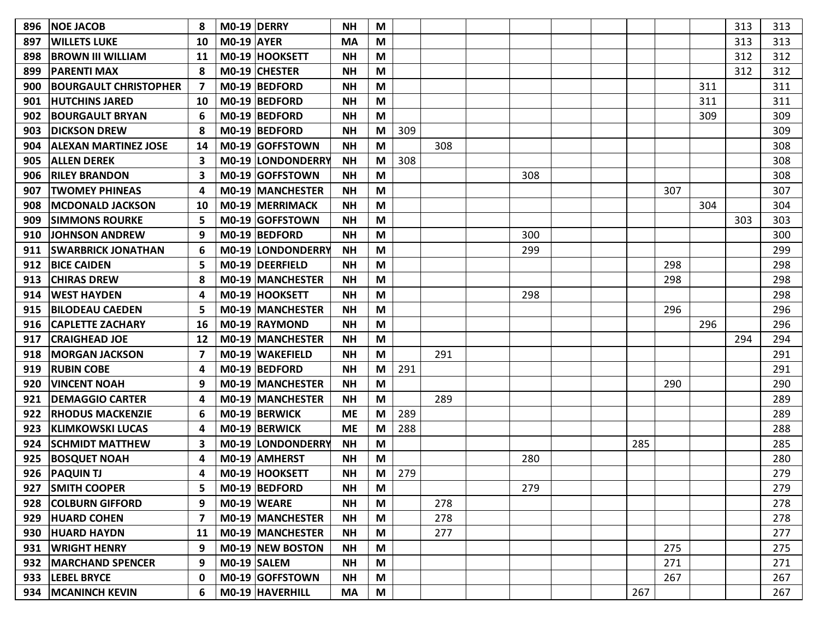| 896 | <b>NOE JACOB</b>             | 8  | M0-19 DERRY       |                          | <b>NH</b> | M |     |     |     |     |     |     | 313 | 313 |
|-----|------------------------------|----|-------------------|--------------------------|-----------|---|-----|-----|-----|-----|-----|-----|-----|-----|
| 897 | <b>WILLETS LUKE</b>          | 10 | <b>M0-19 AYER</b> |                          | MA        | M |     |     |     |     |     |     | 313 | 313 |
| 898 | <b>IBROWN III WILLIAM</b>    | 11 |                   | M0-19 HOOKSETT           | <b>NH</b> | M |     |     |     |     |     |     | 312 | 312 |
| 899 | <b>PARENTI MAX</b>           | 8  |                   | M0-19 CHESTER            | <b>NH</b> | M |     |     |     |     |     |     | 312 | 312 |
| 900 | <b>BOURGAULT CHRISTOPHER</b> |    |                   | M0-19 BEDFORD            | <b>NH</b> | M |     |     |     |     |     | 311 |     | 311 |
| 901 | <b>HUTCHINS JARED</b>        | 10 |                   | M0-19 BEDFORD            | <b>NH</b> | M |     |     |     |     |     | 311 |     | 311 |
| 902 | <b>BOURGAULT BRYAN</b>       | 6  |                   | M0-19 BEDFORD            | <b>NH</b> | M |     |     |     |     |     | 309 |     | 309 |
| 903 | <b>DICKSON DREW</b>          | 8  |                   | M0-19 BEDFORD            | <b>NH</b> | M | 309 |     |     |     |     |     |     | 309 |
| 904 | <b>ALEXAN MARTINEZ JOSE</b>  | 14 |                   | M0-19 GOFFSTOWN          | <b>NH</b> | M |     | 308 |     |     |     |     |     | 308 |
| 905 | <b>ALLEN DEREK</b>           | 3  |                   | <b>M0-19 LONDONDERRY</b> | <b>NH</b> | M | 308 |     |     |     |     |     |     | 308 |
| 906 | <b>RILEY BRANDON</b>         | 3  |                   | M0-19 GOFFSTOWN          | <b>NH</b> | M |     |     | 308 |     |     |     |     | 308 |
| 907 | <b>TWOMEY PHINEAS</b>        | 4  |                   | <b>MO-19 MANCHESTER</b>  | <b>NH</b> | M |     |     |     |     | 307 |     |     | 307 |
| 908 | IMCDONALD JACKSON            | 10 |                   | <b>M0-19 MERRIMACK</b>   | <b>NH</b> | M |     |     |     |     |     | 304 |     | 304 |
| 909 | <b>SIMMONS ROURKE</b>        | 5  |                   | M0-19 GOFFSTOWN          | <b>NH</b> | M |     |     |     |     |     |     | 303 | 303 |
| 910 | <b>JOHNSON ANDREW</b>        | 9  |                   | M0-19 BEDFORD            | <b>NH</b> | M |     |     | 300 |     |     |     |     | 300 |
| 911 | <b>SWARBRICK JONATHAN</b>    | 6  |                   | <b>M0-19 LONDONDERRY</b> | <b>NH</b> | М |     |     | 299 |     |     |     |     | 299 |
| 912 | <b>BICE CAIDEN</b>           | 5  |                   | M0-19 DEERFIELD          | <b>NH</b> | M |     |     |     |     | 298 |     |     | 298 |
| 913 | <b>CHIRAS DREW</b>           | 8  |                   | <b>M0-19 MANCHESTER</b>  | <b>NH</b> | M |     |     |     |     | 298 |     |     | 298 |
| 914 | <b>WEST HAYDEN</b>           | 4  |                   | M0-19 HOOKSETT           | <b>NH</b> | M |     |     | 298 |     |     |     |     | 298 |
| 915 | <b>BILODEAU CAEDEN</b>       | 5  |                   | <b>M0-19 MANCHESTER</b>  | <b>NH</b> | M |     |     |     |     | 296 |     |     | 296 |
| 916 | <b>CAPLETTE ZACHARY</b>      | 16 |                   | M0-19 RAYMOND            | <b>NH</b> | M |     |     |     |     |     | 296 |     | 296 |
| 917 | <b>CRAIGHEAD JOE</b>         | 12 |                   | M0-19 MANCHESTER         | <b>NH</b> | M |     |     |     |     |     |     | 294 | 294 |
| 918 | <b>MORGAN JACKSON</b>        | 7  |                   | <b>MO-19 WAKEFIELD</b>   | <b>NH</b> | M |     | 291 |     |     |     |     |     | 291 |
| 919 | <b>RUBIN COBE</b>            | 4  |                   | M0-19 BEDFORD            | <b>NH</b> | M | 291 |     |     |     |     |     |     | 291 |
| 920 | <b>VINCENT NOAH</b>          | 9  |                   | <b>M0-19 MANCHESTER</b>  | <b>NH</b> | M |     |     |     |     | 290 |     |     | 290 |
| 921 | <b>DEMAGGIO CARTER</b>       | 4  |                   | <b>M0-19 MANCHESTER</b>  | <b>NH</b> | M |     | 289 |     |     |     |     |     | 289 |
| 922 | <b>RHODUS MACKENZIE</b>      | 6  |                   | M0-19 BERWICK            | <b>ME</b> | M | 289 |     |     |     |     |     |     | 289 |
| 923 | <b>KLIMKOWSKI LUCAS</b>      | 4  |                   | M0-19 BERWICK            | <b>ME</b> | M | 288 |     |     |     |     |     |     | 288 |
| 924 | <b>SCHMIDT MATTHEW</b>       | 3  |                   | <b>M0-19 LONDONDERRY</b> | <b>NH</b> | M |     |     |     | 285 |     |     |     | 285 |
| 925 | <b>BOSQUET NOAH</b>          | 4  |                   | M0-19 AMHERST            | <b>NH</b> | M |     |     | 280 |     |     |     |     | 280 |
| 926 | <b>PAQUIN TJ</b>             | 4  |                   | M0-19 HOOKSETT           | <b>NH</b> | М | 279 |     |     |     |     |     |     | 279 |
|     | 927 SMITH COOPER             | 5  |                   | M0-19 BEDFORD            | <b>NH</b> | M |     |     | 279 |     |     |     |     | 279 |
|     | 928 COLBURN GIFFORD          | 9  |                   | $MO-19$ WEARE            | <b>NH</b> | M |     | 278 |     |     |     |     |     | 278 |
|     | 929 HUARD COHEN              | 7  |                   | M0-19 MANCHESTER         | <b>NH</b> | M |     | 278 |     |     |     |     |     | 278 |
|     | 930 HUARD HAYDN              | 11 |                   | <b>MO-19 MANCHESTER</b>  | <b>NH</b> | M |     | 277 |     |     |     |     |     | 277 |
|     | 931   WRIGHT HENRY           | 9  |                   | M0-19 NEW BOSTON         | <b>NH</b> | M |     |     |     |     | 275 |     |     | 275 |
|     | 932   MARCHAND SPENCER       | 9  |                   | $MO-19$ SALEM            | <b>NH</b> | M |     |     |     |     | 271 |     |     | 271 |
|     | 933  LEBEL BRYCE             | 0  |                   | M0-19 GOFFSTOWN          | <b>NH</b> | M |     |     |     |     | 267 |     |     | 267 |
|     | 934   MCANINCH KEVIN         | 6  |                   | M0-19 HAVERHILL          | <b>MA</b> | M |     |     |     | 267 |     |     |     | 267 |